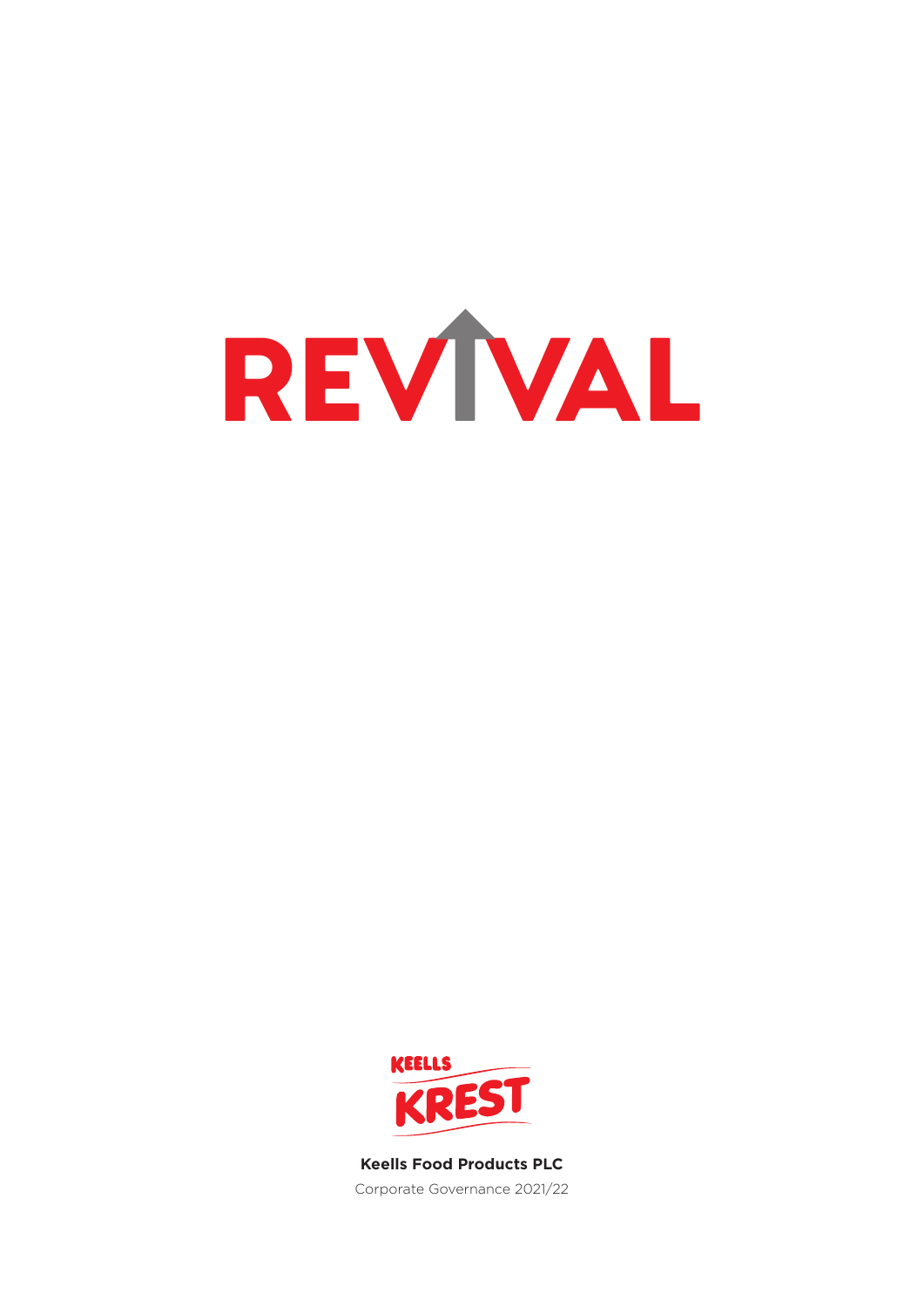



**Keells Food Products PLC** Corporate Governance 2021/22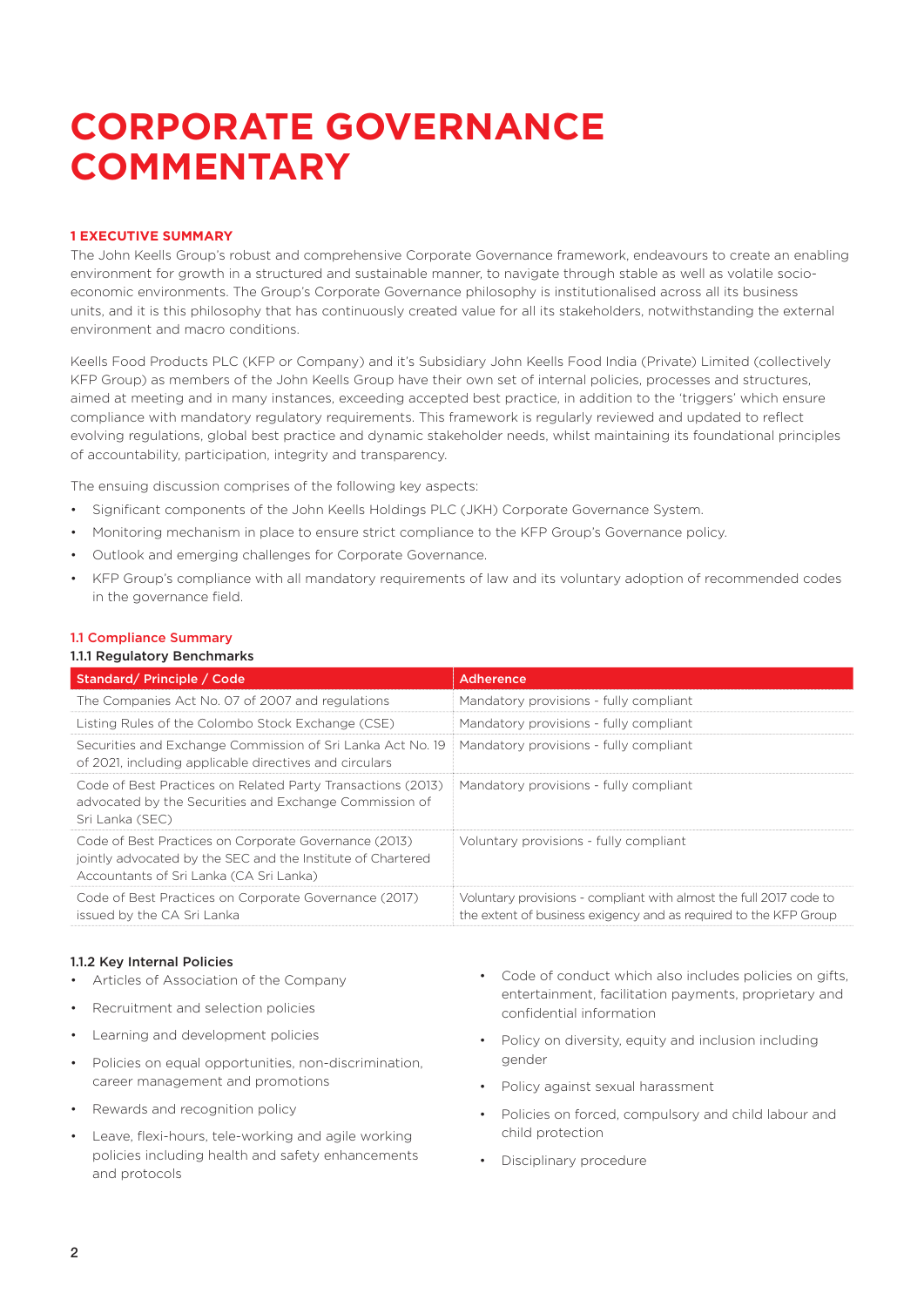#### **1 EXECUTIVE SUMMARY**

The John Keells Group's robust and comprehensive Corporate Governance framework, endeavours to create an enabling environment for growth in a structured and sustainable manner, to navigate through stable as well as volatile socioeconomic environments. The Group's Corporate Governance philosophy is institutionalised across all its business units, and it is this philosophy that has continuously created value for all its stakeholders, notwithstanding the external environment and macro conditions.

Keells Food Products PLC (KFP or Company) and it's Subsidiary John Keells Food India (Private) Limited (collectively KFP Group) as members of the John Keells Group have their own set of internal policies, processes and structures, aimed at meeting and in many instances, exceeding accepted best practice, in addition to the 'triggers' which ensure compliance with mandatory regulatory requirements. This framework is regularly reviewed and updated to reflect evolving regulations, global best practice and dynamic stakeholder needs, whilst maintaining its foundational principles of accountability, participation, integrity and transparency.

The ensuing discussion comprises of the following key aspects:

- Significant components of the John Keells Holdings PLC (JKH) Corporate Governance System.
- Monitoring mechanism in place to ensure strict compliance to the KFP Group's Governance policy.
- Outlook and emerging challenges for Corporate Governance.
- KFP Group's compliance with all mandatory requirements of law and its voluntary adoption of recommended codes in the governance field.

#### 1.1 Compliance Summary

#### 1.1.1 Regulatory Benchmarks

| Standard/Principle / Code                                                                                                                                       | Adherence                                                                                                                              |
|-----------------------------------------------------------------------------------------------------------------------------------------------------------------|----------------------------------------------------------------------------------------------------------------------------------------|
| The Companies Act No. 07 of 2007 and regulations                                                                                                                | Mandatory provisions - fully compliant                                                                                                 |
| Listing Rules of the Colombo Stock Exchange (CSE)                                                                                                               | Mandatory provisions - fully compliant                                                                                                 |
| Securities and Exchange Commission of Sri Lanka Act No. 19<br>of 2021, including applicable directives and circulars                                            | Mandatory provisions - fully compliant                                                                                                 |
| Code of Best Practices on Related Party Transactions (2013)<br>advocated by the Securities and Exchange Commission of<br>Sri Lanka (SEC)                        | Mandatory provisions - fully compliant                                                                                                 |
| Code of Best Practices on Corporate Governance (2013)<br>jointly advocated by the SEC and the Institute of Chartered<br>Accountants of Sri Lanka (CA Sri Lanka) | Voluntary provisions - fully compliant                                                                                                 |
| Code of Best Practices on Corporate Governance (2017)<br>issued by the CA Sri Lanka                                                                             | Voluntary provisions - compliant with almost the full 2017 code to<br>the extent of business exigency and as required to the KFP Group |

#### 1.1.2 Key Internal Policies

- Articles of Association of the Company
- Recruitment and selection policies
- Learning and development policies
- Policies on equal opportunities, non-discrimination, career management and promotions
- Rewards and recognition policy
- Leave, flexi-hours, tele-working and agile working policies including health and safety enhancements and protocols
- Code of conduct which also includes policies on gifts, entertainment, facilitation payments, proprietary and confidential information
- Policy on diversity, equity and inclusion including gender
- Policy against sexual harassment
- Policies on forced, compulsory and child labour and child protection
- Disciplinary procedure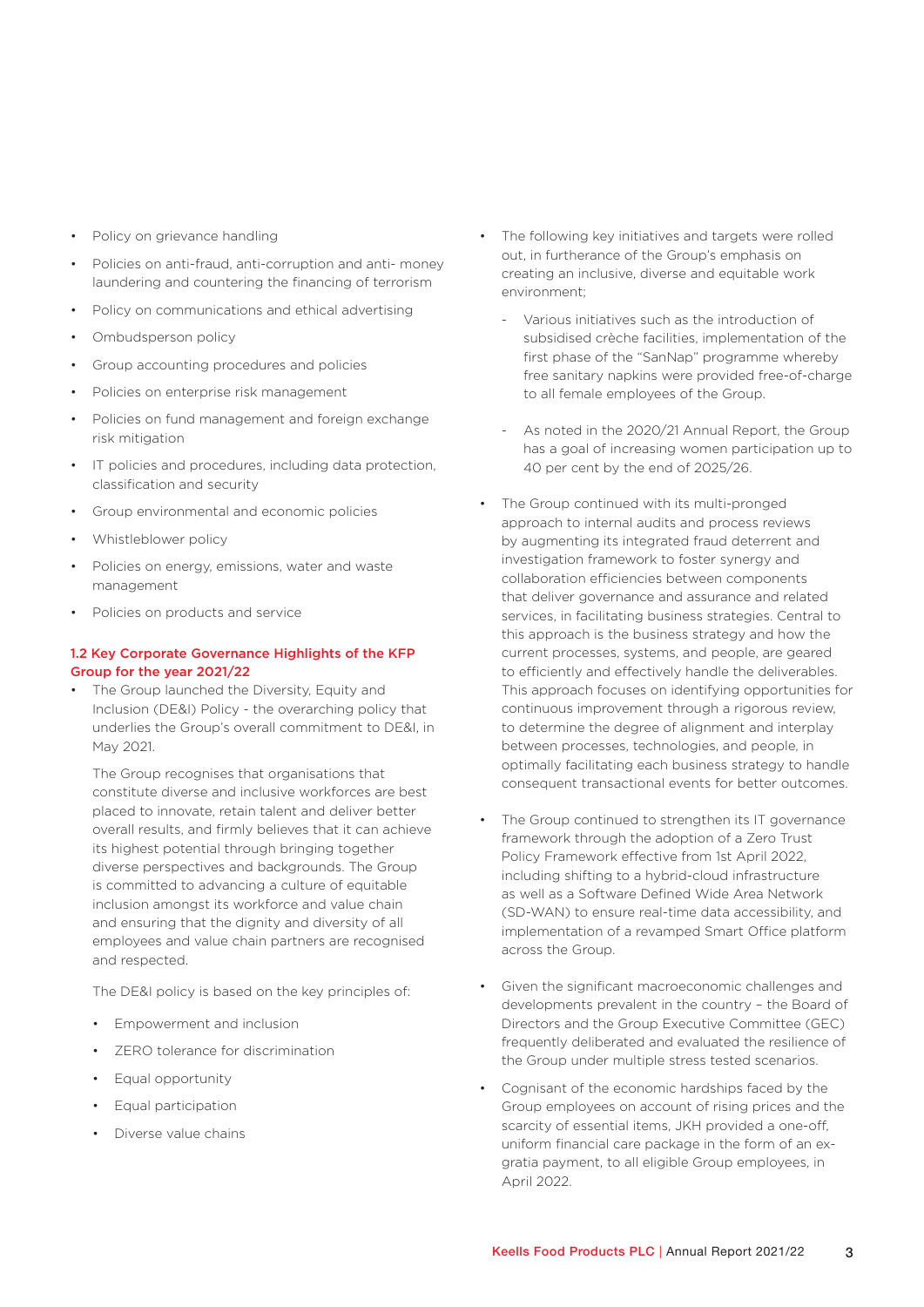- Policy on grievance handling
- Policies on anti-fraud, anti-corruption and anti- money laundering and countering the financing of terrorism
- Policy on communications and ethical advertising
- Ombudsperson policy
- Group accounting procedures and policies
- Policies on enterprise risk management
- Policies on fund management and foreign exchange risk mitigation
- IT policies and procedures, including data protection, classification and security
- Group environmental and economic policies
- Whistleblower policy
- Policies on energy, emissions, water and waste management
- Policies on products and service

### 1.2 Key Corporate Governance Highlights of the KFP Group for the year 2021/22

• The Group launched the Diversity, Equity and Inclusion (DE&I) Policy - the overarching policy that underlies the Group's overall commitment to DE&I, in May 2021.

The Group recognises that organisations that constitute diverse and inclusive workforces are best placed to innovate, retain talent and deliver better overall results, and firmly believes that it can achieve its highest potential through bringing together diverse perspectives and backgrounds. The Group is committed to advancing a culture of equitable inclusion amongst its workforce and value chain and ensuring that the dignity and diversity of all employees and value chain partners are recognised and respected.

The DE&I policy is based on the key principles of:

- Empowerment and inclusion
- ZERO tolerance for discrimination
- Equal opportunity
- Equal participation
- Diverse value chains
- The following key initiatives and targets were rolled out, in furtherance of the Group's emphasis on creating an inclusive, diverse and equitable work environment;
	- Various initiatives such as the introduction of subsidised crèche facilities, implementation of the first phase of the "SanNap" programme whereby free sanitary napkins were provided free-of-charge to all female employees of the Group.
	- As noted in the 2020/21 Annual Report, the Group has a goal of increasing women participation up to 40 per cent by the end of 2025/26.
- The Group continued with its multi-pronged approach to internal audits and process reviews by augmenting its integrated fraud deterrent and investigation framework to foster synergy and collaboration efficiencies between components that deliver governance and assurance and related services, in facilitating business strategies. Central to this approach is the business strategy and how the current processes, systems, and people, are geared to efficiently and effectively handle the deliverables. This approach focuses on identifying opportunities for continuous improvement through a rigorous review, to determine the degree of alignment and interplay between processes, technologies, and people, in optimally facilitating each business strategy to handle consequent transactional events for better outcomes.
- The Group continued to strengthen its IT governance framework through the adoption of a Zero Trust Policy Framework effective from 1st April 2022, including shifting to a hybrid-cloud infrastructure as well as a Software Defined Wide Area Network (SD-WAN) to ensure real-time data accessibility, and implementation of a revamped Smart Office platform across the Group.
- Given the significant macroeconomic challenges and developments prevalent in the country – the Board of Directors and the Group Executive Committee (GEC) frequently deliberated and evaluated the resilience of the Group under multiple stress tested scenarios.
- Cognisant of the economic hardships faced by the Group employees on account of rising prices and the scarcity of essential items, JKH provided a one-off, uniform financial care package in the form of an exgratia payment, to all eligible Group employees, in April 2022.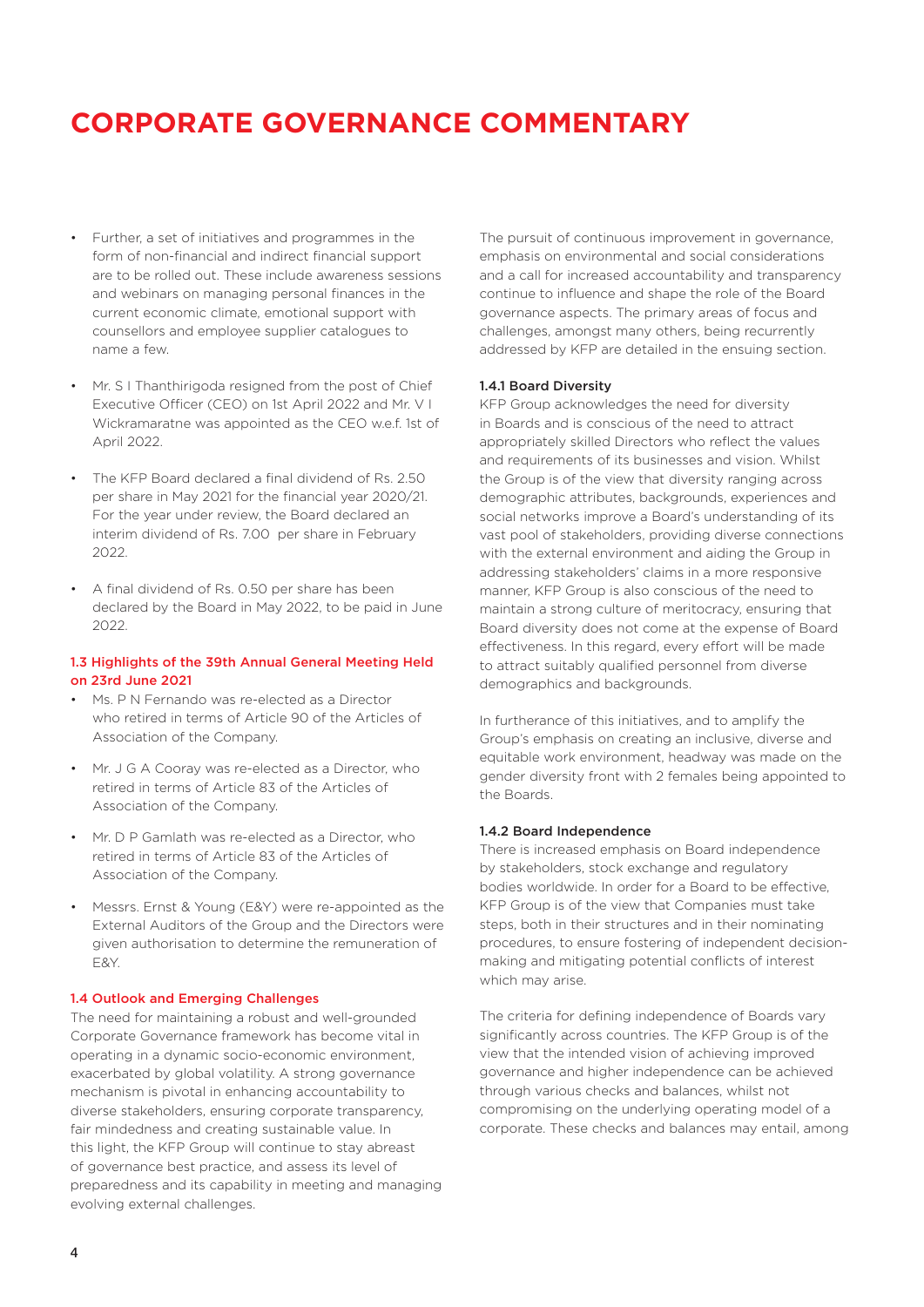- Further, a set of initiatives and programmes in the form of non-financial and indirect financial support are to be rolled out. These include awareness sessions and webinars on managing personal finances in the current economic climate, emotional support with counsellors and employee supplier catalogues to name a few.
- Mr. S I Thanthirigoda resigned from the post of Chief Executive Officer (CEO) on 1st April 2022 and Mr. V I Wickramaratne was appointed as the CEO w.e.f. 1st of April 2022.
- The KFP Board declared a final dividend of Rs. 2.50 per share in May 2021 for the financial year 2020/21. For the year under review, the Board declared an interim dividend of Rs. 7.00 per share in February 2022.
- A final dividend of Rs. 0.50 per share has been declared by the Board in May 2022, to be paid in June 2022.

#### 1.3 Highlights of the 39th Annual General Meeting Held on 23rd June 2021

- Ms. P N Fernando was re-elected as a Director who retired in terms of Article 90 of the Articles of Association of the Company.
- Mr. J G A Cooray was re-elected as a Director, who retired in terms of Article 83 of the Articles of Association of the Company.
- Mr. D P Gamlath was re-elected as a Director, who retired in terms of Article 83 of the Articles of Association of the Company.
- Messrs. Ernst & Young (E&Y) were re-appointed as the External Auditors of the Group and the Directors were given authorisation to determine the remuneration of E&Y.

#### 1.4 Outlook and Emerging Challenges

The need for maintaining a robust and well-grounded Corporate Governance framework has become vital in operating in a dynamic socio-economic environment, exacerbated by global volatility. A strong governance mechanism is pivotal in enhancing accountability to diverse stakeholders, ensuring corporate transparency, fair mindedness and creating sustainable value. In this light, the KFP Group will continue to stay abreast of governance best practice, and assess its level of preparedness and its capability in meeting and managing evolving external challenges.

The pursuit of continuous improvement in governance, emphasis on environmental and social considerations and a call for increased accountability and transparency continue to influence and shape the role of the Board governance aspects. The primary areas of focus and challenges, amongst many others, being recurrently addressed by KFP are detailed in the ensuing section.

#### 1.4.1 Board Diversity

KFP Group acknowledges the need for diversity in Boards and is conscious of the need to attract appropriately skilled Directors who reflect the values and requirements of its businesses and vision. Whilst the Group is of the view that diversity ranging across demographic attributes, backgrounds, experiences and social networks improve a Board's understanding of its vast pool of stakeholders, providing diverse connections with the external environment and aiding the Group in addressing stakeholders' claims in a more responsive manner, KFP Group is also conscious of the need to maintain a strong culture of meritocracy, ensuring that Board diversity does not come at the expense of Board effectiveness. In this regard, every effort will be made to attract suitably qualified personnel from diverse demographics and backgrounds.

In furtherance of this initiatives, and to amplify the Group's emphasis on creating an inclusive, diverse and equitable work environment, headway was made on the gender diversity front with 2 females being appointed to the Boards.

#### 1.4.2 Board Independence

There is increased emphasis on Board independence by stakeholders, stock exchange and regulatory bodies worldwide. In order for a Board to be effective, KFP Group is of the view that Companies must take steps, both in their structures and in their nominating procedures, to ensure fostering of independent decisionmaking and mitigating potential conflicts of interest which may arise.

The criteria for defining independence of Boards vary significantly across countries. The KFP Group is of the view that the intended vision of achieving improved governance and higher independence can be achieved through various checks and balances, whilst not compromising on the underlying operating model of a corporate. These checks and balances may entail, among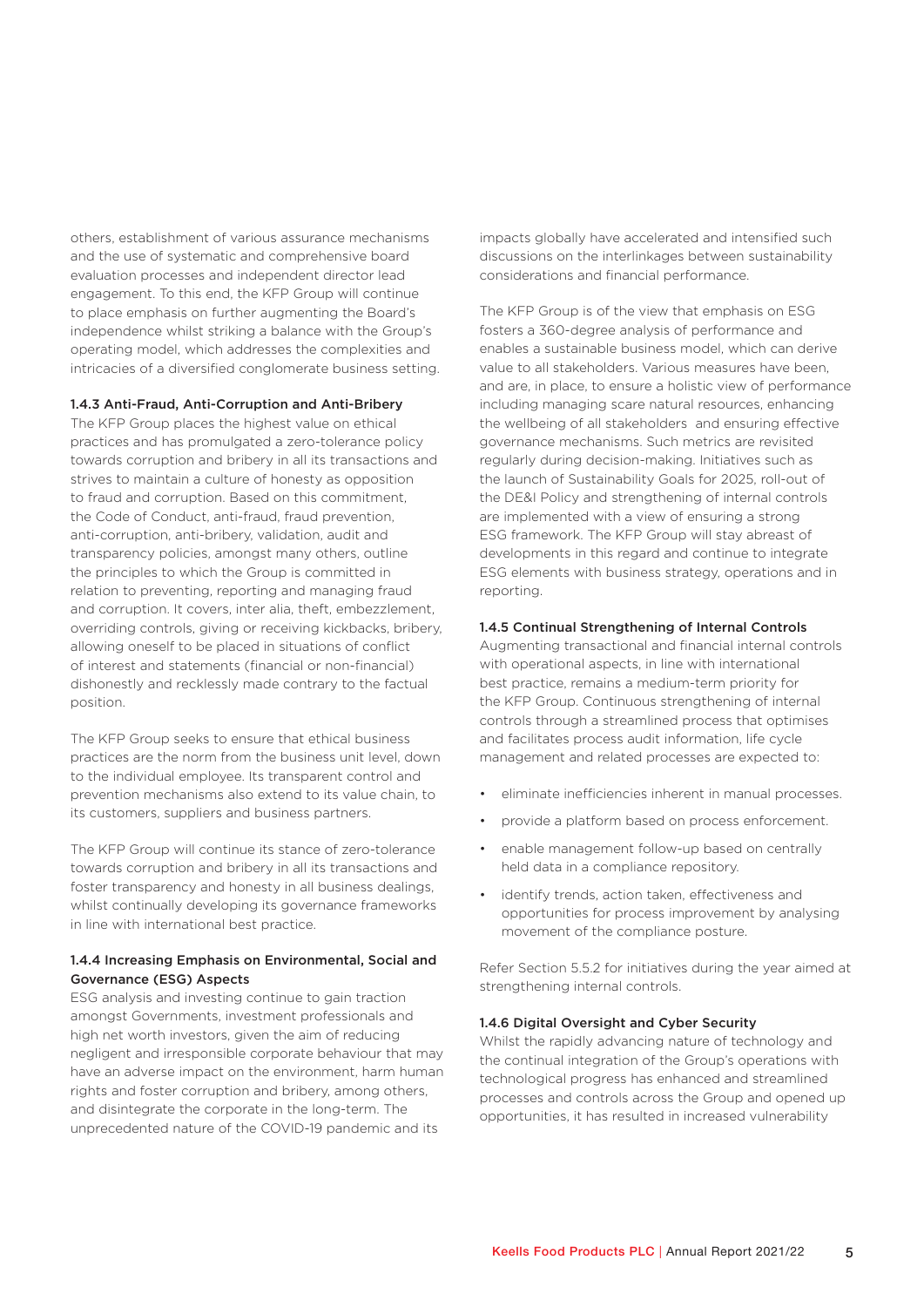others, establishment of various assurance mechanisms and the use of systematic and comprehensive board evaluation processes and independent director lead engagement. To this end, the KFP Group will continue to place emphasis on further augmenting the Board's independence whilst striking a balance with the Group's operating model, which addresses the complexities and intricacies of a diversified conglomerate business setting.

#### 1.4.3 Anti-Fraud, Anti-Corruption and Anti-Bribery

The KFP Group places the highest value on ethical practices and has promulgated a zero-tolerance policy towards corruption and bribery in all its transactions and strives to maintain a culture of honesty as opposition to fraud and corruption. Based on this commitment, the Code of Conduct, anti-fraud, fraud prevention, anti-corruption, anti-bribery, validation, audit and transparency policies, amongst many others, outline the principles to which the Group is committed in relation to preventing, reporting and managing fraud and corruption. It covers, inter alia, theft, embezzlement, overriding controls, giving or receiving kickbacks, bribery, allowing oneself to be placed in situations of conflict of interest and statements (financial or non-financial) dishonestly and recklessly made contrary to the factual position.

The KFP Group seeks to ensure that ethical business practices are the norm from the business unit level, down to the individual employee. Its transparent control and prevention mechanisms also extend to its value chain, to its customers, suppliers and business partners.

The KFP Group will continue its stance of zero-tolerance towards corruption and bribery in all its transactions and foster transparency and honesty in all business dealings, whilst continually developing its governance frameworks in line with international best practice.

### 1.4.4 Increasing Emphasis on Environmental, Social and Governance (ESG) Aspects

ESG analysis and investing continue to gain traction amongst Governments, investment professionals and high net worth investors, given the aim of reducing negligent and irresponsible corporate behaviour that may have an adverse impact on the environment, harm human rights and foster corruption and bribery, among others, and disintegrate the corporate in the long-term. The unprecedented nature of the COVID-19 pandemic and its

impacts globally have accelerated and intensified such discussions on the interlinkages between sustainability considerations and financial performance.

The KFP Group is of the view that emphasis on ESG fosters a 360-degree analysis of performance and enables a sustainable business model, which can derive value to all stakeholders. Various measures have been, and are, in place, to ensure a holistic view of performance including managing scare natural resources, enhancing the wellbeing of all stakeholders and ensuring effective governance mechanisms. Such metrics are revisited regularly during decision-making. Initiatives such as the launch of Sustainability Goals for 2025, roll-out of the DE&I Policy and strengthening of internal controls are implemented with a view of ensuring a strong ESG framework. The KFP Group will stay abreast of developments in this regard and continue to integrate ESG elements with business strategy, operations and in reporting.

#### 1.4.5 Continual Strengthening of Internal Controls

Augmenting transactional and financial internal controls with operational aspects, in line with international best practice, remains a medium-term priority for the KFP Group. Continuous strengthening of internal controls through a streamlined process that optimises and facilitates process audit information, life cycle management and related processes are expected to:

- eliminate inefficiencies inherent in manual processes.
- provide a platform based on process enforcement.
- enable management follow-up based on centrally held data in a compliance repository.
- identify trends, action taken, effectiveness and opportunities for process improvement by analysing movement of the compliance posture.

Refer Section 5.5.2 for initiatives during the year aimed at strengthening internal controls.

#### 1.4.6 Digital Oversight and Cyber Security

Whilst the rapidly advancing nature of technology and the continual integration of the Group's operations with technological progress has enhanced and streamlined processes and controls across the Group and opened up opportunities, it has resulted in increased vulnerability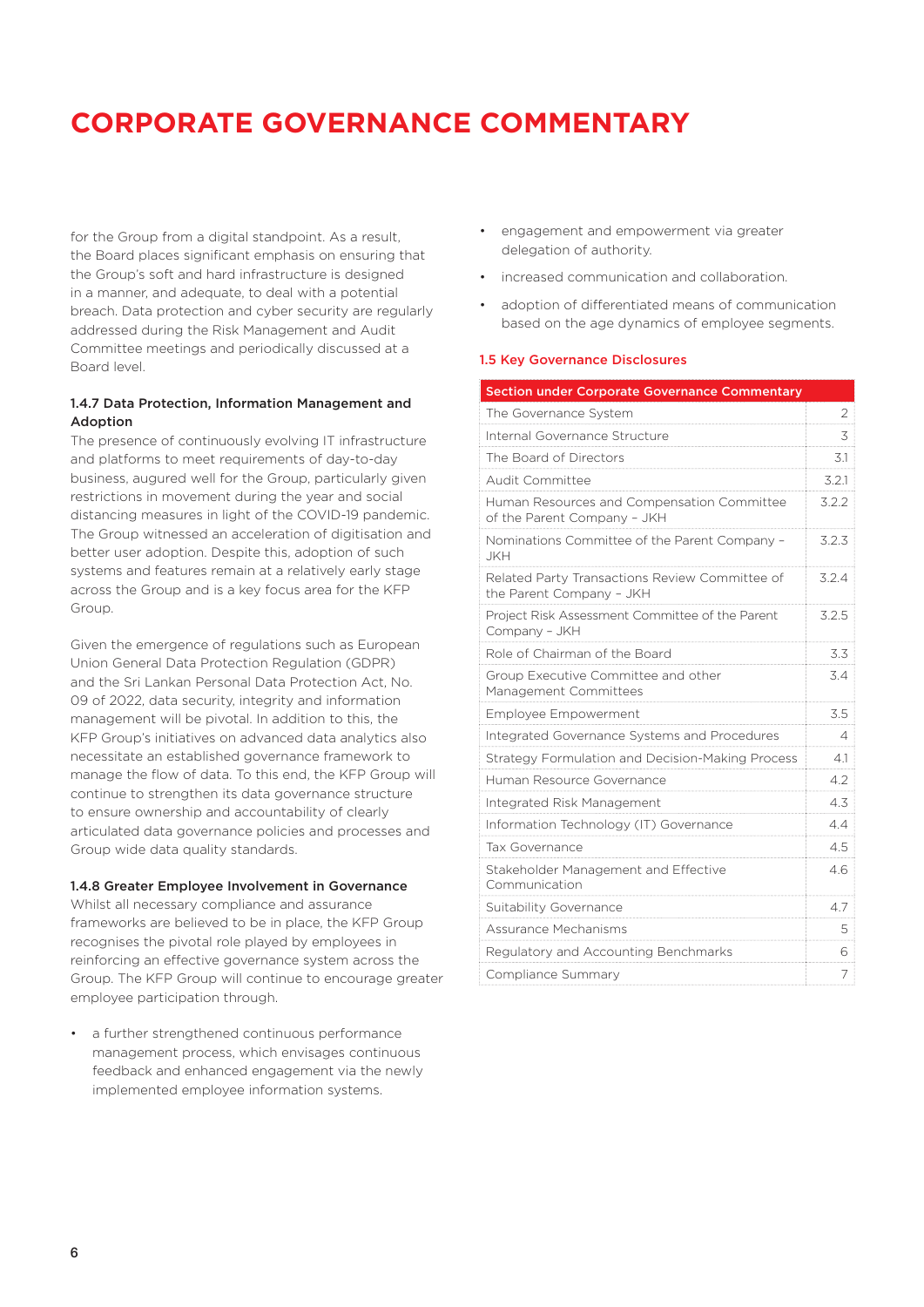for the Group from a digital standpoint. As a result, the Board places significant emphasis on ensuring that the Group's soft and hard infrastructure is designed in a manner, and adequate, to deal with a potential breach. Data protection and cyber security are regularly addressed during the Risk Management and Audit Committee meetings and periodically discussed at a Board level.

### 1.4.7 Data Protection, Information Management and Adoption

The presence of continuously evolving IT infrastructure and platforms to meet requirements of day-to-day business, augured well for the Group, particularly given restrictions in movement during the year and social distancing measures in light of the COVID-19 pandemic. The Group witnessed an acceleration of digitisation and better user adoption. Despite this, adoption of such systems and features remain at a relatively early stage across the Group and is a key focus area for the KFP Group.

Given the emergence of regulations such as European Union General Data Protection Regulation (GDPR) and the Sri Lankan Personal Data Protection Act, No. 09 of 2022, data security, integrity and information management will be pivotal. In addition to this, the KFP Group's initiatives on advanced data analytics also necessitate an established governance framework to manage the flow of data. To this end, the KFP Group will continue to strengthen its data governance structure to ensure ownership and accountability of clearly articulated data governance policies and processes and Group wide data quality standards.

### 1.4.8 Greater Employee Involvement in Governance

Whilst all necessary compliance and assurance frameworks are believed to be in place, the KFP Group recognises the pivotal role played by employees in reinforcing an effective governance system across the Group. The KFP Group will continue to encourage greater employee participation through.

• a further strengthened continuous performance management process, which envisages continuous feedback and enhanced engagement via the newly implemented employee information systems.

- engagement and empowerment via greater delegation of authority.
- increased communication and collaboration.
- adoption of differentiated means of communication based on the age dynamics of employee segments.

#### 1.5 Key Governance Disclosures

| <b>Section under Corporate Governance Commentary</b>                       |       |
|----------------------------------------------------------------------------|-------|
| The Governance System                                                      | 2     |
| Internal Governance Structure                                              | 3     |
| The Board of Directors                                                     | 3.1   |
| <b>Audit Committee</b>                                                     | 3.2.1 |
| Human Resources and Compensation Committee<br>of the Parent Company - JKH  | 3.2.2 |
| Nominations Committee of the Parent Company -<br>JKH                       | 3.2.3 |
| Related Party Transactions Review Committee of<br>the Parent Company - JKH | 3.2.4 |
| Project Risk Assessment Committee of the Parent<br>Company - JKH           | 3.2.5 |
| Role of Chairman of the Board                                              | 3.3   |
| Group Executive Committee and other<br>Management Committees               | 3.4   |
| Employee Empowerment                                                       | 3.5   |
| Integrated Governance Systems and Procedures                               | 4     |
| Strategy Formulation and Decision-Making Process                           | 4.1   |
| Human Resource Governance                                                  | 4.2   |
| Integrated Risk Management                                                 | 4.3   |
| Information Technology (IT) Governance                                     | 4.4   |
| Tax Governance                                                             | 4.5   |
| Stakeholder Management and Effective<br>Communication                      | 4.6   |
| Suitability Governance                                                     | 4.7   |
| Assurance Mechanisms                                                       | 5     |
| Regulatory and Accounting Benchmarks                                       | 6     |
| Compliance Summary                                                         | 7     |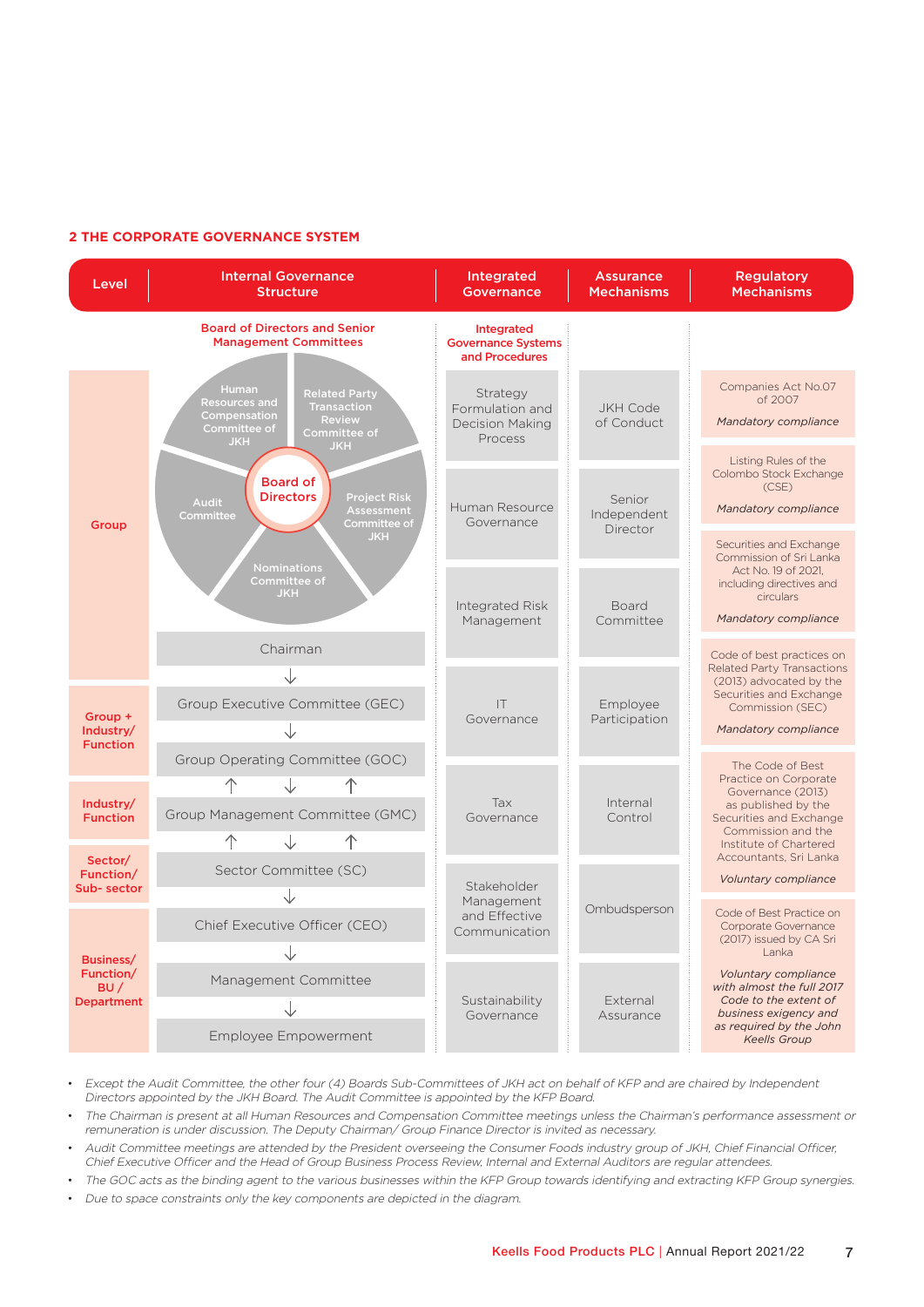### **2 THE CORPORATE GOVERNANCE SYSTEM**



• Except the Audit Committee, the other four (4) Boards Sub-Committees of JKH act on behalf of KFP and are chaired by Independent Directors appointed by the JKH Board. The Audit Committee is appointed by the KFP Board.

• The Chairman is present at all Human Resources and Compensation Committee meetings unless the Chairman's performance assessment or remuneration is under discussion. The Deputy Chairman/ Group Finance Director is invited as necessary.

• Audit Committee meetings are attended by the President overseeing the Consumer Foods industry group of JKH, Chief Financial Officer, Chief Executive Officer and the Head of Group Business Process Review, Internal and External Auditors are regular attendees.

• The GOC acts as the binding agent to the various businesses within the KFP Group towards identifying and extracting KFP Group synergies.

• Due to space constraints only the key components are depicted in the diagram.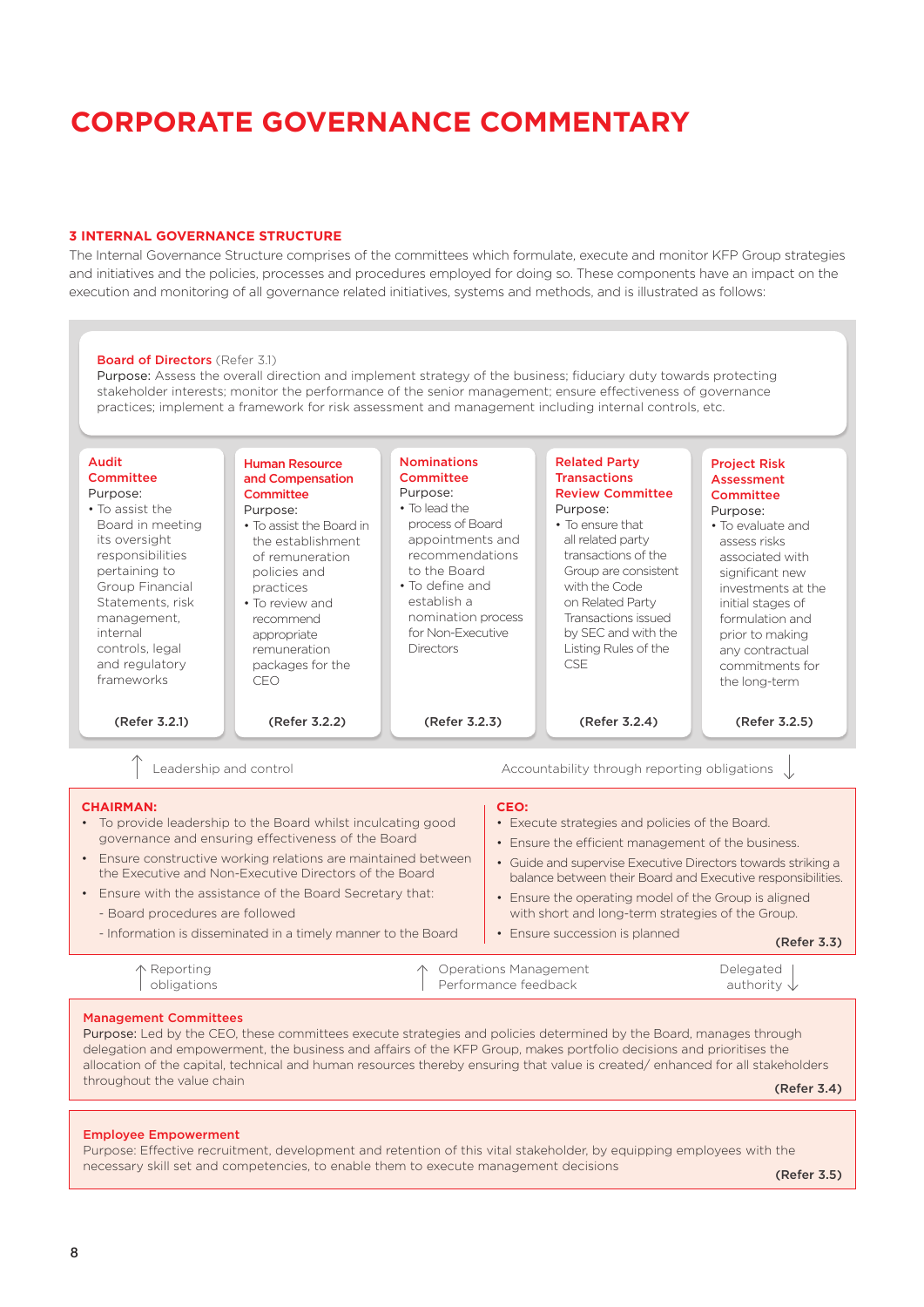#### **3 INTERNAL GOVERNANCE STRUCTURE**

The Internal Governance Structure comprises of the committees which formulate, execute and monitor KFP Group strategies and initiatives and the policies, processes and procedures employed for doing so. These components have an impact on the execution and monitoring of all governance related initiatives, systems and methods, and is illustrated as follows:

#### Management Committees Purpose: Led by the CEO, these committees execute strategies and policies determined by the Board, manages through Leadership and control Delegated authority  $\downarrow$ Operations Management Performance feedback Reporting obligations Accountability through reporting obligations Audit **Committee** Purpose: • To assist the Board in meeting its oversight responsibilities pertaining to Group Financial Statements, risk management, internal controls, legal and regulatory frameworks Human Resource and Compensation Committee Purpose: • To assist the Board in the establishment of remuneration policies and practices • To review and recommend appropriate remuneration packages for the CEO Nominations **Committee** Purpose: • To lead the process of Board appointments and recommendations to the Board • To define and establish a nomination process for Non-Executive **Directors** Related Party **Transactions** Review Committee Purpose: • To ensure that all related party transactions of the Group are consistent with the Code on Related Party Transactions issued by SEC and with the Listing Rules of the **CSE** Project Risk Assessment **Committee** Purpose: • To evaluate and assess risks associated with significant new investments at the initial stages of formulation and prior to making any contractual commitments for the long-term Board of Directors (Refer 3.1) Purpose: Assess the overall direction and implement strategy of the business; fiduciary duty towards protecting stakeholder interests; monitor the performance of the senior management; ensure effectiveness of governance practices; implement a framework for risk assessment and management including internal controls, etc. **CHAIRMAN:** • To provide leadership to the Board whilst inculcating good governance and ensuring effectiveness of the Board • Ensure constructive working relations are maintained between the Executive and Non-Executive Directors of the Board • Ensure with the assistance of the Board Secretary that: - Board procedures are followed - Information is disseminated in a timely manner to the Board **CEO:**  • Execute strategies and policies of the Board. • Ensure the efficient management of the business. • Guide and supervise Executive Directors towards striking a balance between their Board and Executive responsibilities. • Ensure the operating model of the Group is aligned with short and long-term strategies of the Group. • Ensure succession is planned (Refer 3.2.1) (Refer 3.2.2) (Refer 3.3) (Refer 3.2.3) (Refer 3.2.4) (Refer 3.2.5)

delegation and empowerment, the business and affairs of the KFP Group, makes portfolio decisions and prioritises the allocation of the capital, technical and human resources thereby ensuring that value is created/ enhanced for all stakeholders throughout the value chain

(Refer 3.4)

#### Employee Empowerment

Purpose: Effective recruitment, development and retention of this vital stakeholder, by equipping employees with the necessary skill set and competencies, to enable them to execute management decisions

(Refer 3.5)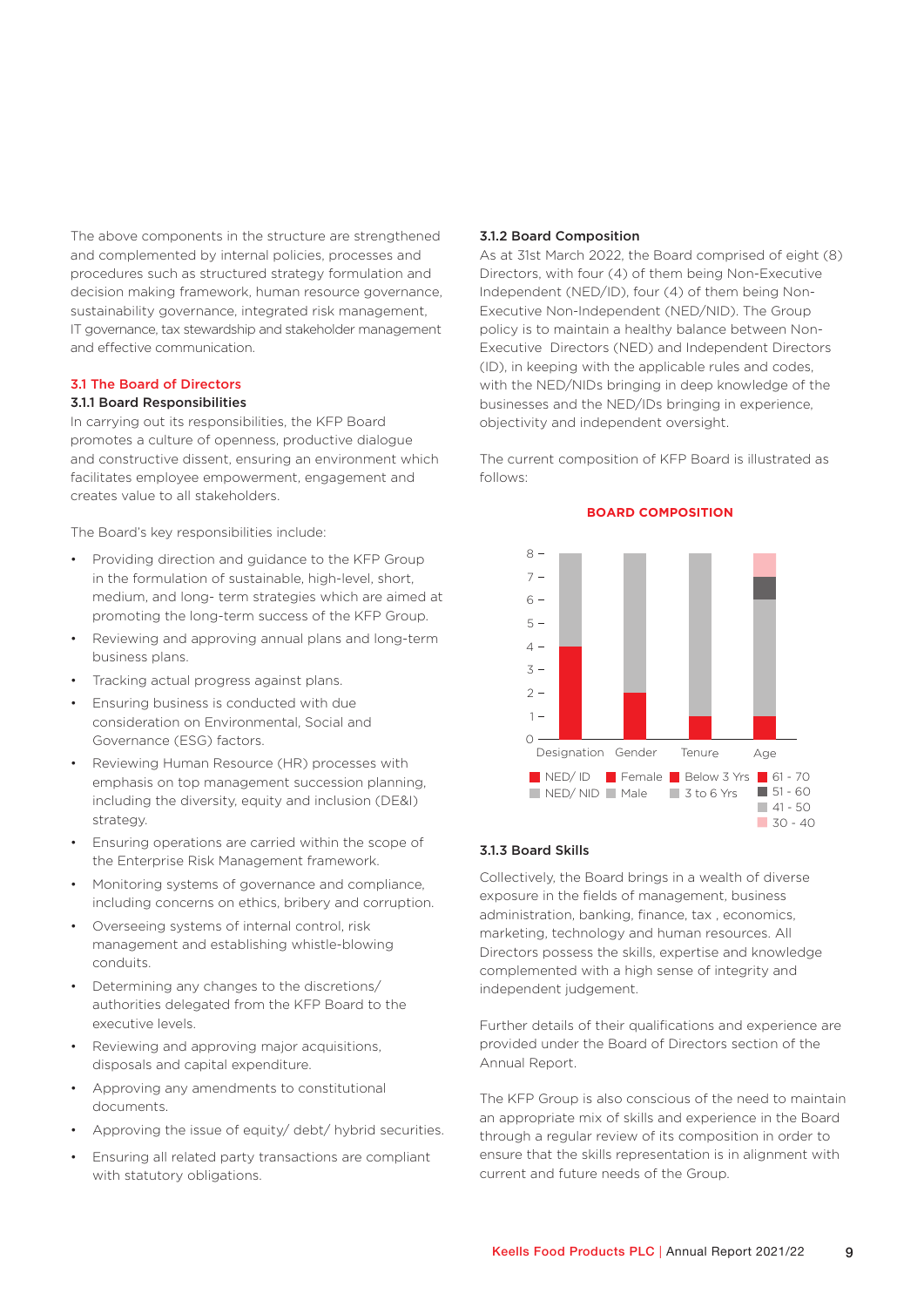The above components in the structure are strengthened and complemented by internal policies, processes and procedures such as structured strategy formulation and decision making framework, human resource governance, sustainability governance, integrated risk management, IT governance, tax stewardship and stakeholder management and effective communication.

#### 3.1 The Board of Directors

#### 3.1.1 Board Responsibilities

In carrying out its responsibilities, the KFP Board promotes a culture of openness, productive dialogue and constructive dissent, ensuring an environment which facilitates employee empowerment, engagement and creates value to all stakeholders.

The Board's key responsibilities include:

- Providing direction and guidance to the KFP Group in the formulation of sustainable, high-level, short, medium, and long- term strategies which are aimed at promoting the long-term success of the KFP Group.
- Reviewing and approving annual plans and long-term business plans.
- Tracking actual progress against plans.
- Ensuring business is conducted with due consideration on Environmental, Social and Governance (ESG) factors.
- Reviewing Human Resource (HR) processes with emphasis on top management succession planning, including the diversity, equity and inclusion (DE&I) strategy.
- Ensuring operations are carried within the scope of the Enterprise Risk Management framework.
- Monitoring systems of governance and compliance, including concerns on ethics, bribery and corruption.
- Overseeing systems of internal control, risk management and establishing whistle-blowing conduits.
- Determining any changes to the discretions/ authorities delegated from the KFP Board to the executive levels.
- Reviewing and approving major acquisitions, disposals and capital expenditure.
- Approving any amendments to constitutional documents.
- Approving the issue of equity/ debt/ hybrid securities.
- Ensuring all related party transactions are compliant with statutory obligations.

#### 3.1.2 Board Composition

As at 31st March 2022, the Board comprised of eight (8) Directors, with four (4) of them being Non-Executive Independent (NED/ID), four (4) of them being Non-Executive Non-Independent (NED/NID). The Group policy is to maintain a healthy balance between Non-Executive Directors (NED) and Independent Directors (ID), in keeping with the applicable rules and codes, with the NED/NIDs bringing in deep knowledge of the businesses and the NED/IDs bringing in experience, objectivity and independent oversight.

The current composition of KFP Board is illustrated as  $f \circ \text{I} \circ \text{I} \circ \text{I}$ 



**BOARD COMPOSITION**

#### 3.1.3 Board Skills

Collectively, the Board brings in a wealth of diverse exposure in the fields of management, business administration, banking, finance, tax , economics, marketing, technology and human resources. All Directors possess the skills, expertise and knowledge complemented with a high sense of integrity and independent judgement.

Further details of their qualifications and experience are provided under the Board of Directors section of the Annual Report.

The KFP Group is also conscious of the need to maintain an appropriate mix of skills and experience in the Board through a regular review of its composition in order to ensure that the skills representation is in alignment with current and future needs of the Group.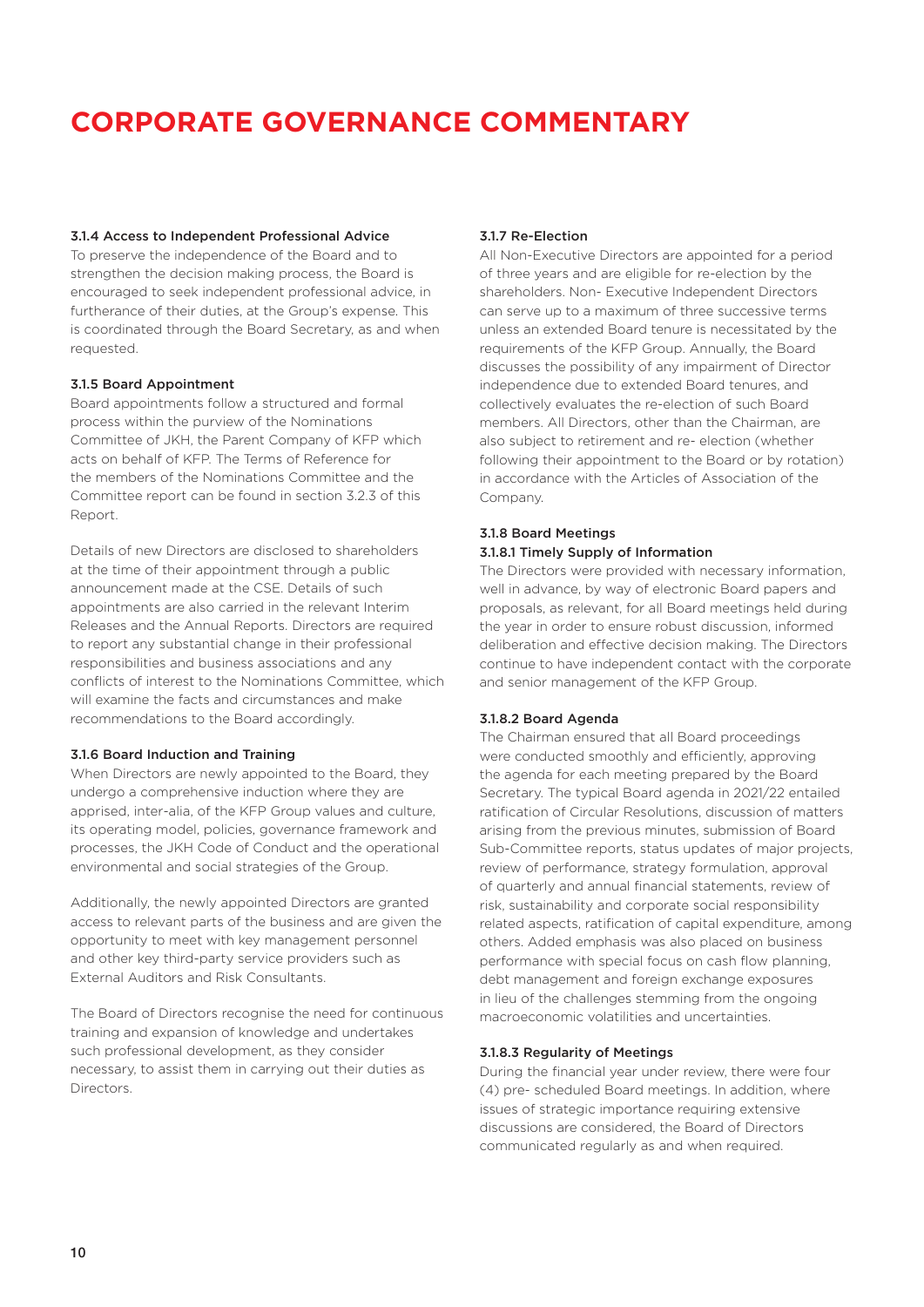### 3.1.4 Access to Independent Professional Advice

To preserve the independence of the Board and to strengthen the decision making process, the Board is encouraged to seek independent professional advice, in furtherance of their duties, at the Group's expense. This is coordinated through the Board Secretary, as and when requested.

#### 3.1.5 Board Appointment

Board appointments follow a structured and formal process within the purview of the Nominations Committee of JKH, the Parent Company of KFP which acts on behalf of KFP. The Terms of Reference for the members of the Nominations Committee and the Committee report can be found in section 3.2.3 of this Report.

Details of new Directors are disclosed to shareholders at the time of their appointment through a public announcement made at the CSE. Details of such appointments are also carried in the relevant Interim Releases and the Annual Reports. Directors are required to report any substantial change in their professional responsibilities and business associations and any conflicts of interest to the Nominations Committee, which will examine the facts and circumstances and make recommendations to the Board accordingly.

#### 3.1.6 Board Induction and Training

When Directors are newly appointed to the Board, they undergo a comprehensive induction where they are apprised, inter-alia, of the KFP Group values and culture, its operating model, policies, governance framework and processes, the JKH Code of Conduct and the operational environmental and social strategies of the Group.

Additionally, the newly appointed Directors are granted access to relevant parts of the business and are given the opportunity to meet with key management personnel and other key third-party service providers such as External Auditors and Risk Consultants.

The Board of Directors recognise the need for continuous training and expansion of knowledge and undertakes such professional development, as they consider necessary, to assist them in carrying out their duties as Directors.

#### 3.1.7 Re-Election

All Non-Executive Directors are appointed for a period of three years and are eligible for re-election by the shareholders. Non- Executive Independent Directors can serve up to a maximum of three successive terms unless an extended Board tenure is necessitated by the requirements of the KFP Group. Annually, the Board discusses the possibility of any impairment of Director independence due to extended Board tenures, and collectively evaluates the re-election of such Board members. All Directors, other than the Chairman, are also subject to retirement and re- election (whether following their appointment to the Board or by rotation) in accordance with the Articles of Association of the Company.

#### 3.1.8 Board Meetings 3.1.8.1 Timely Supply of Information

The Directors were provided with necessary information, well in advance, by way of electronic Board papers and proposals, as relevant, for all Board meetings held during the year in order to ensure robust discussion, informed deliberation and effective decision making. The Directors continue to have independent contact with the corporate and senior management of the KFP Group.

#### 3.1.8.2 Board Agenda

The Chairman ensured that all Board proceedings were conducted smoothly and efficiently, approving the agenda for each meeting prepared by the Board Secretary. The typical Board agenda in 2021/22 entailed ratification of Circular Resolutions, discussion of matters arising from the previous minutes, submission of Board Sub-Committee reports, status updates of major projects, review of performance, strategy formulation, approval of quarterly and annual financial statements, review of risk, sustainability and corporate social responsibility related aspects, ratification of capital expenditure, among others. Added emphasis was also placed on business performance with special focus on cash flow planning, debt management and foreign exchange exposures in lieu of the challenges stemming from the ongoing macroeconomic volatilities and uncertainties.

#### 3.1.8.3 Regularity of Meetings

During the financial year under review, there were four (4) pre- scheduled Board meetings. In addition, where issues of strategic importance requiring extensive discussions are considered, the Board of Directors communicated regularly as and when required.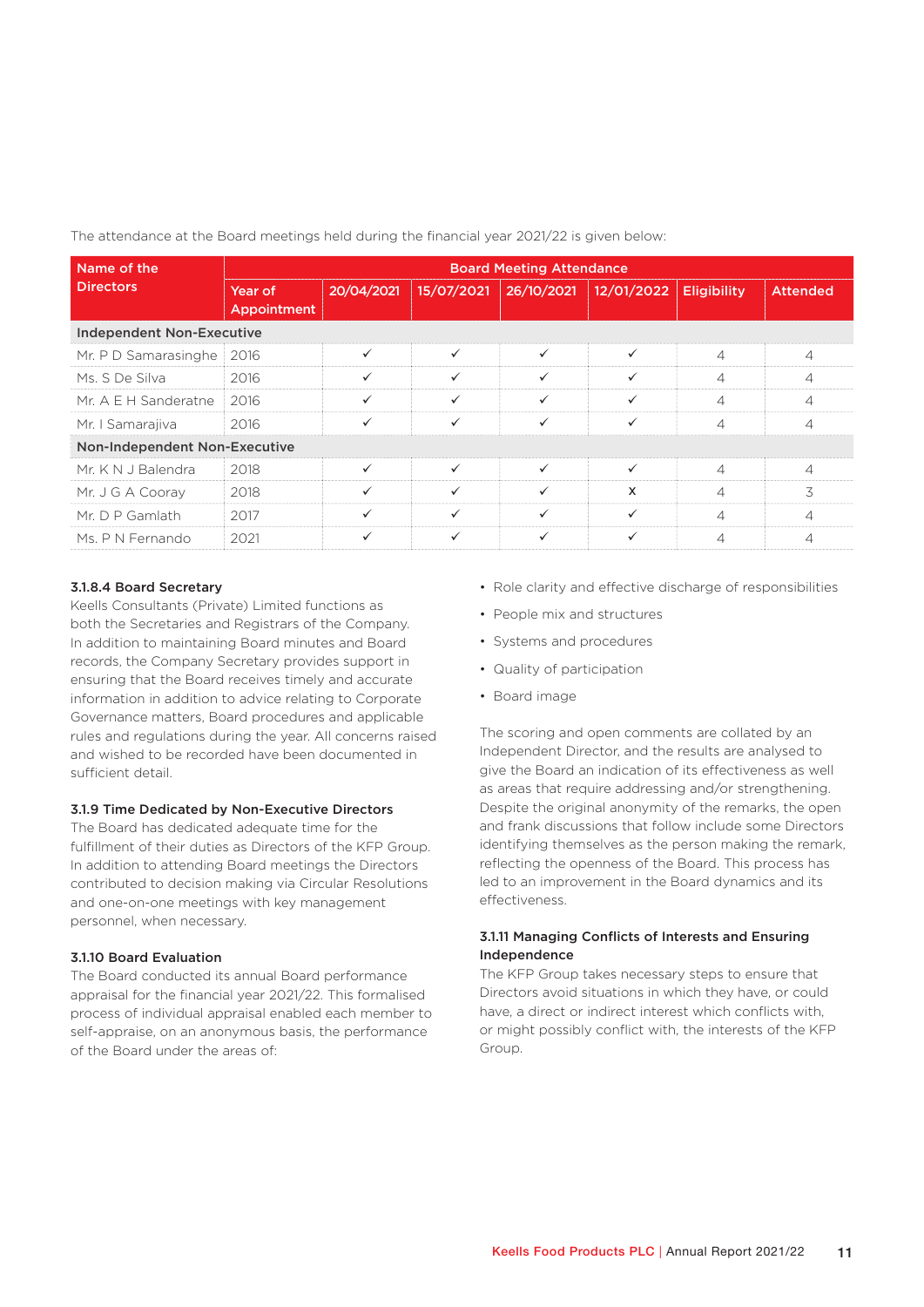| Name of the                      | <b>Board Meeting Attendance</b> |              |              |              |              |                    |                 |
|----------------------------------|---------------------------------|--------------|--------------|--------------|--------------|--------------------|-----------------|
| <b>Directors</b>                 | Year of<br><b>Appointment</b>   | 20/04/2021   | 15/07/2021   | 26/10/2021   | 12/01/2022   | <b>Eligibility</b> | <b>Attended</b> |
| <b>Independent Non-Executive</b> |                                 |              |              |              |              |                    |                 |
| Mr. P D Samarasinghe             | 2016                            | ✓            | $\checkmark$ | ✓            | ✓            | 4                  | $\overline{4}$  |
| Ms. S De Silva                   | 2016                            | ✓            | $\checkmark$ | ✓            | ✓            | 4                  | $\overline{4}$  |
| Mr. A E H Sanderatne             | 2016                            | ✓            | $\checkmark$ | ✓            |              | 4                  | $\overline{4}$  |
| Mr. I Samarajiva                 | 2016                            | $\checkmark$ | ✓            | ✓            | $\checkmark$ | $\overline{4}$     | 4               |
| Non-Independent Non-Executive    |                                 |              |              |              |              |                    |                 |
| Mr. K N J Balendra               | 2018                            | $\checkmark$ | ✓            | $\checkmark$ |              | 4                  | $\overline{4}$  |
| Mr. J G A Cooray                 | 2018                            | ✓            | ✓            | ✓            | X            | 4                  | 3               |
| Mr. D P Gamlath                  | 2017                            | ✓            | $\checkmark$ | ✓            | ✓            | 4                  | $\overline{4}$  |
| Ms. P N Fernando                 | 2021                            | ✓            | $\checkmark$ |              |              |                    | 4               |

The attendance at the Board meetings held during the financial year 2021/22 is given below:

#### 3.1.8.4 Board Secretary

Keells Consultants (Private) Limited functions as both the Secretaries and Registrars of the Company. In addition to maintaining Board minutes and Board records, the Company Secretary provides support in ensuring that the Board receives timely and accurate information in addition to advice relating to Corporate Governance matters, Board procedures and applicable rules and regulations during the year. All concerns raised and wished to be recorded have been documented in sufficient detail.

#### 3.1.9 Time Dedicated by Non-Executive Directors

The Board has dedicated adequate time for the fulfillment of their duties as Directors of the KFP Group. In addition to attending Board meetings the Directors contributed to decision making via Circular Resolutions and one-on-one meetings with key management personnel, when necessary.

#### 3.1.10 Board Evaluation

The Board conducted its annual Board performance appraisal for the financial year 2021/22. This formalised process of individual appraisal enabled each member to self-appraise, on an anonymous basis, the performance of the Board under the areas of:

- Role clarity and effective discharge of responsibilities
- People mix and structures
- Systems and procedures
- Quality of participation
- Board image

The scoring and open comments are collated by an Independent Director, and the results are analysed to give the Board an indication of its effectiveness as well as areas that require addressing and/or strengthening. Despite the original anonymity of the remarks, the open and frank discussions that follow include some Directors identifying themselves as the person making the remark, reflecting the openness of the Board. This process has led to an improvement in the Board dynamics and its effectiveness.

#### 3.1.11 Managing Conflicts of Interests and Ensuring Independence

The KFP Group takes necessary steps to ensure that Directors avoid situations in which they have, or could have, a direct or indirect interest which conflicts with, or might possibly conflict with, the interests of the KFP Group.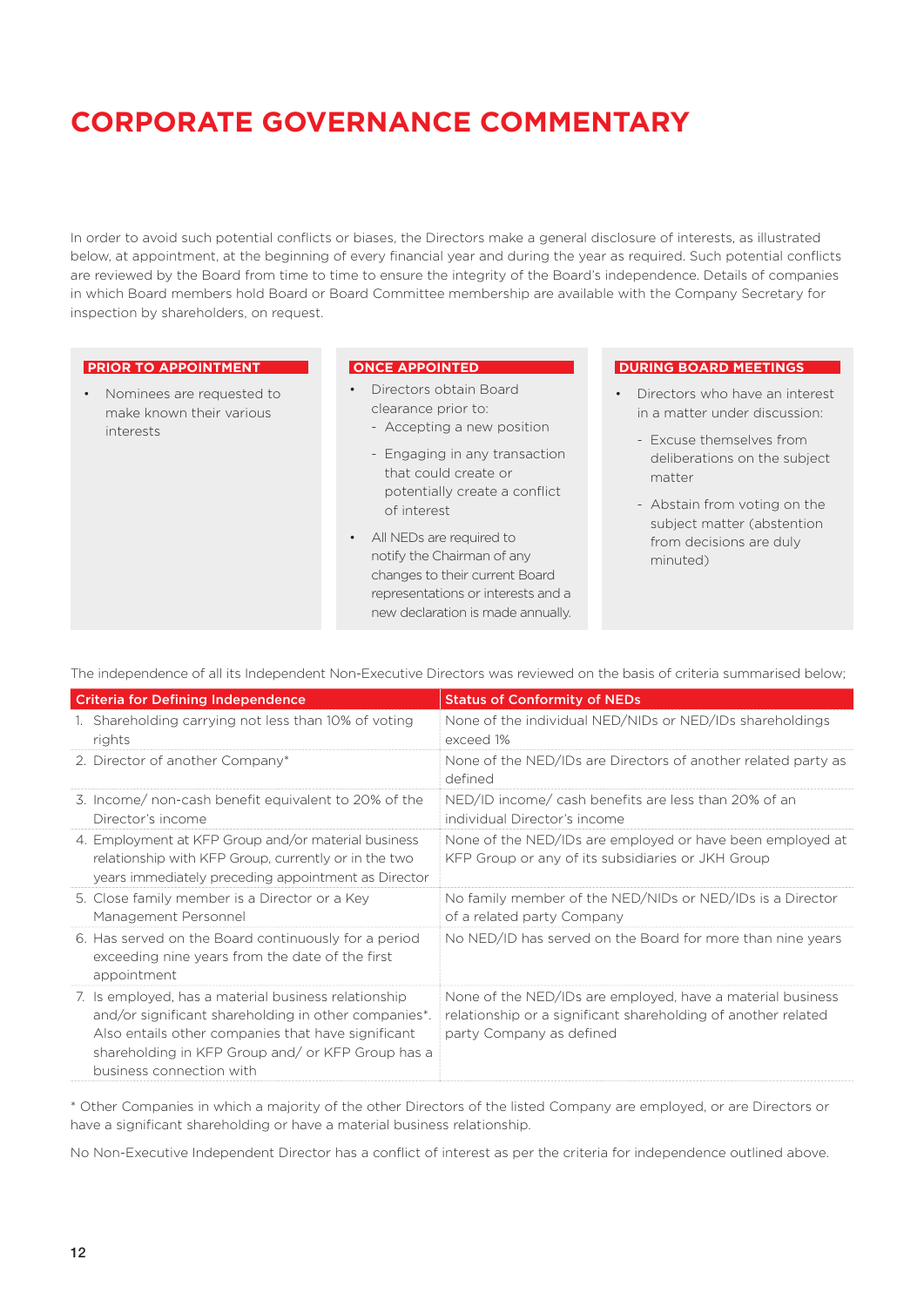In order to avoid such potential conflicts or biases, the Directors make a general disclosure of interests, as illustrated below, at appointment, at the beginning of every financial year and during the year as required. Such potential conflicts are reviewed by the Board from time to time to ensure the integrity of the Board's independence. Details of companies in which Board members hold Board or Board Committee membership are available with the Company Secretary for inspection by shareholders, on request.

#### **PRIOR TO APPOINTMENT**

• Nominees are requested to make known their various interests

#### **ONCE APPOINTED**

- Directors obtain Board clearance prior to:
	- Accepting a new position
	- Engaging in any transaction that could create or potentially create a conflict of interest
- All NEDs are required to notify the Chairman of any changes to their current Board representations or interests and a new declaration is made annually.

#### **DURING BOARD MEETINGS**

- Directors who have an interest in a matter under discussion:
	- Excuse themselves from deliberations on the subject matter
	- Abstain from voting on the subject matter (abstention from decisions are duly minuted)

The independence of all its Independent Non-Executive Directors was reviewed on the basis of criteria summarised below;

| <b>Criteria for Defining Independence</b>                                                                                                                                                                                                           | <b>Status of Conformity of NEDs</b>                                                                                                                     |
|-----------------------------------------------------------------------------------------------------------------------------------------------------------------------------------------------------------------------------------------------------|---------------------------------------------------------------------------------------------------------------------------------------------------------|
| 1. Shareholding carrying not less than 10% of voting<br>rights                                                                                                                                                                                      | None of the individual NED/NIDs or NED/IDs shareholdings<br>exceed 1%                                                                                   |
| 2. Director of another Company*                                                                                                                                                                                                                     | None of the NED/IDs are Directors of another related party as<br>defined                                                                                |
| 3. Income/ non-cash benefit equivalent to 20% of the<br>Director's income                                                                                                                                                                           | NED/ID income/ cash benefits are less than 20% of an<br>individual Director's income                                                                    |
| 4. Employment at KFP Group and/or material business<br>relationship with KFP Group, currently or in the two<br>years immediately preceding appointment as Director                                                                                  | None of the NED/IDs are employed or have been employed at<br>KFP Group or any of its subsidiaries or JKH Group                                          |
| 5. Close family member is a Director or a Key<br>Management Personnel                                                                                                                                                                               | No family member of the NED/NIDs or NED/IDs is a Director<br>of a related party Company                                                                 |
| 6. Has served on the Board continuously for a period<br>exceeding nine years from the date of the first<br>appointment                                                                                                                              | No NED/ID has served on the Board for more than nine years                                                                                              |
| 7. Is employed, has a material business relationship<br>and/or significant shareholding in other companies*.<br>Also entails other companies that have significant<br>shareholding in KFP Group and/ or KFP Group has a<br>business connection with | None of the NED/IDs are employed, have a material business<br>relationship or a significant shareholding of another related<br>party Company as defined |

\* Other Companies in which a majority of the other Directors of the listed Company are employed, or are Directors or have a significant shareholding or have a material business relationship.

No Non-Executive Independent Director has a conflict of interest as per the criteria for independence outlined above.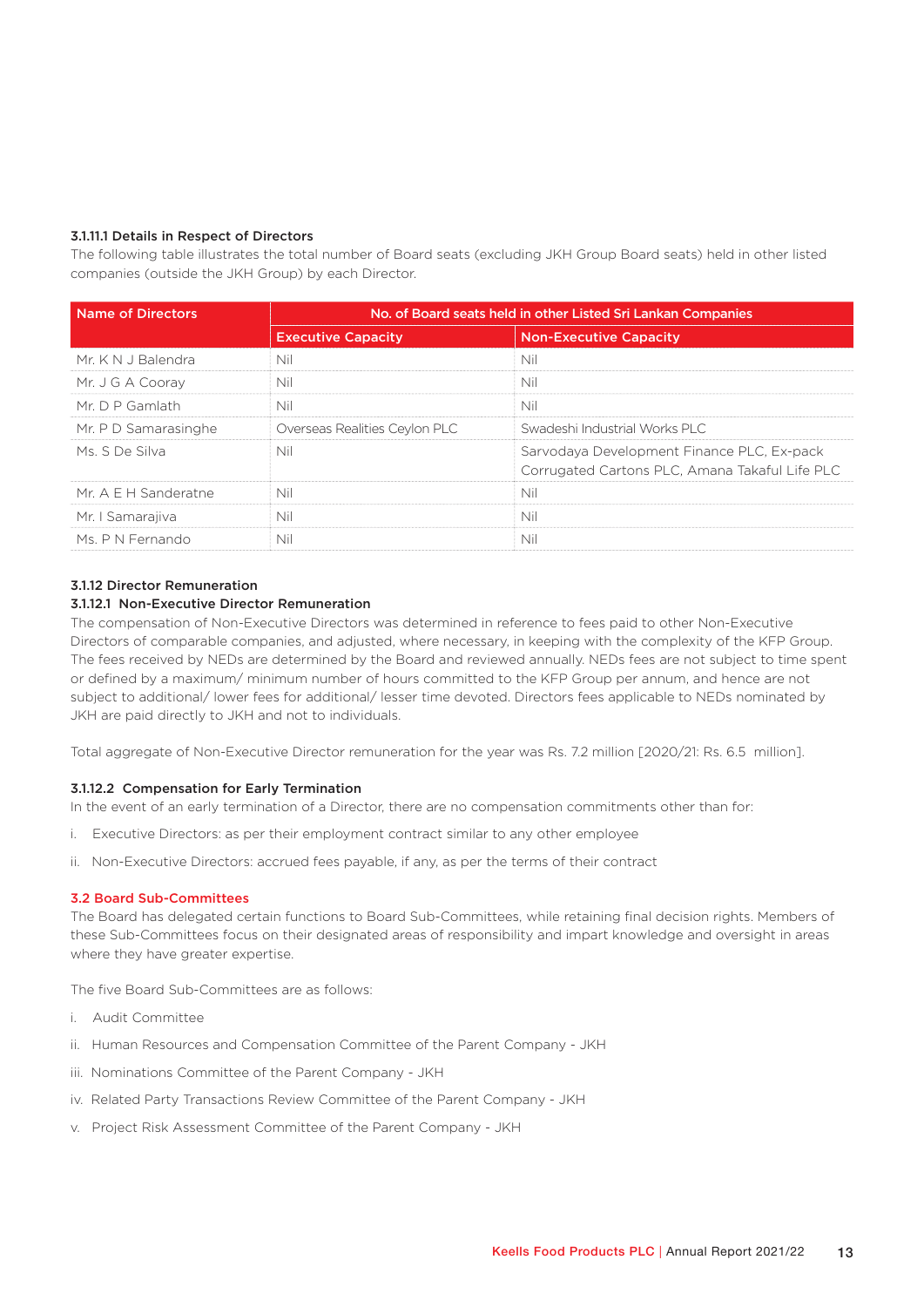#### 3.1.11.1 Details in Respect of Directors

The following table illustrates the total number of Board seats (excluding JKH Group Board seats) held in other listed companies (outside the JKH Group) by each Director.

| <b>Name of Directors</b> | No. of Board seats held in other Listed Sri Lankan Companies |                                                                                              |  |
|--------------------------|--------------------------------------------------------------|----------------------------------------------------------------------------------------------|--|
|                          | <b>Executive Capacity</b>                                    | <b>Non-Executive Capacity</b>                                                                |  |
| Mr. K N J Balendra       | Nil                                                          | Nil                                                                                          |  |
| Mr. J G A Cooray         | Nil                                                          | Nil                                                                                          |  |
| Mr. $D P$ Gamlath        | Nil<br>Nil                                                   |                                                                                              |  |
| Mr. P D Samarasinghe     | Overseas Realities Ceylon PLC                                | Swadeshi Industrial Works PLC                                                                |  |
| Ms. S De Silva           | Nil                                                          | Sarvodaya Development Finance PLC, Ex-pack<br>Corrugated Cartons PLC, Amana Takaful Life PLC |  |
| Mr. A E H Sanderatne     | Nil                                                          | Nil                                                                                          |  |
| Mr. I Samarajiva         | Nil                                                          | Nil                                                                                          |  |
| Ms. P N Fernando         | Nil                                                          | Nil                                                                                          |  |

#### 3.1.12 Director Remuneration

#### 3.1.12.1 Non-Executive Director Remuneration

The compensation of Non-Executive Directors was determined in reference to fees paid to other Non-Executive Directors of comparable companies, and adjusted, where necessary, in keeping with the complexity of the KFP Group. The fees received by NEDs are determined by the Board and reviewed annually. NEDs fees are not subject to time spent or defined by a maximum/ minimum number of hours committed to the KFP Group per annum, and hence are not subject to additional/ lower fees for additional/ lesser time devoted. Directors fees applicable to NEDs nominated by JKH are paid directly to JKH and not to individuals.

Total aggregate of Non-Executive Director remuneration for the year was Rs. 7.2 million [2020/21: Rs. 6.5 million].

#### 3.1.12.2 Compensation for Early Termination

In the event of an early termination of a Director, there are no compensation commitments other than for:

- i. Executive Directors: as per their employment contract similar to any other employee
- ii. Non-Executive Directors: accrued fees payable, if any, as per the terms of their contract

#### 3.2 Board Sub-Committees

The Board has delegated certain functions to Board Sub-Committees, while retaining final decision rights. Members of these Sub-Committees focus on their designated areas of responsibility and impart knowledge and oversight in areas where they have greater expertise.

The five Board Sub-Committees are as follows:

- i. Audit Committee
- ii. Human Resources and Compensation Committee of the Parent Company JKH
- iii. Nominations Committee of the Parent Company JKH
- iv. Related Party Transactions Review Committee of the Parent Company JKH
- v. Project Risk Assessment Committee of the Parent Company JKH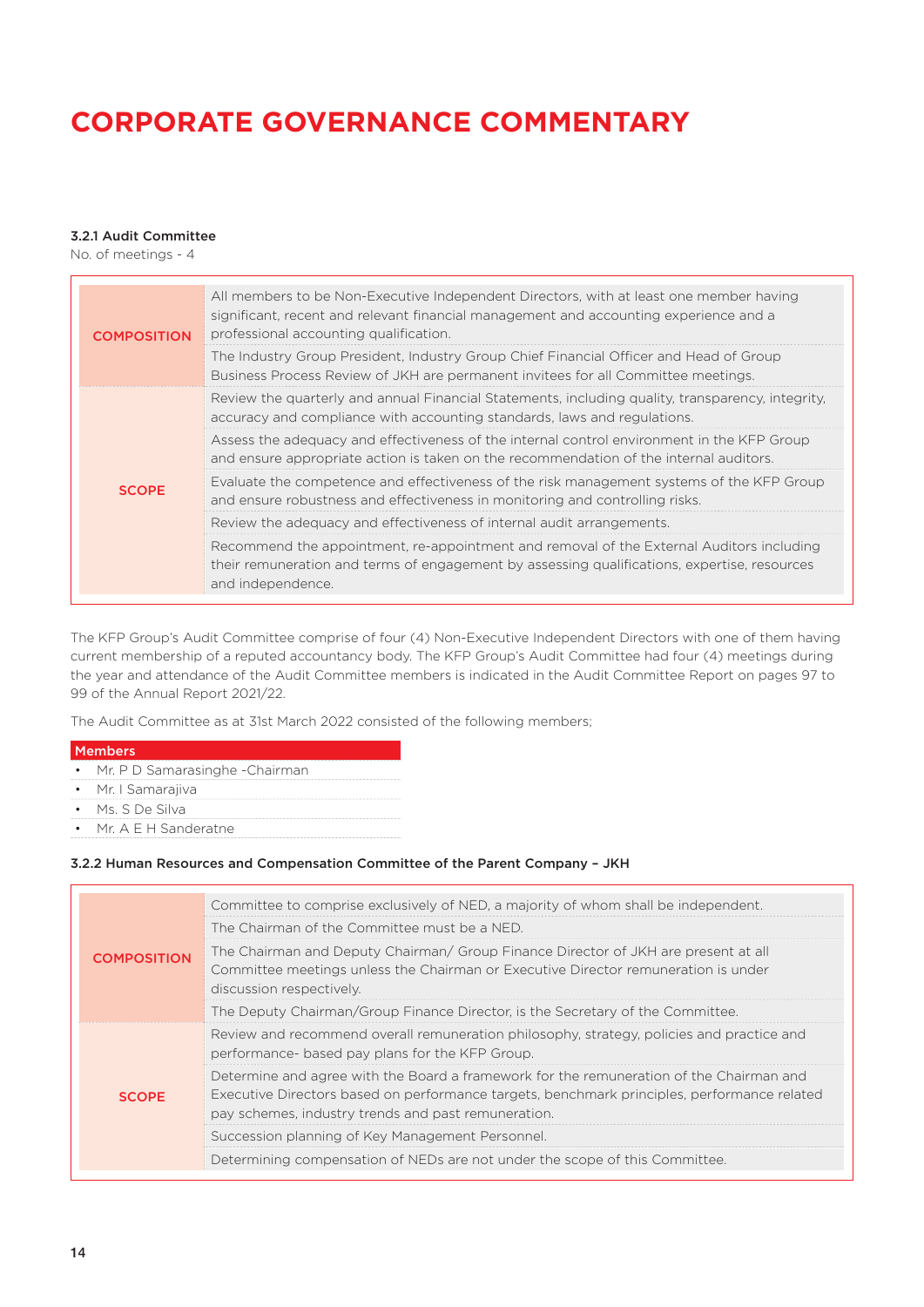### 3.2.1 Audit Committee

No. of meetings - 4

| <b>COMPOSITION</b> | All members to be Non-Executive Independent Directors, with at least one member having<br>significant, recent and relevant financial management and accounting experience and a<br>professional accounting qualification. |
|--------------------|---------------------------------------------------------------------------------------------------------------------------------------------------------------------------------------------------------------------------|
|                    | The Industry Group President, Industry Group Chief Financial Officer and Head of Group<br>Business Process Review of JKH are permanent invitees for all Committee meetings.                                               |
|                    | Review the quarterly and annual Financial Statements, including quality, transparency, integrity,<br>accuracy and compliance with accounting standards, laws and regulations.                                             |
|                    | Assess the adequacy and effectiveness of the internal control environment in the KFP Group<br>and ensure appropriate action is taken on the recommendation of the internal auditors.                                      |
| <b>SCOPE</b>       | Evaluate the competence and effectiveness of the risk management systems of the KFP Group<br>and ensure robustness and effectiveness in monitoring and controlling risks.                                                 |
|                    | Review the adequacy and effectiveness of internal audit arrangements.                                                                                                                                                     |
|                    | Recommend the appointment, re-appointment and removal of the External Auditors including<br>their remuneration and terms of engagement by assessing qualifications, expertise, resources<br>and independence.             |

The KFP Group's Audit Committee comprise of four (4) Non-Executive Independent Directors with one of them having current membership of a reputed accountancy body. The KFP Group's Audit Committee had four (4) meetings during the year and attendance of the Audit Committee members is indicated in the Audit Committee Report on pages 97 to 99 of the Annual Report 2021/22.

The Audit Committee as at 31st March 2022 consisted of the following members;

| Members |                                              |  |
|---------|----------------------------------------------|--|
|         | $M_{\nu} \cap \cap C$ concernationals $\cap$ |  |

- Mr. P D Samarasinghe -Chairman
- Mr. I Samarajiva
- Ms. S De Silva
- Mr. A E H Sanderatne

### 3.2.2 Human Resources and Compensation Committee of the Parent Company – JKH

|                                                                                                                                                                                                                            | Committee to comprise exclusively of NED, a majority of whom shall be independent.                                                                                                                                                            |
|----------------------------------------------------------------------------------------------------------------------------------------------------------------------------------------------------------------------------|-----------------------------------------------------------------------------------------------------------------------------------------------------------------------------------------------------------------------------------------------|
|                                                                                                                                                                                                                            | The Chairman of the Committee must be a NED.                                                                                                                                                                                                  |
| The Chairman and Deputy Chairman/ Group Finance Director of JKH are present at all<br><b>COMPOSITION</b><br>Committee meetings unless the Chairman or Executive Director remuneration is under<br>discussion respectively. |                                                                                                                                                                                                                                               |
|                                                                                                                                                                                                                            | The Deputy Chairman/Group Finance Director, is the Secretary of the Committee.                                                                                                                                                                |
|                                                                                                                                                                                                                            | Review and recommend overall remuneration philosophy, strategy, policies and practice and<br>performance- based pay plans for the KFP Group.                                                                                                  |
| <b>SCOPE</b>                                                                                                                                                                                                               | Determine and agree with the Board a framework for the remuneration of the Chairman and<br>Executive Directors based on performance targets, benchmark principles, performance related<br>pay schemes, industry trends and past remuneration. |
| Succession planning of Key Management Personnel.                                                                                                                                                                           |                                                                                                                                                                                                                                               |
|                                                                                                                                                                                                                            | Determining compensation of NEDs are not under the scope of this Committee.                                                                                                                                                                   |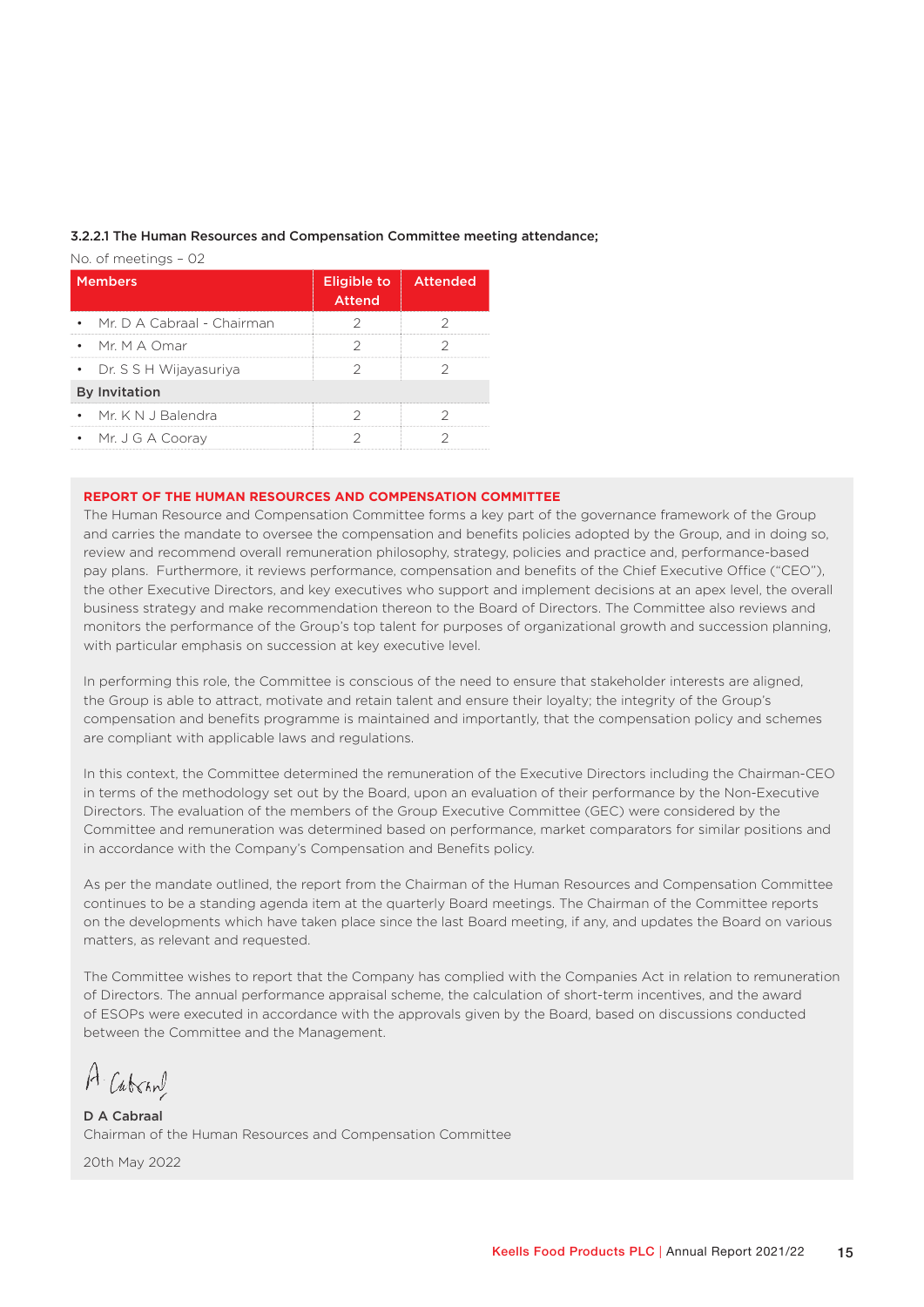#### 3.2.2.1 The Human Resources and Compensation Committee meeting attendance;

No. of meetings – 02

| <b>Members</b>               | Eligible to Attended<br><b>Attend</b> |  |
|------------------------------|---------------------------------------|--|
| • Mr. D A Cabraal - Chairman |                                       |  |
| • Mr. M A Omar               |                                       |  |
| • Dr. S S H Wijayasuriya     |                                       |  |
| <b>By Invitation</b>         |                                       |  |
| • Mr. K N J Balendra         |                                       |  |
| • Mr. J G A Cooray           |                                       |  |

#### **REPORT OF THE HUMAN RESOURCES AND COMPENSATION COMMITTEE**

The Human Resource and Compensation Committee forms a key part of the governance framework of the Group and carries the mandate to oversee the compensation and benefits policies adopted by the Group, and in doing so, review and recommend overall remuneration philosophy, strategy, policies and practice and, performance-based pay plans. Furthermore, it reviews performance, compensation and benefits of the Chief Executive Office ("CEO"), the other Executive Directors, and key executives who support and implement decisions at an apex level, the overall business strategy and make recommendation thereon to the Board of Directors. The Committee also reviews and monitors the performance of the Group's top talent for purposes of organizational growth and succession planning, with particular emphasis on succession at key executive level.

In performing this role, the Committee is conscious of the need to ensure that stakeholder interests are aligned, the Group is able to attract, motivate and retain talent and ensure their loyalty; the integrity of the Group's compensation and benefits programme is maintained and importantly, that the compensation policy and schemes are compliant with applicable laws and regulations.

In this context, the Committee determined the remuneration of the Executive Directors including the Chairman-CEO in terms of the methodology set out by the Board, upon an evaluation of their performance by the Non-Executive Directors. The evaluation of the members of the Group Executive Committee (GEC) were considered by the Committee and remuneration was determined based on performance, market comparators for similar positions and in accordance with the Company's Compensation and Benefits policy.

As per the mandate outlined, the report from the Chairman of the Human Resources and Compensation Committee continues to be a standing agenda item at the quarterly Board meetings. The Chairman of the Committee reports on the developments which have taken place since the last Board meeting, if any, and updates the Board on various matters, as relevant and requested.

The Committee wishes to report that the Company has complied with the Companies Act in relation to remuneration of Directors. The annual performance appraisal scheme, the calculation of short-term incentives, and the award of ESOPs were executed in accordance with the approvals given by the Board, based on discussions conducted between the Committee and the Management.

A. Cabran

D A Cabraal Chairman of the Human Resources and Compensation Committee

20th May 2022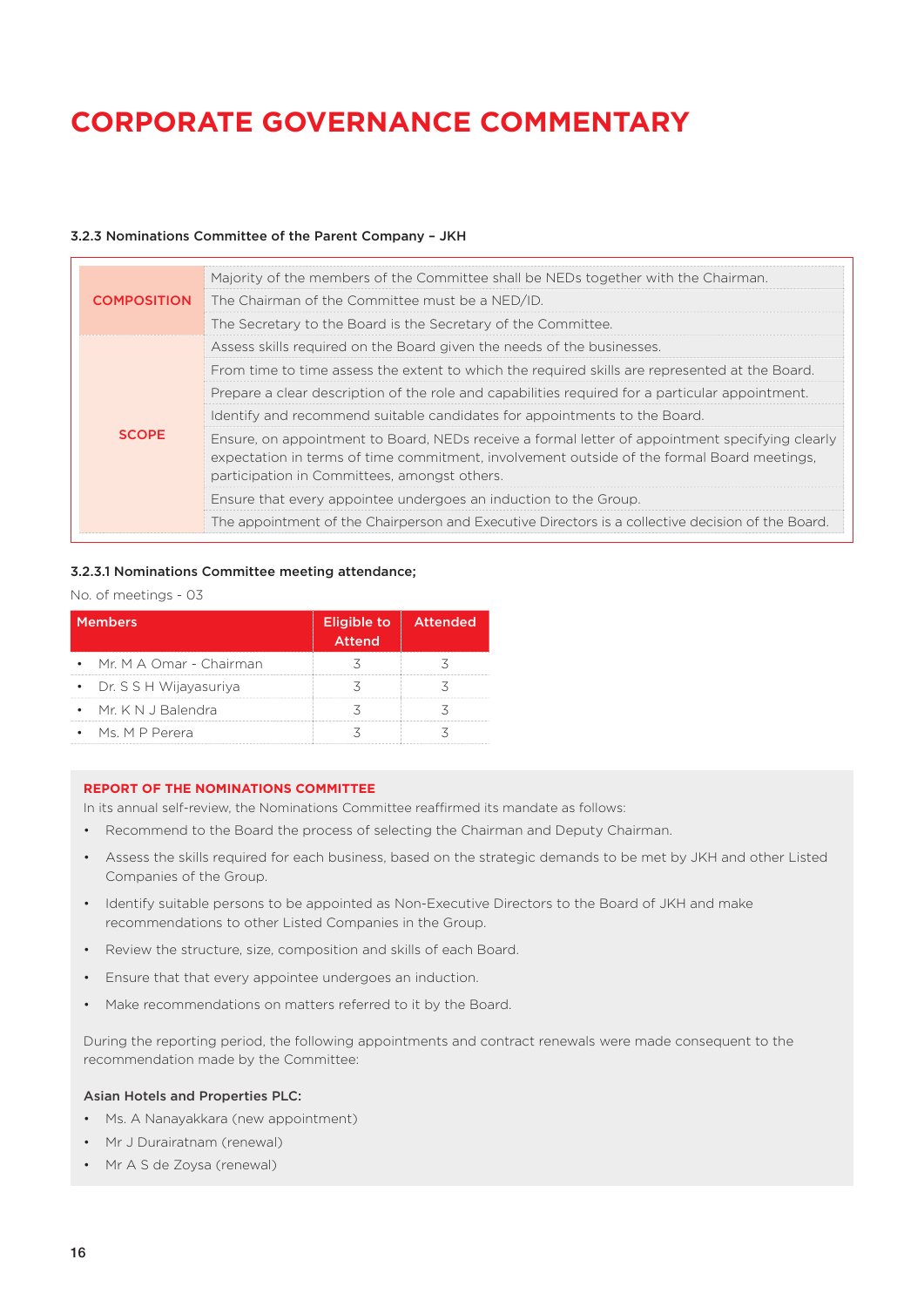### 3.2.3 Nominations Committee of the Parent Company – JKH

|                                                                                                                                                                                                                                                                                                                                                                                                                                               | Majority of the members of the Committee shall be NEDs together with the Chairman.             |  |                                                                                                   |
|-----------------------------------------------------------------------------------------------------------------------------------------------------------------------------------------------------------------------------------------------------------------------------------------------------------------------------------------------------------------------------------------------------------------------------------------------|------------------------------------------------------------------------------------------------|--|---------------------------------------------------------------------------------------------------|
| <b>COMPOSITION</b>                                                                                                                                                                                                                                                                                                                                                                                                                            | The Chairman of the Committee must be a NED/ID.                                                |  |                                                                                                   |
|                                                                                                                                                                                                                                                                                                                                                                                                                                               | The Secretary to the Board is the Secretary of the Committee.                                  |  |                                                                                                   |
|                                                                                                                                                                                                                                                                                                                                                                                                                                               | Assess skills required on the Board given the needs of the businesses.                         |  |                                                                                                   |
|                                                                                                                                                                                                                                                                                                                                                                                                                                               | From time to time assess the extent to which the required skills are represented at the Board. |  |                                                                                                   |
| Prepare a clear description of the role and capabilities required for a particular appointment.<br>Identify and recommend suitable candidates for appointments to the Board.<br><b>SCOPE</b><br>Ensure, on appointment to Board, NEDs receive a formal letter of appointment specifying clearly<br>expectation in terms of time commitment, involvement outside of the formal Board meetings,<br>participation in Committees, amongst others. |                                                                                                |  |                                                                                                   |
|                                                                                                                                                                                                                                                                                                                                                                                                                                               |                                                                                                |  | Ensure that every appointee undergoes an induction to the Group.                                  |
|                                                                                                                                                                                                                                                                                                                                                                                                                                               |                                                                                                |  | The appointment of the Chairperson and Executive Directors is a collective decision of the Board. |

### 3.2.3.1 Nominations Committee meeting attendance;

#### No. of meetings - 03

| <b>Members</b>            | Eligible to Attended<br><b>Attend</b> |  |
|---------------------------|---------------------------------------|--|
| • Mr. M A Omar - Chairman |                                       |  |
| • Dr. S S H Wijayasuriya  |                                       |  |
| • Mr. K N J Balendra      |                                       |  |
| $\bullet$ Ms, MP Perera   |                                       |  |

#### **REPORT OF THE NOMINATIONS COMMITTEE**

In its annual self-review, the Nominations Committee reaffirmed its mandate as follows:

- Recommend to the Board the process of selecting the Chairman and Deputy Chairman.
- Assess the skills required for each business, based on the strategic demands to be met by JKH and other Listed Companies of the Group.
- Identify suitable persons to be appointed as Non-Executive Directors to the Board of JKH and make recommendations to other Listed Companies in the Group.
- Review the structure, size, composition and skills of each Board.
- Ensure that that every appointee undergoes an induction.
- Make recommendations on matters referred to it by the Board.

During the reporting period, the following appointments and contract renewals were made consequent to the recommendation made by the Committee:

#### Asian Hotels and Properties PLC:

- Ms. A Nanayakkara (new appointment)
- Mr J Durairatnam (renewal)
- Mr A S de Zoysa (renewal)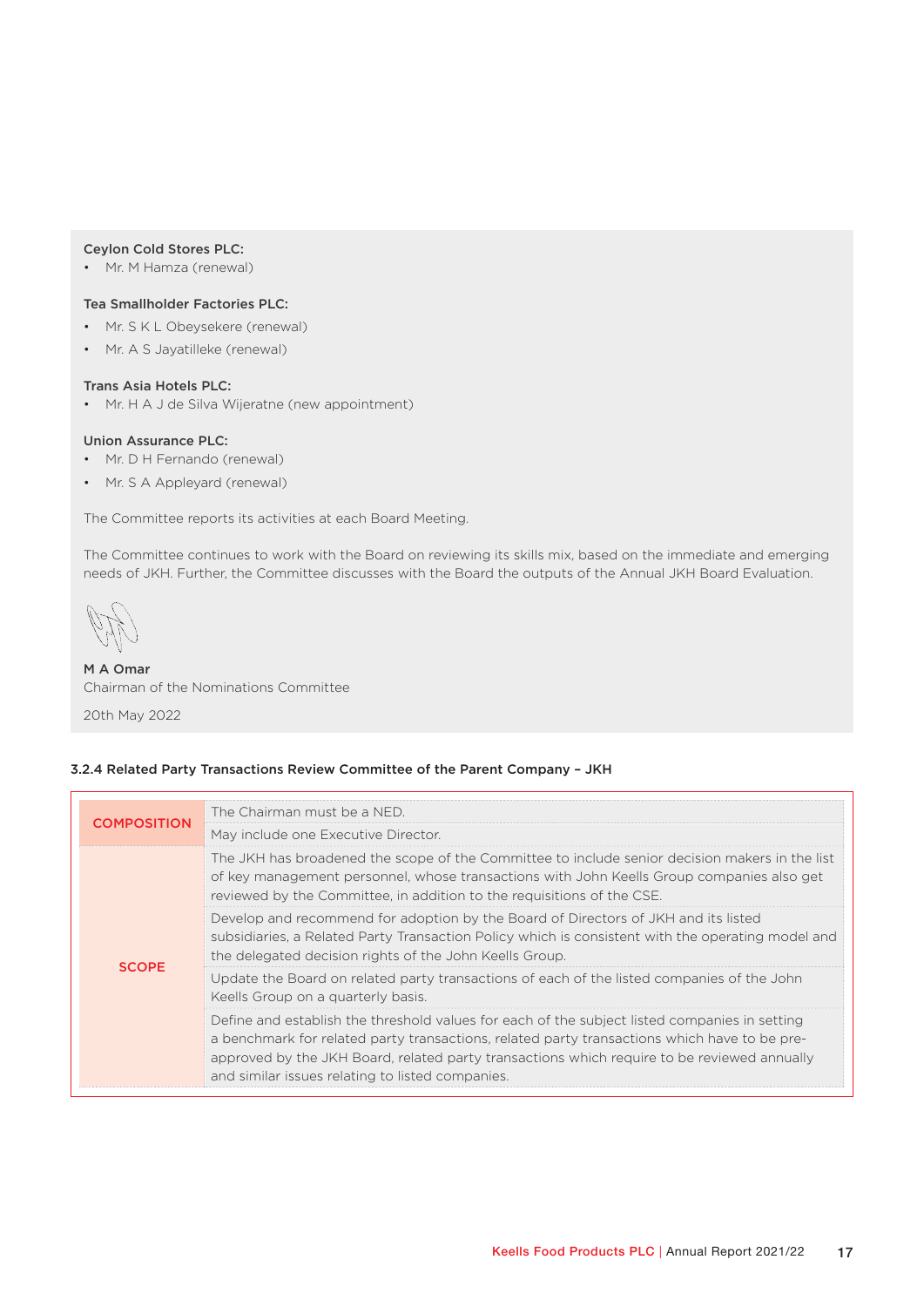#### Ceylon Cold Stores PLC:

• Mr. M Hamza (renewal)

#### Tea Smallholder Factories PLC:

- Mr. S K L Obeysekere (renewal)
- Mr. A S Jayatilleke (renewal)

#### Trans Asia Hotels PLC:

• Mr. H A J de Silva Wijeratne (new appointment)

#### Union Assurance PLC:

- Mr. D H Fernando (renewal)
- Mr. S A Appleyard (renewal)

The Committee reports its activities at each Board Meeting.

The Committee continues to work with the Board on reviewing its skills mix, based on the immediate and emerging needs of JKH. Further, the Committee discusses with the Board the outputs of the Annual JKH Board Evaluation.

## M A Omar Chairman of the Nominations Committee

20th May 2022

#### 3.2.4 Related Party Transactions Review Committee of the Parent Company – JKH

| <b>COMPOSITION</b> | The Chairman must be a NED.                                                                                                                                                                                                                                                                                                                      |
|--------------------|--------------------------------------------------------------------------------------------------------------------------------------------------------------------------------------------------------------------------------------------------------------------------------------------------------------------------------------------------|
|                    | May include one Executive Director.                                                                                                                                                                                                                                                                                                              |
|                    | The JKH has broadened the scope of the Committee to include senior decision makers in the list<br>of key management personnel, whose transactions with John Keells Group companies also get<br>reviewed by the Committee, in addition to the requisitions of the CSE.                                                                            |
| <b>SCOPE</b>       | Develop and recommend for adoption by the Board of Directors of JKH and its listed<br>subsidiaries, a Related Party Transaction Policy which is consistent with the operating model and<br>the delegated decision rights of the John Keells Group.                                                                                               |
|                    | Update the Board on related party transactions of each of the listed companies of the John<br>Keells Group on a quarterly basis.                                                                                                                                                                                                                 |
|                    | Define and establish the threshold values for each of the subject listed companies in setting<br>a benchmark for related party transactions, related party transactions which have to be pre-<br>approved by the JKH Board, related party transactions which require to be reviewed annually<br>and similar issues relating to listed companies. |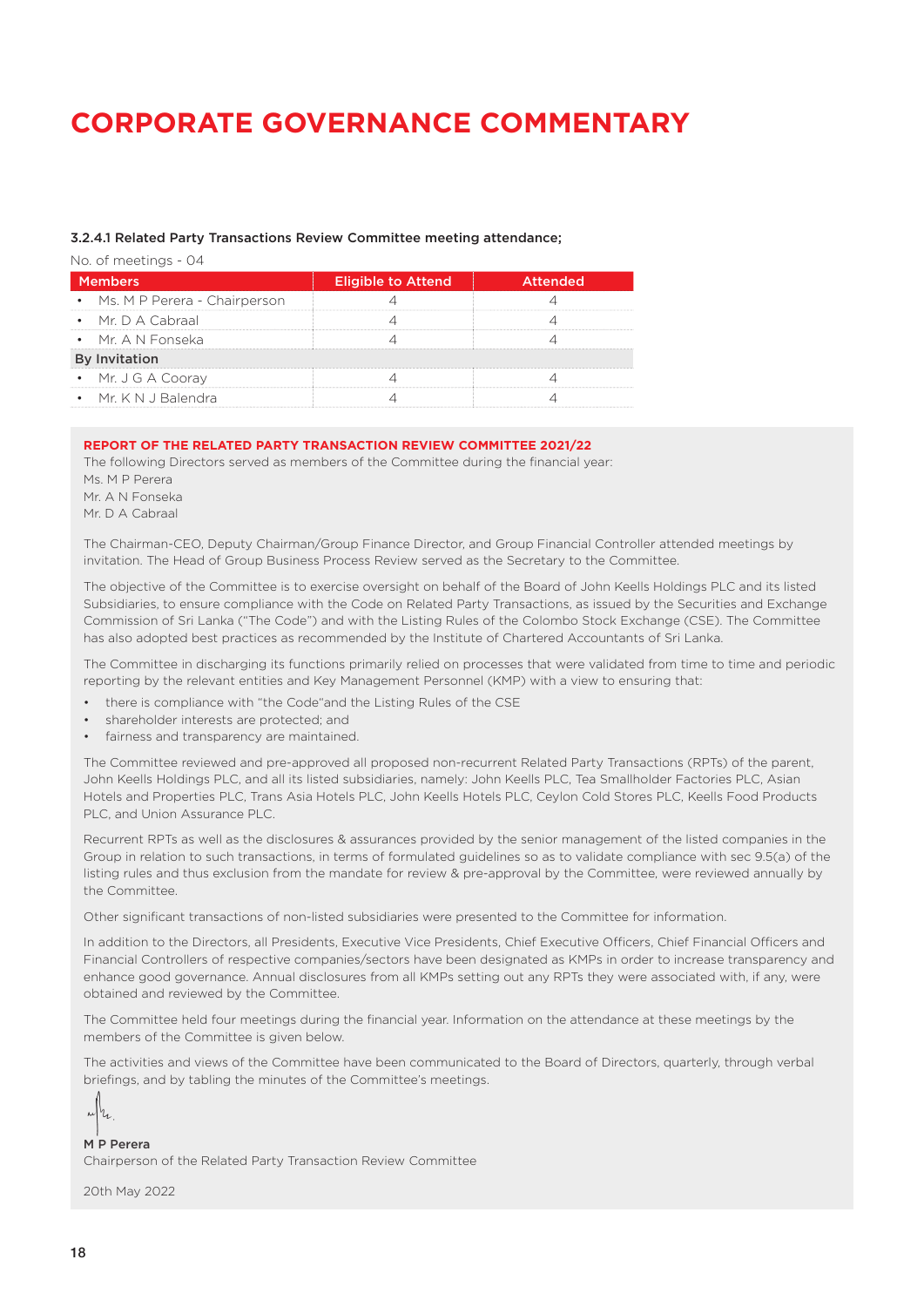#### 3.2.4.1 Related Party Transactions Review Committee meeting attendance;

No. of meetings - 04

| <b>Members</b>                 | <b>Eligible to Attend</b> | <b>Attended</b> |
|--------------------------------|---------------------------|-----------------|
| • Ms. M P Perera - Chairperson |                           |                 |
| $\bullet$ Mr. D A Cabraal      |                           |                 |
| • Mr. A N Fonseka              |                           |                 |
| <b>By Invitation</b>           |                           |                 |
| • Mr. J G A Coorav             |                           |                 |
| $\bullet$ Mr. K N J Balendra   |                           |                 |

#### **REPORT OF THE RELATED PARTY TRANSACTION REVIEW COMMITTEE 2021/22**

The following Directors served as members of the Committee during the financial year: Ms. M P Perera Mr. A N Fonseka Mr. D A Cabraal

The Chairman-CEO, Deputy Chairman/Group Finance Director, and Group Financial Controller attended meetings by invitation. The Head of Group Business Process Review served as the Secretary to the Committee.

The objective of the Committee is to exercise oversight on behalf of the Board of John Keells Holdings PLC and its listed Subsidiaries, to ensure compliance with the Code on Related Party Transactions, as issued by the Securities and Exchange Commission of Sri Lanka ("The Code") and with the Listing Rules of the Colombo Stock Exchange (CSE). The Committee has also adopted best practices as recommended by the Institute of Chartered Accountants of Sri Lanka.

The Committee in discharging its functions primarily relied on processes that were validated from time to time and periodic reporting by the relevant entities and Key Management Personnel (KMP) with a view to ensuring that:

- there is compliance with "the Code"and the Listing Rules of the CSE
- shareholder interests are protected; and
- fairness and transparency are maintained.

The Committee reviewed and pre-approved all proposed non-recurrent Related Party Transactions (RPTs) of the parent, John Keells Holdings PLC, and all its listed subsidiaries, namely: John Keells PLC, Tea Smallholder Factories PLC, Asian Hotels and Properties PLC, Trans Asia Hotels PLC, John Keells Hotels PLC, Ceylon Cold Stores PLC, Keells Food Products PLC, and Union Assurance PLC.

Recurrent RPTs as well as the disclosures & assurances provided by the senior management of the listed companies in the Group in relation to such transactions, in terms of formulated guidelines so as to validate compliance with sec 9.5(a) of the listing rules and thus exclusion from the mandate for review & pre-approval by the Committee, were reviewed annually by the Committee.

Other significant transactions of non-listed subsidiaries were presented to the Committee for information.

In addition to the Directors, all Presidents, Executive Vice Presidents, Chief Executive Officers, Chief Financial Officers and Financial Controllers of respective companies/sectors have been designated as KMPs in order to increase transparency and enhance good governance. Annual disclosures from all KMPs setting out any RPTs they were associated with, if any, were obtained and reviewed by the Committee.

The Committee held four meetings during the financial year. Information on the attendance at these meetings by the members of the Committee is given below.

The activities and views of the Committee have been communicated to the Board of Directors, quarterly, through verbal briefings, and by tabling the minutes of the Committee's meetings.

 $\mathbb{Z}[\mathbf{b}_\mathbf{z}]$ 

M P Perera Chairperson of the Related Party Transaction Review Committee

20th May 2022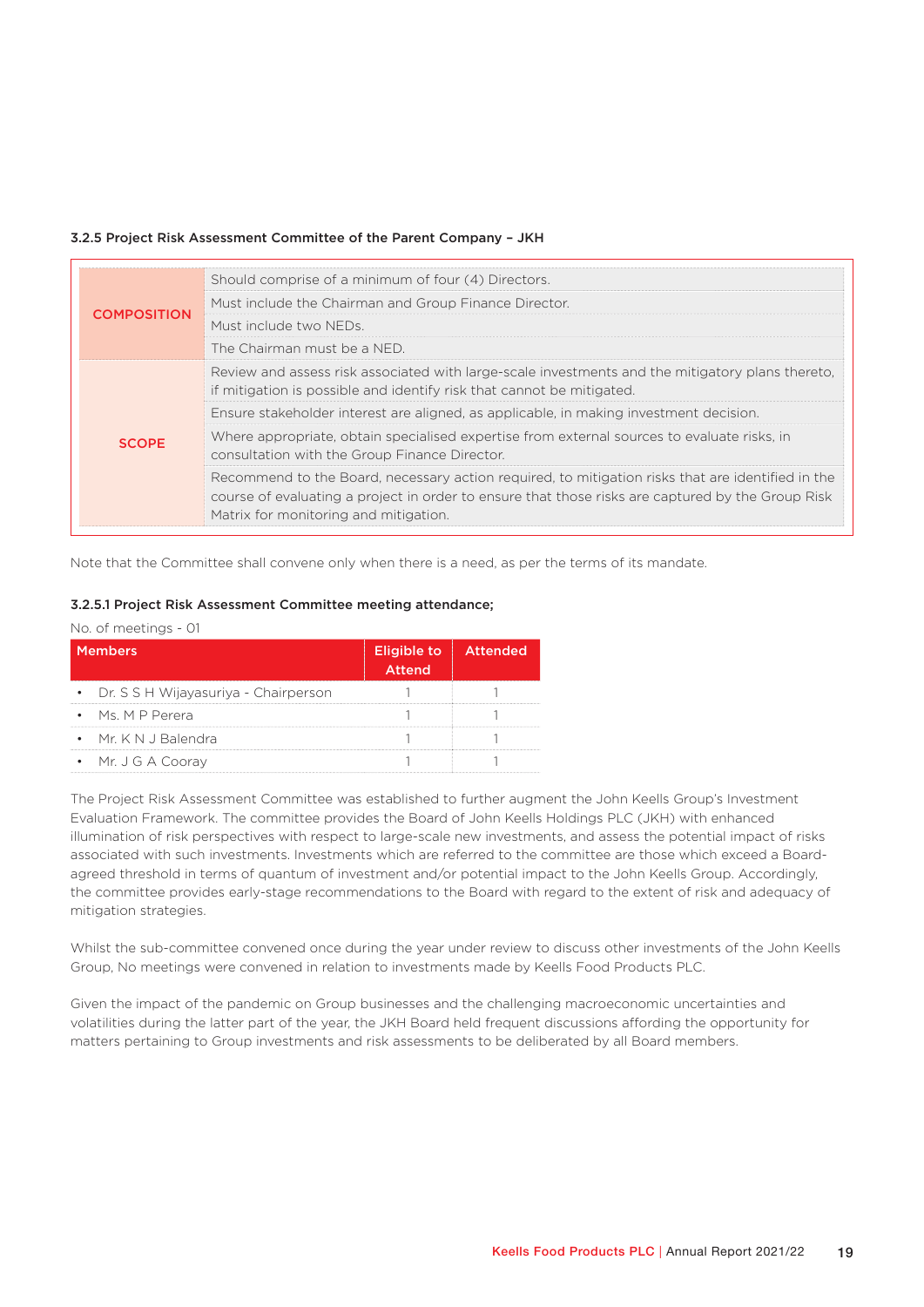#### 3.2.5 Project Risk Assessment Committee of the Parent Company – JKH

|                    | Should comprise of a minimum of four (4) Directors.                                                                                                                                                                                             |
|--------------------|-------------------------------------------------------------------------------------------------------------------------------------------------------------------------------------------------------------------------------------------------|
| <b>COMPOSITION</b> | Must include the Chairman and Group Finance Director.                                                                                                                                                                                           |
|                    | Must include two NEDs.                                                                                                                                                                                                                          |
|                    | The Chairman must be a NED.                                                                                                                                                                                                                     |
| <b>SCOPE</b>       | Review and assess risk associated with large-scale investments and the mitigatory plans thereto.<br>if mitigation is possible and identify risk that cannot be mitigated.                                                                       |
|                    | Ensure stakeholder interest are aligned, as applicable, in making investment decision.                                                                                                                                                          |
|                    | Where appropriate, obtain specialised expertise from external sources to evaluate risks, in<br>consultation with the Group Finance Director.                                                                                                    |
|                    | Recommend to the Board, necessary action required, to mitigation risks that are identified in the<br>course of evaluating a project in order to ensure that those risks are captured by the Group Risk<br>Matrix for monitoring and mitigation. |

Note that the Committee shall convene only when there is a need, as per the terms of its mandate.

#### 3.2.5.1 Project Risk Assessment Committee meeting attendance;

|  | No. of meetings - 01 |  |
|--|----------------------|--|
|  |                      |  |

| <b>Members</b>                         | Eligible to <b>Attended</b><br>Attend |  |
|----------------------------------------|---------------------------------------|--|
| • Dr. S S H Wijayasuriya - Chairperson |                                       |  |
| $\bullet$ Ms, MP Perera                |                                       |  |
| $\bullet$ Mr. K N J Balendra           |                                       |  |
| • Mr. J G A Cooray                     |                                       |  |

The Project Risk Assessment Committee was established to further augment the John Keells Group's Investment Evaluation Framework. The committee provides the Board of John Keells Holdings PLC (JKH) with enhanced illumination of risk perspectives with respect to large-scale new investments, and assess the potential impact of risks associated with such investments. Investments which are referred to the committee are those which exceed a Boardagreed threshold in terms of quantum of investment and/or potential impact to the John Keells Group. Accordingly, the committee provides early-stage recommendations to the Board with regard to the extent of risk and adequacy of mitigation strategies.

Whilst the sub-committee convened once during the year under review to discuss other investments of the John Keells Group, No meetings were convened in relation to investments made by Keells Food Products PLC.

Given the impact of the pandemic on Group businesses and the challenging macroeconomic uncertainties and volatilities during the latter part of the year, the JKH Board held frequent discussions affording the opportunity for matters pertaining to Group investments and risk assessments to be deliberated by all Board members.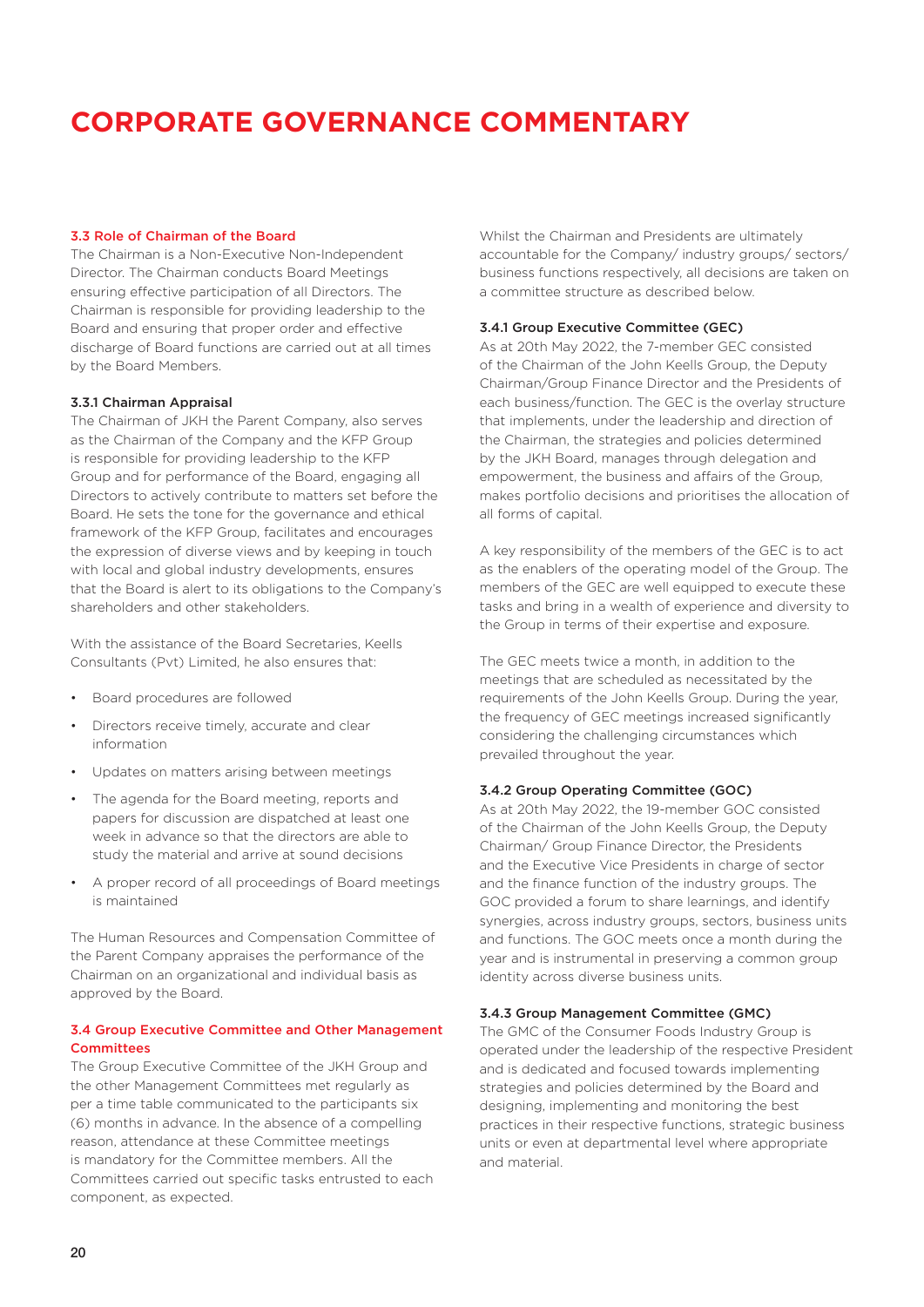#### 3.3 Role of Chairman of the Board

The Chairman is a Non-Executive Non-Independent Director. The Chairman conducts Board Meetings ensuring effective participation of all Directors. The Chairman is responsible for providing leadership to the Board and ensuring that proper order and effective discharge of Board functions are carried out at all times by the Board Members.

#### 3.3.1 Chairman Appraisal

The Chairman of JKH the Parent Company, also serves as the Chairman of the Company and the KFP Group is responsible for providing leadership to the KFP Group and for performance of the Board, engaging all Directors to actively contribute to matters set before the Board. He sets the tone for the governance and ethical framework of the KFP Group, facilitates and encourages the expression of diverse views and by keeping in touch with local and global industry developments, ensures that the Board is alert to its obligations to the Company's shareholders and other stakeholders.

With the assistance of the Board Secretaries, Keells Consultants (Pvt) Limited, he also ensures that:

- Board procedures are followed
- Directors receive timely, accurate and clear information
- Updates on matters arising between meetings
- The agenda for the Board meeting, reports and papers for discussion are dispatched at least one week in advance so that the directors are able to study the material and arrive at sound decisions
- A proper record of all proceedings of Board meetings is maintained

The Human Resources and Compensation Committee of the Parent Company appraises the performance of the Chairman on an organizational and individual basis as approved by the Board.

### 3.4 Group Executive Committee and Other Management **Committees**

The Group Executive Committee of the JKH Group and the other Management Committees met regularly as per a time table communicated to the participants six (6) months in advance. In the absence of a compelling reason, attendance at these Committee meetings is mandatory for the Committee members. All the Committees carried out specific tasks entrusted to each component, as expected.

Whilst the Chairman and Presidents are ultimately accountable for the Company/ industry groups/ sectors/ business functions respectively, all decisions are taken on a committee structure as described below.

#### 3.4.1 Group Executive Committee (GEC)

As at 20th May 2022, the 7-member GEC consisted of the Chairman of the John Keells Group, the Deputy Chairman/Group Finance Director and the Presidents of each business/function. The GEC is the overlay structure that implements, under the leadership and direction of the Chairman, the strategies and policies determined by the JKH Board, manages through delegation and empowerment, the business and affairs of the Group, makes portfolio decisions and prioritises the allocation of all forms of capital.

A key responsibility of the members of the GEC is to act as the enablers of the operating model of the Group. The members of the GEC are well equipped to execute these tasks and bring in a wealth of experience and diversity to the Group in terms of their expertise and exposure.

The GEC meets twice a month, in addition to the meetings that are scheduled as necessitated by the requirements of the John Keells Group. During the year, the frequency of GEC meetings increased significantly considering the challenging circumstances which prevailed throughout the year.

#### 3.4.2 Group Operating Committee (GOC)

As at 20th May 2022, the 19-member GOC consisted of the Chairman of the John Keells Group, the Deputy Chairman/ Group Finance Director, the Presidents and the Executive Vice Presidents in charge of sector and the finance function of the industry groups. The GOC provided a forum to share learnings, and identify synergies, across industry groups, sectors, business units and functions. The GOC meets once a month during the year and is instrumental in preserving a common group identity across diverse business units.

#### 3.4.3 Group Management Committee (GMC)

The GMC of the Consumer Foods Industry Group is operated under the leadership of the respective President and is dedicated and focused towards implementing strategies and policies determined by the Board and designing, implementing and monitoring the best practices in their respective functions, strategic business units or even at departmental level where appropriate and material.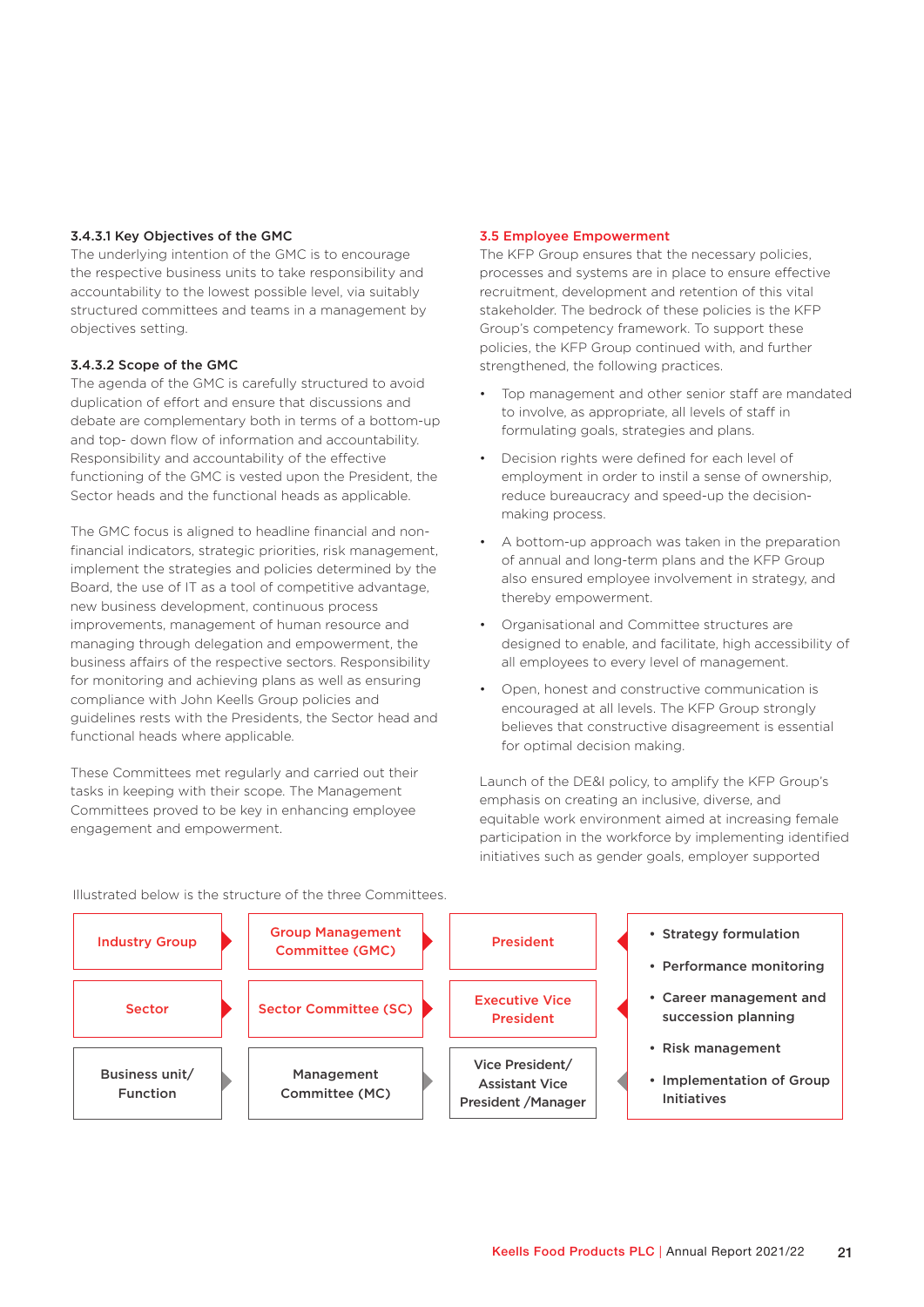#### 3.4.3.1 Key Objectives of the GMC

The underlying intention of the GMC is to encourage the respective business units to take responsibility and accountability to the lowest possible level, via suitably structured committees and teams in a management by objectives setting.

#### 3.4.3.2 Scope of the GMC

The agenda of the GMC is carefully structured to avoid duplication of effort and ensure that discussions and debate are complementary both in terms of a bottom-up and top- down flow of information and accountability. Responsibility and accountability of the effective functioning of the GMC is vested upon the President, the Sector heads and the functional heads as applicable.

The GMC focus is aligned to headline financial and nonfinancial indicators, strategic priorities, risk management, implement the strategies and policies determined by the Board, the use of IT as a tool of competitive advantage, new business development, continuous process improvements, management of human resource and managing through delegation and empowerment, the business affairs of the respective sectors. Responsibility for monitoring and achieving plans as well as ensuring compliance with John Keells Group policies and guidelines rests with the Presidents, the Sector head and functional heads where applicable.

These Committees met regularly and carried out their tasks in keeping with their scope. The Management Committees proved to be key in enhancing employee engagement and empowerment.

#### 3.5 Employee Empowerment

The KFP Group ensures that the necessary policies, processes and systems are in place to ensure effective recruitment, development and retention of this vital stakeholder. The bedrock of these policies is the KFP Group's competency framework. To support these policies, the KFP Group continued with, and further strengthened, the following practices.

- Top management and other senior staff are mandated to involve, as appropriate, all levels of staff in formulating goals, strategies and plans.
- Decision rights were defined for each level of employment in order to instil a sense of ownership, reduce bureaucracy and speed-up the decisionmaking process.
- A bottom-up approach was taken in the preparation of annual and long-term plans and the KFP Group also ensured employee involvement in strategy, and thereby empowerment.
- Organisational and Committee structures are designed to enable, and facilitate, high accessibility of all employees to every level of management.
- Open, honest and constructive communication is encouraged at all levels. The KFP Group strongly believes that constructive disagreement is essential for optimal decision making.

Launch of the DE&I policy, to amplify the KFP Group's emphasis on creating an inclusive, diverse, and equitable work environment aimed at increasing female participation in the workforce by implementing identified initiatives such as gender goals, employer supported



Illustrated below is the structure of the three Committees.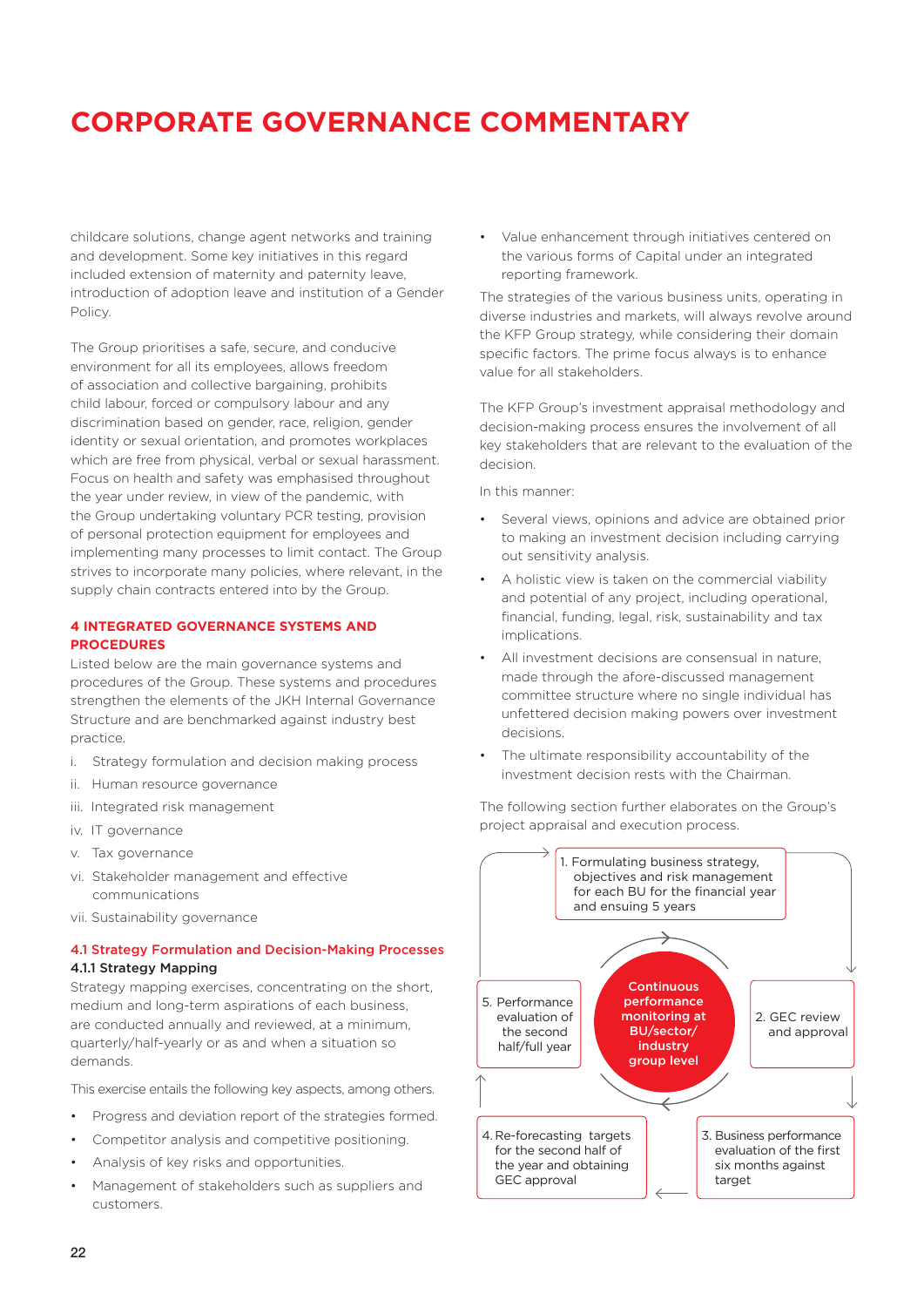childcare solutions, change agent networks and training and development. Some key initiatives in this regard included extension of maternity and paternity leave, introduction of adoption leave and institution of a Gender Policy.

The Group prioritises a safe, secure, and conducive environment for all its employees, allows freedom of association and collective bargaining, prohibits child labour, forced or compulsory labour and any discrimination based on gender, race, religion, gender identity or sexual orientation, and promotes workplaces which are free from physical, verbal or sexual harassment. Focus on health and safety was emphasised throughout the year under review, in view of the pandemic, with the Group undertaking voluntary PCR testing, provision of personal protection equipment for employees and implementing many processes to limit contact. The Group strives to incorporate many policies, where relevant, in the supply chain contracts entered into by the Group.

### **4 INTEGRATED GOVERNANCE SYSTEMS AND PROCEDURES**

Listed below are the main governance systems and procedures of the Group. These systems and procedures strengthen the elements of the JKH Internal Governance Structure and are benchmarked against industry best practice.

- i. Strategy formulation and decision making process
- ii. Human resource governance
- iii. Integrated risk management
- iv. IT governance
- v. Tax governance
- vi. Stakeholder management and effective communications
- vii. Sustainability governance

### 4.1 Strategy Formulation and Decision-Making Processes 4.1.1 Strategy Mapping

Strategy mapping exercises, concentrating on the short, medium and long-term aspirations of each business, are conducted annually and reviewed, at a minimum, quarterly/half-yearly or as and when a situation so demands.

This exercise entails the following key aspects, among others.

- Progress and deviation report of the strategies formed.
- Competitor analysis and competitive positioning.
- Analysis of key risks and opportunities.
- Management of stakeholders such as suppliers and customers.

• Value enhancement through initiatives centered on the various forms of Capital under an integrated reporting framework.

The strategies of the various business units, operating in diverse industries and markets, will always revolve around the KFP Group strategy, while considering their domain specific factors. The prime focus always is to enhance value for all stakeholders.

The KFP Group's investment appraisal methodology and decision-making process ensures the involvement of all key stakeholders that are relevant to the evaluation of the decision.

In this manner:

- Several views, opinions and advice are obtained prior to making an investment decision including carrying out sensitivity analysis.
- A holistic view is taken on the commercial viability and potential of any project, including operational, financial, funding, legal, risk, sustainability and tax implications.
- All investment decisions are consensual in nature, made through the afore-discussed management committee structure where no single individual has unfettered decision making powers over investment decisions.
- The ultimate responsibility accountability of the investment decision rests with the Chairman.

The following section further elaborates on the Group's project appraisal and execution process.

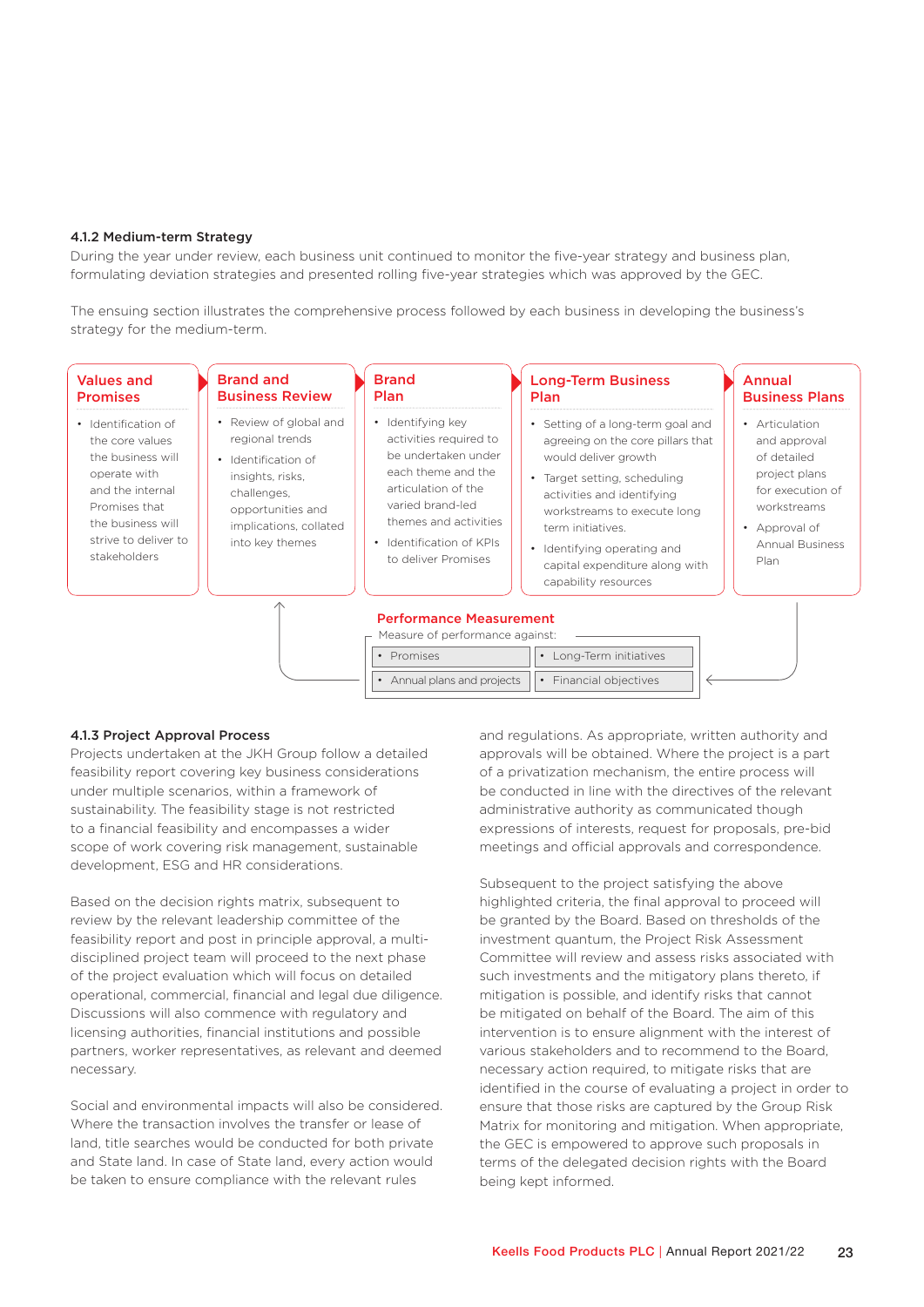#### 4.1.2 Medium-term Strategy

During the year under review, each business unit continued to monitor the five-year strategy and business plan, formulating deviation strategies and presented rolling five-year strategies which was approved by the GEC.

The ensuing section illustrates the comprehensive process followed by each business in developing the business's strategy for the medium-term.

| <b>Values and</b><br><b>Promises</b>                                                                                                                                          | <b>Brand and</b><br><b>Business Review</b>                                                                                                                            | <b>Brand</b><br><b>Plan</b>                                                                                                                                                                                     | <b>Long-Term Business</b><br><b>Plan</b>                                                                                                                                                                                                                                                                  | Annual<br><b>Business Plans</b>                                                                                                                      |
|-------------------------------------------------------------------------------------------------------------------------------------------------------------------------------|-----------------------------------------------------------------------------------------------------------------------------------------------------------------------|-----------------------------------------------------------------------------------------------------------------------------------------------------------------------------------------------------------------|-----------------------------------------------------------------------------------------------------------------------------------------------------------------------------------------------------------------------------------------------------------------------------------------------------------|------------------------------------------------------------------------------------------------------------------------------------------------------|
| • Identification of<br>the core values<br>the business will<br>operate with<br>and the internal<br>Promises that<br>the business will<br>strive to deliver to<br>stakeholders | • Review of global and<br>regional trends<br>• Identification of<br>insights, risks,<br>challenges,<br>opportunities and<br>implications, collated<br>into key themes | • Identifying key<br>activities required to<br>be undertaken under<br>each theme and the<br>articulation of the<br>varied brand-led<br>themes and activities<br>• Identification of KPIs<br>to deliver Promises | • Setting of a long-term goal and<br>agreeing on the core pillars that<br>would deliver growth<br>• Target setting, scheduling<br>activities and identifying<br>workstreams to execute long<br>term initiatives.<br>• Identifying operating and<br>capital expenditure along with<br>capability resources | • Articulation<br>and approval<br>of detailed<br>project plans<br>for execution of<br>workstreams<br>• Approval of<br><b>Annual Business</b><br>Plan |
|                                                                                                                                                                               |                                                                                                                                                                       | <b>Performance Measurement</b><br>Measure of performance against:<br>• Promises<br>• Annual plans and projects                                                                                                  | • Long-Term initiatives<br>• Financial objectives                                                                                                                                                                                                                                                         |                                                                                                                                                      |

### 4.1.3 Project Approval Process

Projects undertaken at the JKH Group follow a detailed feasibility report covering key business considerations under multiple scenarios, within a framework of sustainability. The feasibility stage is not restricted to a financial feasibility and encompasses a wider scope of work covering risk management, sustainable development, ESG and HR considerations.

Based on the decision rights matrix, subsequent to review by the relevant leadership committee of the feasibility report and post in principle approval, a multidisciplined project team will proceed to the next phase of the project evaluation which will focus on detailed operational, commercial, financial and legal due diligence. Discussions will also commence with regulatory and licensing authorities, financial institutions and possible partners, worker representatives, as relevant and deemed necessary.

Social and environmental impacts will also be considered. Where the transaction involves the transfer or lease of land, title searches would be conducted for both private and State land. In case of State land, every action would be taken to ensure compliance with the relevant rules

and regulations. As appropriate, written authority and approvals will be obtained. Where the project is a part of a privatization mechanism, the entire process will be conducted in line with the directives of the relevant administrative authority as communicated though expressions of interests, request for proposals, pre-bid meetings and official approvals and correspondence.

Subsequent to the project satisfying the above highlighted criteria, the final approval to proceed will be granted by the Board. Based on thresholds of the investment quantum, the Project Risk Assessment Committee will review and assess risks associated with such investments and the mitigatory plans thereto, if mitigation is possible, and identify risks that cannot be mitigated on behalf of the Board. The aim of this intervention is to ensure alignment with the interest of various stakeholders and to recommend to the Board, necessary action required, to mitigate risks that are identified in the course of evaluating a project in order to ensure that those risks are captured by the Group Risk Matrix for monitoring and mitigation. When appropriate, the GEC is empowered to approve such proposals in terms of the delegated decision rights with the Board being kept informed.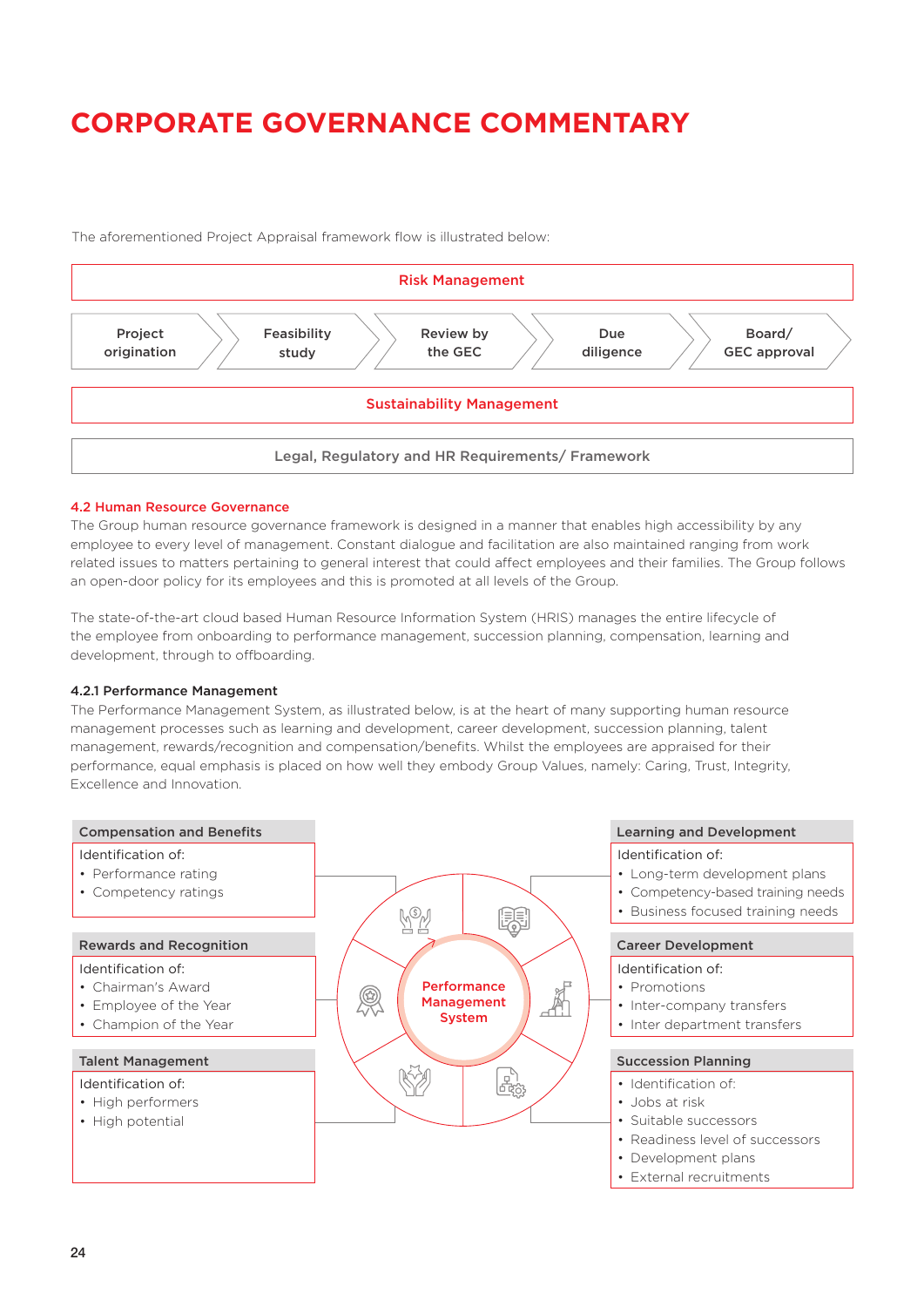Risk Management Sustainability Management Legal, Regulatory and HR Requirements/ Framework Project origination Feasibility study Review by the GEC Due diligence Board/ GEC approval

The aforementioned Project Appraisal framework flow is illustrated below:

#### 4.2 Human Resource Governance

The Group human resource governance framework is designed in a manner that enables high accessibility by any employee to every level of management. Constant dialogue and facilitation are also maintained ranging from work related issues to matters pertaining to general interest that could affect employees and their families. The Group follows an open-door policy for its employees and this is promoted at all levels of the Group.

The state-of-the-art cloud based Human Resource Information System (HRIS) manages the entire lifecycle of the employee from onboarding to performance management, succession planning, compensation, learning and development, through to offboarding.

#### 4.2.1 Performance Management

The Performance Management System, as illustrated below, is at the heart of many supporting human resource management processes such as learning and development, career development, succession planning, talent management, rewards/recognition and compensation/benefits. Whilst the employees are appraised for their performance, equal emphasis is placed on how well they embody Group Values, namely: Caring, Trust, Integrity, Excellence and Innovation.



### $24$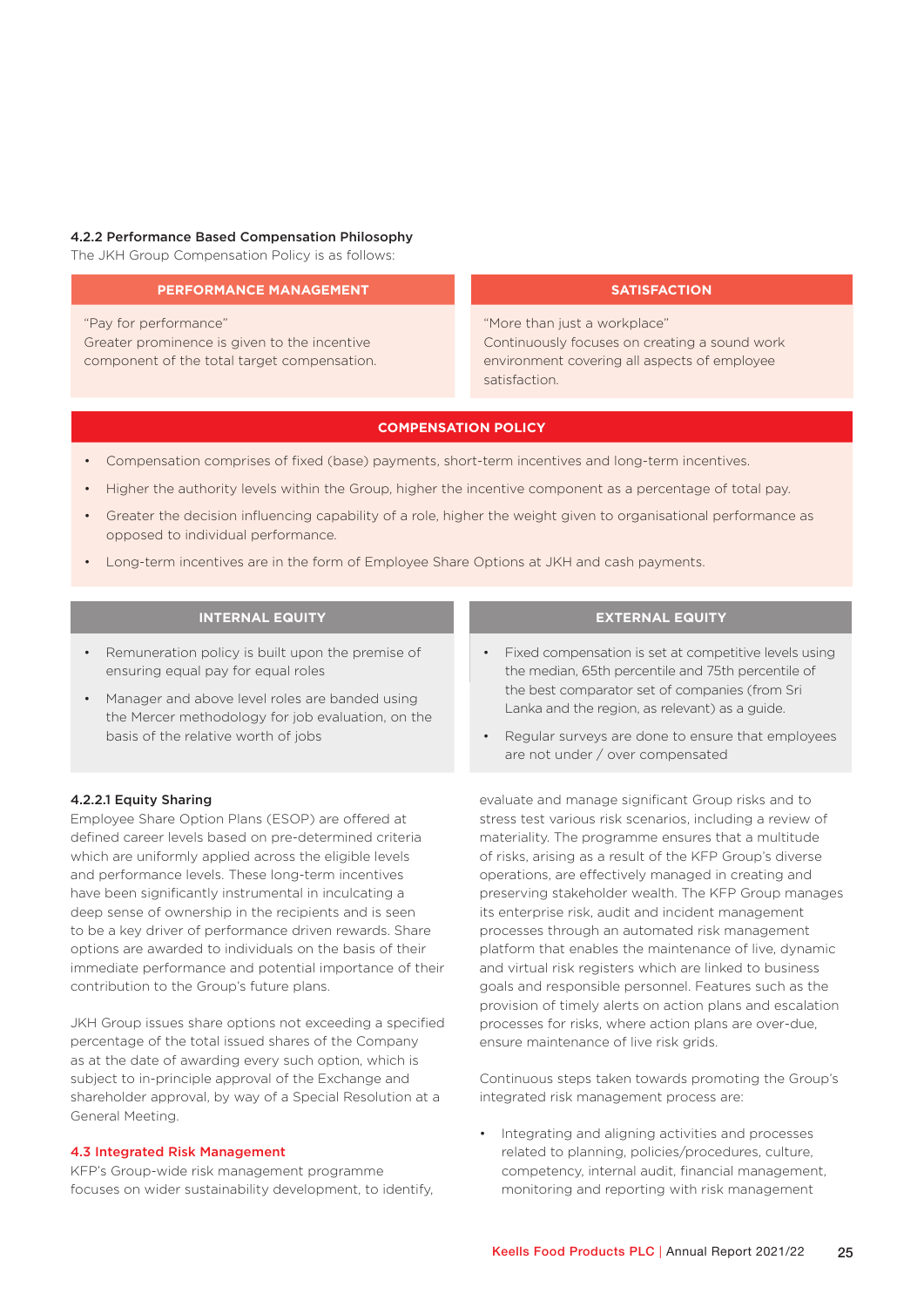#### 4.2.2 Performance Based Compensation Philosophy

The JKH Group Compensation Policy is as follows:

#### **PERFORMANCE MANAGEMENT**

"Pay for performance" Greater prominence is given to the incentive component of the total target compensation.

### **SATISFACTION**

"More than just a workplace" Continuously focuses on creating a sound work environment covering all aspects of employee satisfaction.

#### **COMPENSATION POLICY**

- Compensation comprises of fixed (base) payments, short-term incentives and long-term incentives.
- Higher the authority levels within the Group, higher the incentive component as a percentage of total pay.
- Greater the decision influencing capability of a role, higher the weight given to organisational performance as opposed to individual performance.
- Long-term incentives are in the form of Employee Share Options at JKH and cash payments.

### **INTERNAL EQUITY**

- Remuneration policy is built upon the premise of ensuring equal pay for equal roles
- Manager and above level roles are banded using the Mercer methodology for job evaluation, on the basis of the relative worth of jobs

#### 4.2.2.1 Equity Sharing

Employee Share Option Plans (ESOP) are offered at defined career levels based on pre-determined criteria which are uniformly applied across the eligible levels and performance levels. These long-term incentives have been significantly instrumental in inculcating a deep sense of ownership in the recipients and is seen to be a key driver of performance driven rewards. Share options are awarded to individuals on the basis of their immediate performance and potential importance of their contribution to the Group's future plans.

JKH Group issues share options not exceeding a specified percentage of the total issued shares of the Company as at the date of awarding every such option, which is subject to in-principle approval of the Exchange and shareholder approval, by way of a Special Resolution at a General Meeting.

#### 4.3 Integrated Risk Management

KFP's Group-wide risk management programme focuses on wider sustainability development, to identify,

#### **EXTERNAL EQUITY**

- Fixed compensation is set at competitive levels using the median, 65th percentile and 75th percentile of the best comparator set of companies (from Sri Lanka and the region, as relevant) as a guide.
- Regular surveys are done to ensure that employees are not under / over compensated

evaluate and manage significant Group risks and to stress test various risk scenarios, including a review of materiality. The programme ensures that a multitude of risks, arising as a result of the KFP Group's diverse operations, are effectively managed in creating and preserving stakeholder wealth. The KFP Group manages its enterprise risk, audit and incident management processes through an automated risk management platform that enables the maintenance of live, dynamic and virtual risk registers which are linked to business goals and responsible personnel. Features such as the provision of timely alerts on action plans and escalation processes for risks, where action plans are over-due, ensure maintenance of live risk grids.

Continuous steps taken towards promoting the Group's integrated risk management process are:

• Integrating and aligning activities and processes related to planning, policies/procedures, culture, competency, internal audit, financial management, monitoring and reporting with risk management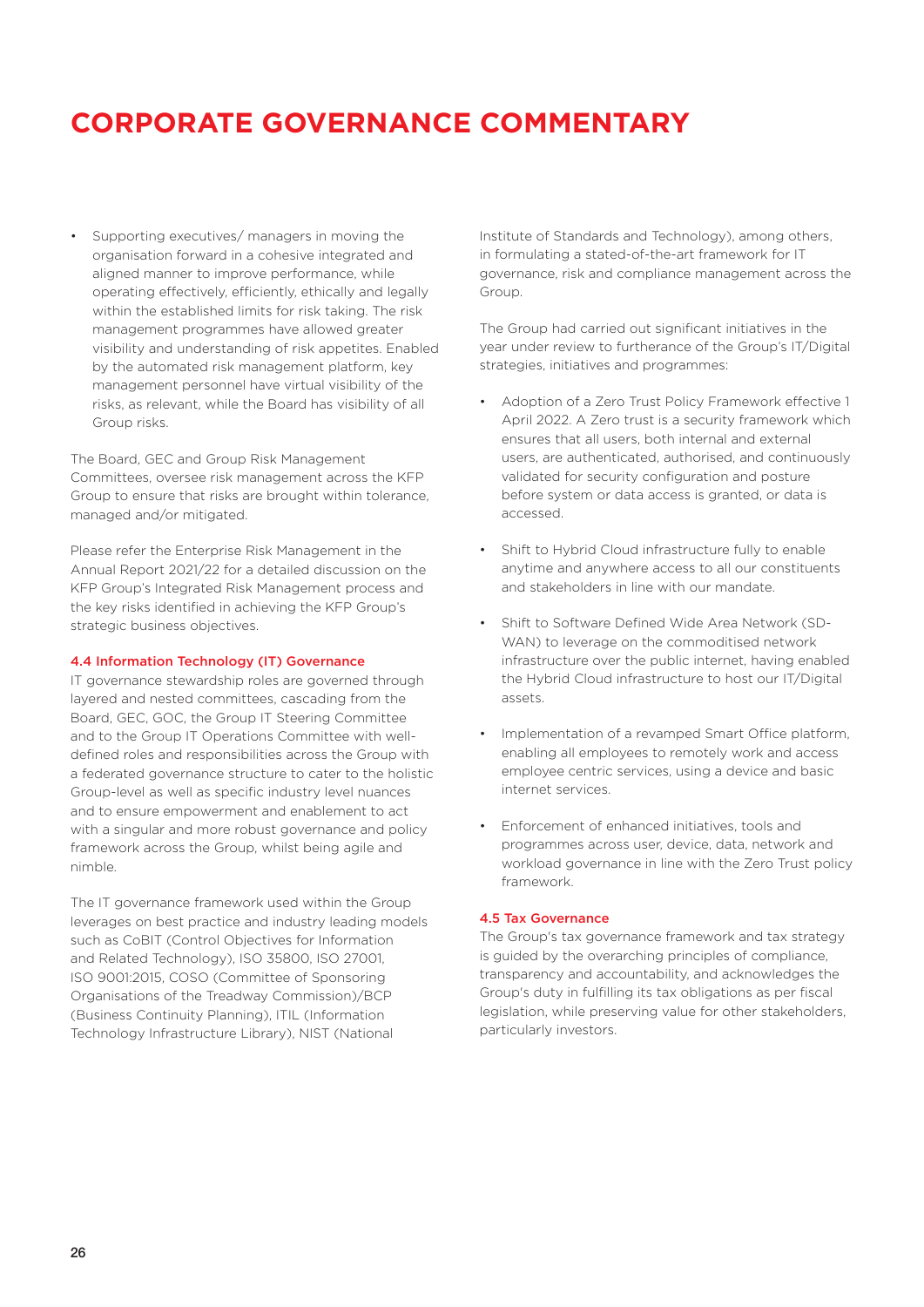• Supporting executives/ managers in moving the organisation forward in a cohesive integrated and aligned manner to improve performance, while operating effectively, efficiently, ethically and legally within the established limits for risk taking. The risk management programmes have allowed greater visibility and understanding of risk appetites. Enabled by the automated risk management platform, key management personnel have virtual visibility of the risks, as relevant, while the Board has visibility of all Group risks.

The Board, GEC and Group Risk Management Committees, oversee risk management across the KFP Group to ensure that risks are brought within tolerance, managed and/or mitigated.

Please refer the Enterprise Risk Management in the Annual Report 2021/22 for a detailed discussion on the KFP Group's Integrated Risk Management process and the key risks identified in achieving the KFP Group's strategic business objectives.

#### 4.4 Information Technology (IT) Governance

IT governance stewardship roles are governed through layered and nested committees, cascading from the Board, GEC, GOC, the Group IT Steering Committee and to the Group IT Operations Committee with welldefined roles and responsibilities across the Group with a federated governance structure to cater to the holistic Group-level as well as specific industry level nuances and to ensure empowerment and enablement to act with a singular and more robust governance and policy framework across the Group, whilst being agile and nimble.

The IT governance framework used within the Group leverages on best practice and industry leading models such as CoBIT (Control Objectives for Information and Related Technology), ISO 35800, ISO 27001, ISO 9001:2015, COSO (Committee of Sponsoring Organisations of the Treadway Commission)/BCP (Business Continuity Planning), ITIL (Information Technology Infrastructure Library), NIST (National

Institute of Standards and Technology), among others, in formulating a stated-of-the-art framework for IT governance, risk and compliance management across the Group.

The Group had carried out significant initiatives in the year under review to furtherance of the Group's IT/Digital strategies, initiatives and programmes:

- Adoption of a Zero Trust Policy Framework effective 1 April 2022. A Zero trust is a security framework which ensures that all users, both internal and external users, are authenticated, authorised, and continuously validated for security configuration and posture before system or data access is granted, or data is accessed.
- Shift to Hybrid Cloud infrastructure fully to enable anytime and anywhere access to all our constituents and stakeholders in line with our mandate.
- Shift to Software Defined Wide Area Network (SD-WAN) to leverage on the commoditised network infrastructure over the public internet, having enabled the Hybrid Cloud infrastructure to host our IT/Digital assets.
- Implementation of a revamped Smart Office platform, enabling all employees to remotely work and access employee centric services, using a device and basic internet services.
- Enforcement of enhanced initiatives, tools and programmes across user, device, data, network and workload governance in line with the Zero Trust policy framework.

#### 4.5 Tax Governance

The Group's tax governance framework and tax strategy is guided by the overarching principles of compliance, transparency and accountability, and acknowledges the Group's duty in fulfilling its tax obligations as per fiscal legislation, while preserving value for other stakeholders, particularly investors.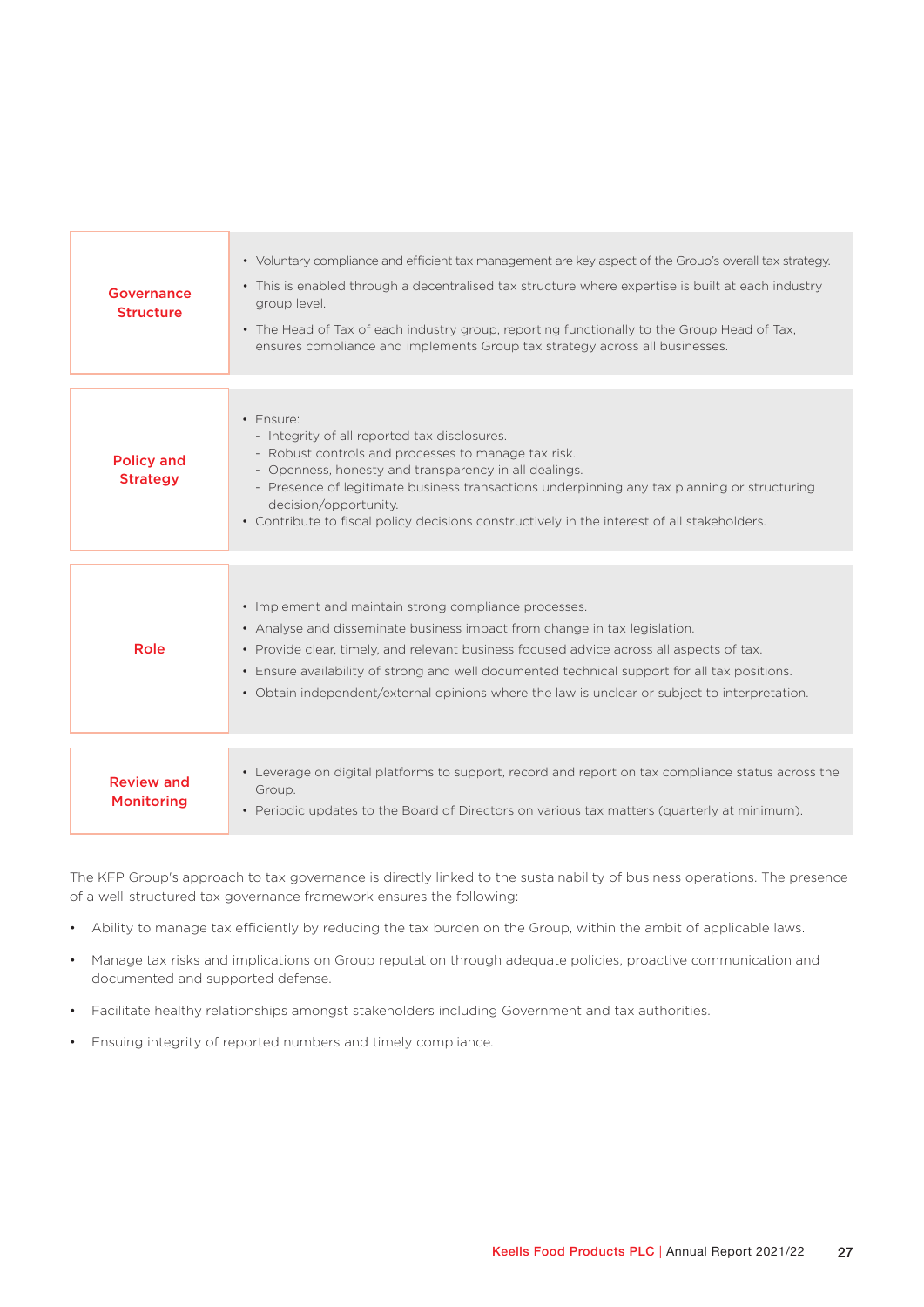| Governance<br><b>Structure</b>         | • Voluntary compliance and efficient tax management are key aspect of the Group's overall tax strategy.<br>• This is enabled through a decentralised tax structure where expertise is built at each industry<br>group level.<br>• The Head of Tax of each industry group, reporting functionally to the Group Head of Tax,<br>ensures compliance and implements Group tax strategy across all businesses.                       |
|----------------------------------------|---------------------------------------------------------------------------------------------------------------------------------------------------------------------------------------------------------------------------------------------------------------------------------------------------------------------------------------------------------------------------------------------------------------------------------|
|                                        |                                                                                                                                                                                                                                                                                                                                                                                                                                 |
| <b>Policy and</b><br><b>Strategy</b>   | • Ensure:<br>- Integrity of all reported tax disclosures.<br>- Robust controls and processes to manage tax risk.<br>- Openness, honesty and transparency in all dealings.<br>- Presence of legitimate business transactions underpinning any tax planning or structuring<br>decision/opportunity.<br>• Contribute to fiscal policy decisions constructively in the interest of all stakeholders.                                |
|                                        |                                                                                                                                                                                                                                                                                                                                                                                                                                 |
| Role                                   | • Implement and maintain strong compliance processes.<br>• Analyse and disseminate business impact from change in tax legislation.<br>• Provide clear, timely, and relevant business focused advice across all aspects of tax.<br>• Ensure availability of strong and well documented technical support for all tax positions.<br>• Obtain independent/external opinions where the law is unclear or subject to interpretation. |
|                                        |                                                                                                                                                                                                                                                                                                                                                                                                                                 |
| <b>Review and</b><br><b>Monitoring</b> | • Leverage on digital platforms to support, record and report on tax compliance status across the<br>Group.<br>• Periodic updates to the Board of Directors on various tax matters (quarterly at minimum).                                                                                                                                                                                                                      |

The KFP Group's approach to tax governance is directly linked to the sustainability of business operations. The presence of a well-structured tax governance framework ensures the following:

- Ability to manage tax efficiently by reducing the tax burden on the Group, within the ambit of applicable laws.
- Manage tax risks and implications on Group reputation through adequate policies, proactive communication and documented and supported defense.
- Facilitate healthy relationships amongst stakeholders including Government and tax authorities.
- Ensuing integrity of reported numbers and timely compliance.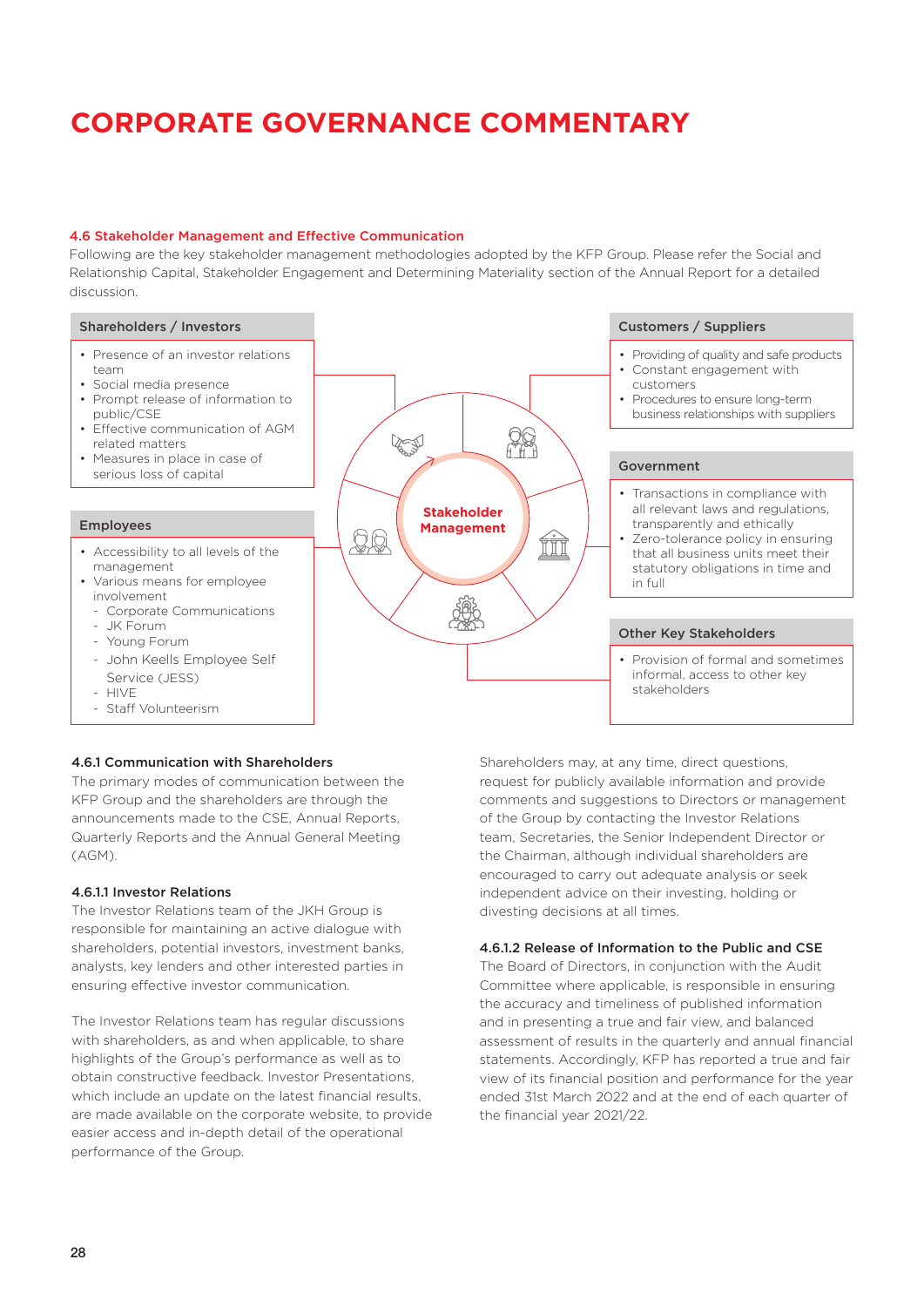### 4.6 Stakeholder Management and Effective Communication

Following are the key stakeholder management methodologies adopted by the KFP Group. Please refer the Social and Relationship Capital, Stakeholder Engagement and Determining Materiality section of the Annual Report for a detailed discussion.

#### Shareholders / Investors

- Presence of an investor relations team
- Social media presence
- Prompt release of information to public/CSE • Effective communication of AGM
- related matters
- Measures in place in case of serious loss of capital

#### Employees

- Accessibility to all levels of the management
- Various means for employee involvement
- Corporate Communications - JK Forum
- Young Forum
- John Keells Employee Self Service (JESS)
- **HIVE**
- Staff Volunteerism

### 4.6.1 Communication with Shareholders

The primary modes of communication between the KFP Group and the shareholders are through the announcements made to the CSE, Annual Reports, Quarterly Reports and the Annual General Meeting (AGM).

#### 4.6.1.1 Investor Relations

The Investor Relations team of the JKH Group is responsible for maintaining an active dialogue with shareholders, potential investors, investment banks, analysts, key lenders and other interested parties in ensuring effective investor communication.

The Investor Relations team has regular discussions with shareholders, as and when applicable, to share highlights of the Group's performance as well as to obtain constructive feedback. Investor Presentations, which include an update on the latest financial results, are made available on the corporate website, to provide easier access and in-depth detail of the operational performance of the Group.



#### Customers / Suppliers

- Providing of quality and safe products
- Constant engagement with
- customers Procedures to ensure long-term business relationships with suppliers

#### Government

- Transactions in compliance with all relevant laws and regulations, transparently and ethically
- Zero-tolerance policy in ensuring that all business units meet their statutory obligations in time and in full

#### Other Key Stakeholders

• Provision of formal and sometimes informal, access to other key stakeholders

Shareholders may, at any time, direct questions, request for publicly available information and provide comments and suggestions to Directors or management of the Group by contacting the Investor Relations team, Secretaries, the Senior Independent Director or the Chairman, although individual shareholders are encouraged to carry out adequate analysis or seek independent advice on their investing, holding or divesting decisions at all times.

#### 4.6.1.2 Release of Information to the Public and CSE

The Board of Directors, in conjunction with the Audit Committee where applicable, is responsible in ensuring the accuracy and timeliness of published information and in presenting a true and fair view, and balanced assessment of results in the quarterly and annual financial statements. Accordingly, KFP has reported a true and fair view of its financial position and performance for the year ended 31st March 2022 and at the end of each quarter of the financial year 2021/22.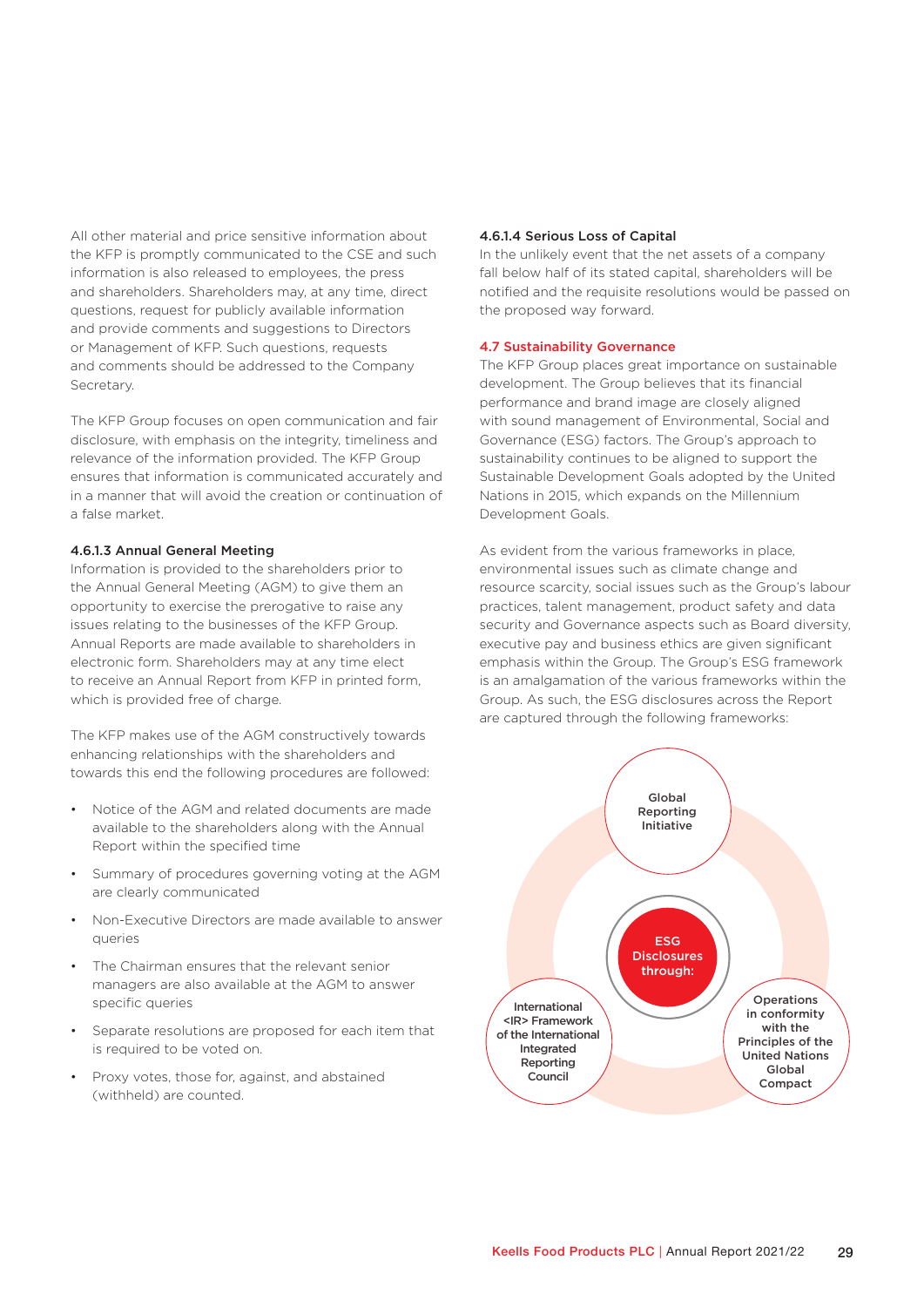All other material and price sensitive information about the KFP is promptly communicated to the CSE and such information is also released to employees, the press and shareholders. Shareholders may, at any time, direct questions, request for publicly available information and provide comments and suggestions to Directors or Management of KFP. Such questions, requests and comments should be addressed to the Company Secretary.

The KFP Group focuses on open communication and fair disclosure, with emphasis on the integrity, timeliness and relevance of the information provided. The KFP Group ensures that information is communicated accurately and in a manner that will avoid the creation or continuation of a false market.

#### 4.6.1.3 Annual General Meeting

Information is provided to the shareholders prior to the Annual General Meeting (AGM) to give them an opportunity to exercise the prerogative to raise any issues relating to the businesses of the KFP Group. Annual Reports are made available to shareholders in electronic form. Shareholders may at any time elect to receive an Annual Report from KFP in printed form, which is provided free of charge.

The KFP makes use of the AGM constructively towards enhancing relationships with the shareholders and towards this end the following procedures are followed:

- Notice of the AGM and related documents are made available to the shareholders along with the Annual Report within the specified time
- Summary of procedures governing voting at the AGM are clearly communicated
- Non-Executive Directors are made available to answer queries
- The Chairman ensures that the relevant senior managers are also available at the AGM to answer specific queries
- Separate resolutions are proposed for each item that is required to be voted on.
- Proxy votes, those for, against, and abstained (withheld) are counted.

#### 4.6.1.4 Serious Loss of Capital

In the unlikely event that the net assets of a company fall below half of its stated capital, shareholders will be notified and the requisite resolutions would be passed on the proposed way forward.

#### 4.7 Sustainability Governance

The KFP Group places great importance on sustainable development. The Group believes that its financial performance and brand image are closely aligned with sound management of Environmental, Social and Governance (ESG) factors. The Group's approach to sustainability continues to be aligned to support the Sustainable Development Goals adopted by the United Nations in 2015, which expands on the Millennium Development Goals.

As evident from the various frameworks in place, environmental issues such as climate change and resource scarcity, social issues such as the Group's labour practices, talent management, product safety and data security and Governance aspects such as Board diversity, executive pay and business ethics are given significant emphasis within the Group. The Group's ESG framework is an amalgamation of the various frameworks within the Group. As such, the ESG disclosures across the Report are captured through the following frameworks:

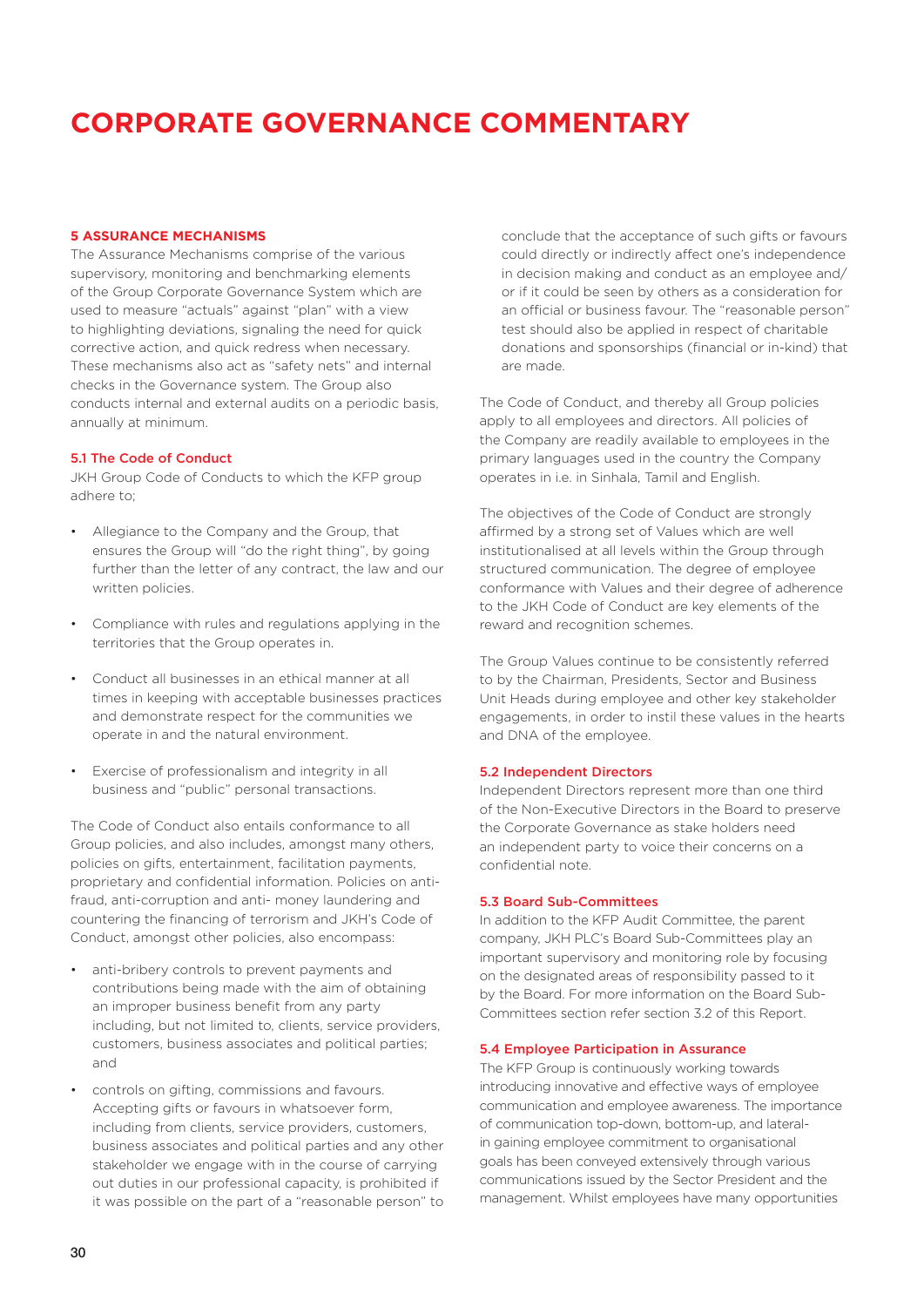#### **5 ASSURANCE MECHANISMS**

The Assurance Mechanisms comprise of the various supervisory, monitoring and benchmarking elements of the Group Corporate Governance System which are used to measure "actuals" against "plan" with a view to highlighting deviations, signaling the need for quick corrective action, and quick redress when necessary. These mechanisms also act as "safety nets" and internal checks in the Governance system. The Group also conducts internal and external audits on a periodic basis, annually at minimum.

#### 5.1 The Code of Conduct

JKH Group Code of Conducts to which the KFP group adhere to;

- Allegiance to the Company and the Group, that ensures the Group will "do the right thing", by going further than the letter of any contract, the law and our written policies.
- Compliance with rules and regulations applying in the territories that the Group operates in.
- Conduct all businesses in an ethical manner at all times in keeping with acceptable businesses practices and demonstrate respect for the communities we operate in and the natural environment.
- Exercise of professionalism and integrity in all business and "public" personal transactions.

The Code of Conduct also entails conformance to all Group policies, and also includes, amongst many others, policies on gifts, entertainment, facilitation payments, proprietary and confidential information. Policies on antifraud, anti-corruption and anti- money laundering and countering the financing of terrorism and JKH's Code of Conduct, amongst other policies, also encompass:

- anti-bribery controls to prevent payments and contributions being made with the aim of obtaining an improper business benefit from any party including, but not limited to, clients, service providers, customers, business associates and political parties; and
- controls on gifting, commissions and favours. Accepting gifts or favours in whatsoever form, including from clients, service providers, customers, business associates and political parties and any other stakeholder we engage with in the course of carrying out duties in our professional capacity, is prohibited if it was possible on the part of a "reasonable person" to

conclude that the acceptance of such gifts or favours could directly or indirectly affect one's independence in decision making and conduct as an employee and/ or if it could be seen by others as a consideration for an official or business favour. The "reasonable person" test should also be applied in respect of charitable donations and sponsorships (financial or in-kind) that are made.

The Code of Conduct, and thereby all Group policies apply to all employees and directors. All policies of the Company are readily available to employees in the primary languages used in the country the Company operates in i.e. in Sinhala, Tamil and English.

The objectives of the Code of Conduct are strongly affirmed by a strong set of Values which are well institutionalised at all levels within the Group through structured communication. The degree of employee conformance with Values and their degree of adherence to the JKH Code of Conduct are key elements of the reward and recognition schemes.

The Group Values continue to be consistently referred to by the Chairman, Presidents, Sector and Business Unit Heads during employee and other key stakeholder engagements, in order to instil these values in the hearts and DNA of the employee.

#### 5.2 Independent Directors

Independent Directors represent more than one third of the Non-Executive Directors in the Board to preserve the Corporate Governance as stake holders need an independent party to voice their concerns on a confidential note.

#### 5.3 Board Sub-Committees

In addition to the KFP Audit Committee, the parent company, JKH PLC's Board Sub-Committees play an important supervisory and monitoring role by focusing on the designated areas of responsibility passed to it by the Board. For more information on the Board Sub-Committees section refer section 3.2 of this Report.

#### 5.4 Employee Participation in Assurance

The KFP Group is continuously working towards introducing innovative and effective ways of employee communication and employee awareness. The importance of communication top-down, bottom-up, and lateralin gaining employee commitment to organisational goals has been conveyed extensively through various communications issued by the Sector President and the management. Whilst employees have many opportunities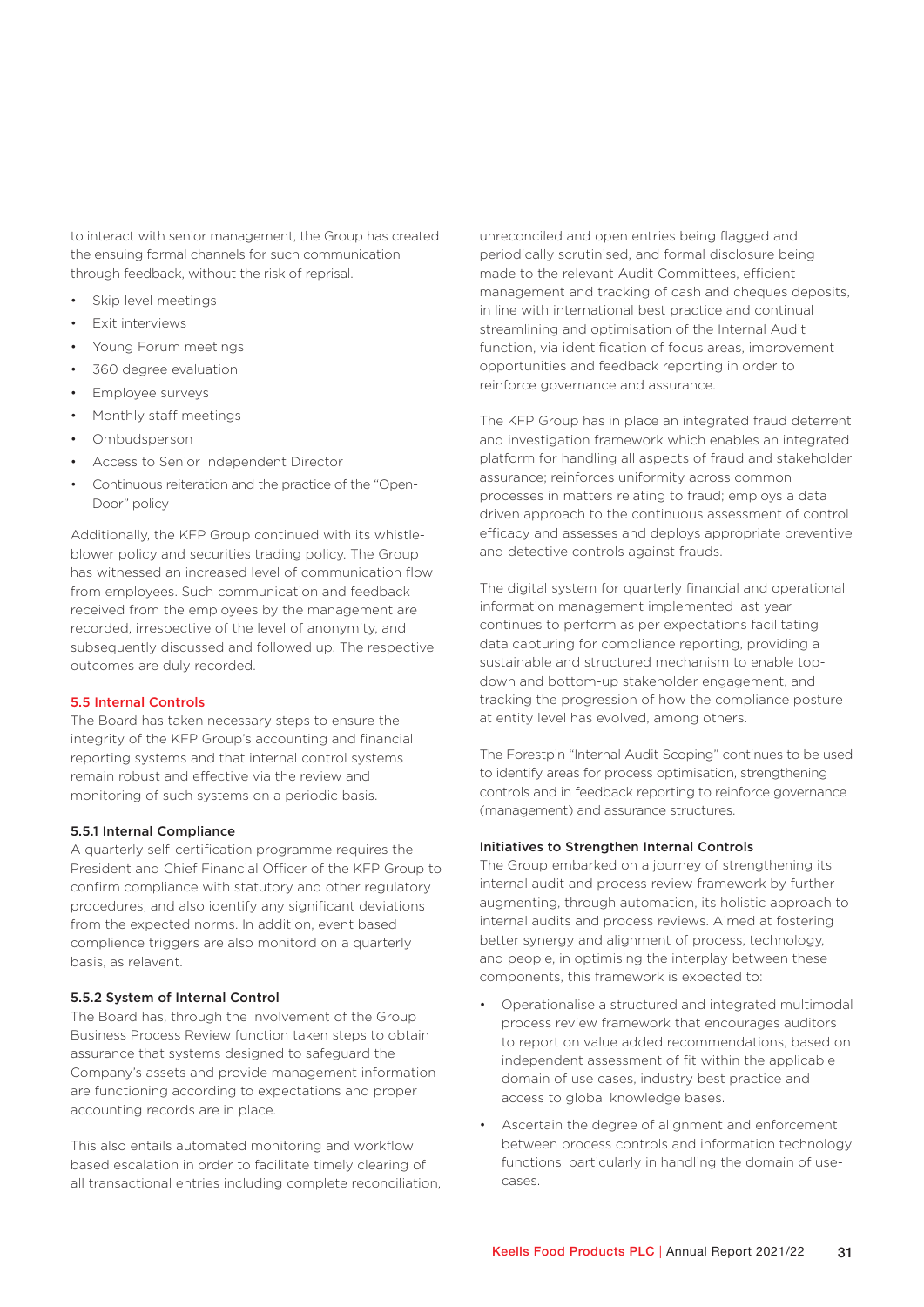to interact with senior management, the Group has created the ensuing formal channels for such communication through feedback, without the risk of reprisal.

- Skip level meetings
- Exit interviews
- Young Forum meetings
- 360 degree evaluation
- Employee surveys
- Monthly staff meetings
- Ombudsperson
- Access to Senior Independent Director
- Continuous reiteration and the practice of the "Open-Door" policy

Additionally, the KFP Group continued with its whistleblower policy and securities trading policy. The Group has witnessed an increased level of communication flow from employees. Such communication and feedback received from the employees by the management are recorded, irrespective of the level of anonymity, and subsequently discussed and followed up. The respective outcomes are duly recorded.

#### 5.5 Internal Controls

The Board has taken necessary steps to ensure the integrity of the KFP Group's accounting and financial reporting systems and that internal control systems remain robust and effective via the review and monitoring of such systems on a periodic basis.

#### 5.5.1 Internal Compliance

A quarterly self-certification programme requires the President and Chief Financial Officer of the KFP Group to confirm compliance with statutory and other regulatory procedures, and also identify any significant deviations from the expected norms. In addition, event based complience triggers are also monitord on a quarterly basis, as relavent.

#### 5.5.2 System of Internal Control

The Board has, through the involvement of the Group Business Process Review function taken steps to obtain assurance that systems designed to safeguard the Company's assets and provide management information are functioning according to expectations and proper accounting records are in place.

This also entails automated monitoring and workflow based escalation in order to facilitate timely clearing of all transactional entries including complete reconciliation, unreconciled and open entries being flagged and periodically scrutinised, and formal disclosure being made to the relevant Audit Committees, efficient management and tracking of cash and cheques deposits, in line with international best practice and continual streamlining and optimisation of the Internal Audit function, via identification of focus areas, improvement opportunities and feedback reporting in order to reinforce governance and assurance.

The KFP Group has in place an integrated fraud deterrent and investigation framework which enables an integrated platform for handling all aspects of fraud and stakeholder assurance; reinforces uniformity across common processes in matters relating to fraud; employs a data driven approach to the continuous assessment of control efficacy and assesses and deploys appropriate preventive and detective controls against frauds.

The digital system for quarterly financial and operational information management implemented last year continues to perform as per expectations facilitating data capturing for compliance reporting, providing a sustainable and structured mechanism to enable topdown and bottom-up stakeholder engagement, and tracking the progression of how the compliance posture at entity level has evolved, among others.

The Forestpin "Internal Audit Scoping" continues to be used to identify areas for process optimisation, strengthening controls and in feedback reporting to reinforce governance (management) and assurance structures.

#### Initiatives to Strengthen Internal Controls

The Group embarked on a journey of strengthening its internal audit and process review framework by further augmenting, through automation, its holistic approach to internal audits and process reviews. Aimed at fostering better synergy and alignment of process, technology, and people, in optimising the interplay between these components, this framework is expected to:

- Operationalise a structured and integrated multimodal process review framework that encourages auditors to report on value added recommendations, based on independent assessment of fit within the applicable domain of use cases, industry best practice and access to global knowledge bases.
- Ascertain the degree of alignment and enforcement between process controls and information technology functions, particularly in handling the domain of usecases.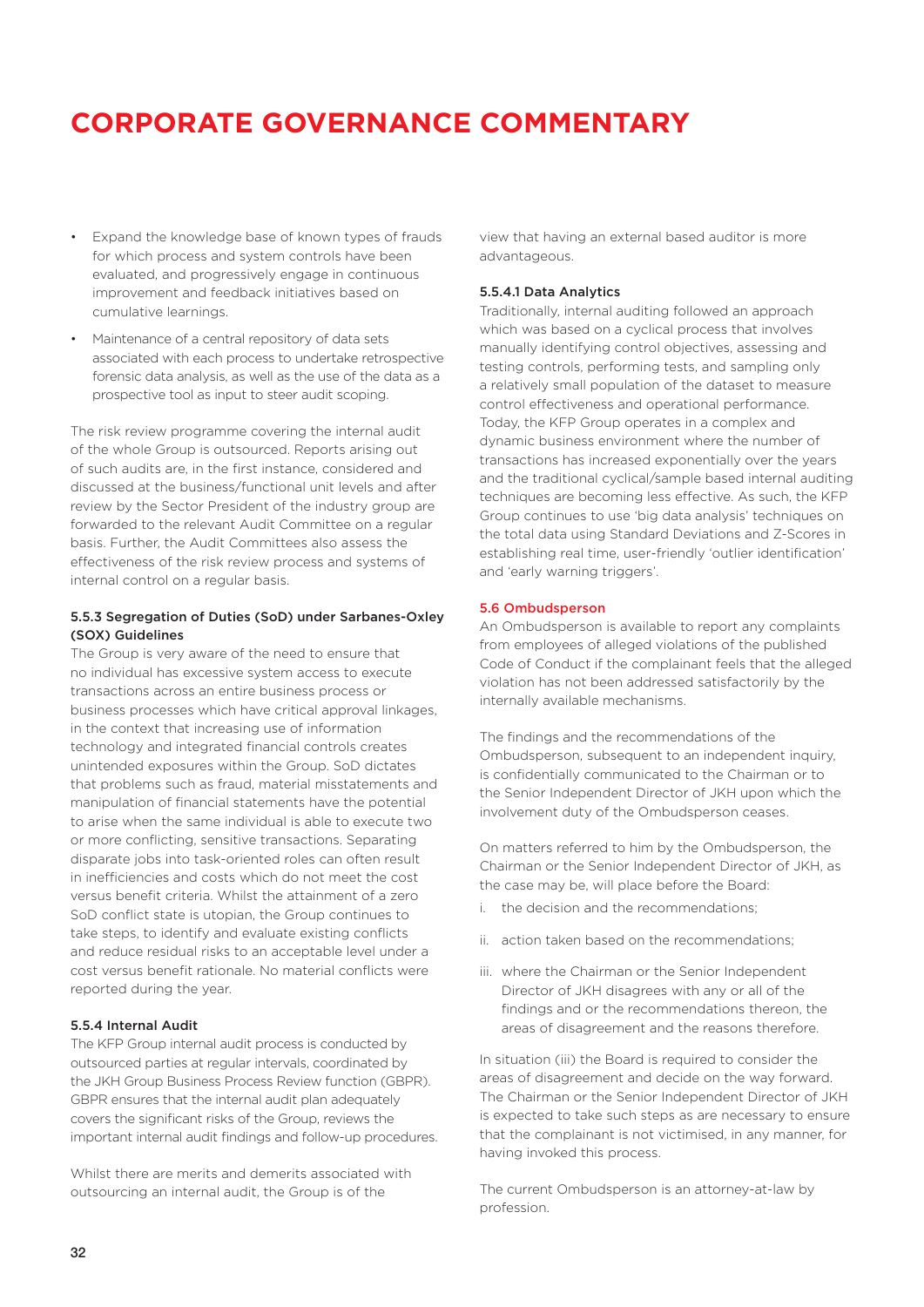- Expand the knowledge base of known types of frauds for which process and system controls have been evaluated, and progressively engage in continuous improvement and feedback initiatives based on cumulative learnings.
- Maintenance of a central repository of data sets associated with each process to undertake retrospective forensic data analysis, as well as the use of the data as a prospective tool as input to steer audit scoping.

The risk review programme covering the internal audit of the whole Group is outsourced. Reports arising out of such audits are, in the first instance, considered and discussed at the business/functional unit levels and after review by the Sector President of the industry group are forwarded to the relevant Audit Committee on a regular basis. Further, the Audit Committees also assess the effectiveness of the risk review process and systems of internal control on a regular basis.

#### 5.5.3 Segregation of Duties (SoD) under Sarbanes-Oxley (SOX) Guidelines

The Group is very aware of the need to ensure that no individual has excessive system access to execute transactions across an entire business process or business processes which have critical approval linkages, in the context that increasing use of information technology and integrated financial controls creates unintended exposures within the Group. SoD dictates that problems such as fraud, material misstatements and manipulation of financial statements have the potential to arise when the same individual is able to execute two or more conflicting, sensitive transactions. Separating disparate jobs into task-oriented roles can often result in inefficiencies and costs which do not meet the cost versus benefit criteria. Whilst the attainment of a zero SoD conflict state is utopian, the Group continues to take steps, to identify and evaluate existing conflicts and reduce residual risks to an acceptable level under a cost versus benefit rationale. No material conflicts were reported during the year.

#### 5.5.4 Internal Audit

The KFP Group internal audit process is conducted by outsourced parties at regular intervals, coordinated by the JKH Group Business Process Review function (GBPR). GBPR ensures that the internal audit plan adequately covers the significant risks of the Group, reviews the important internal audit findings and follow-up procedures.

Whilst there are merits and demerits associated with outsourcing an internal audit, the Group is of the

view that having an external based auditor is more advantageous.

#### 5.5.4.1 Data Analytics

Traditionally, internal auditing followed an approach which was based on a cyclical process that involves manually identifying control objectives, assessing and testing controls, performing tests, and sampling only a relatively small population of the dataset to measure control effectiveness and operational performance. Today, the KFP Group operates in a complex and dynamic business environment where the number of transactions has increased exponentially over the years and the traditional cyclical/sample based internal auditing techniques are becoming less effective. As such, the KFP Group continues to use 'big data analysis' techniques on the total data using Standard Deviations and Z-Scores in establishing real time, user-friendly 'outlier identification' and 'early warning triggers'.

#### 5.6 Ombudsperson

An Ombudsperson is available to report any complaints from employees of alleged violations of the published Code of Conduct if the complainant feels that the alleged violation has not been addressed satisfactorily by the internally available mechanisms.

The findings and the recommendations of the Ombudsperson, subsequent to an independent inquiry, is confidentially communicated to the Chairman or to the Senior Independent Director of JKH upon which the involvement duty of the Ombudsperson ceases.

On matters referred to him by the Ombudsperson, the Chairman or the Senior Independent Director of JKH, as the case may be, will place before the Board:

- i. the decision and the recommendations;
- ii. action taken based on the recommendations;
- iii. where the Chairman or the Senior Independent Director of JKH disagrees with any or all of the findings and or the recommendations thereon, the areas of disagreement and the reasons therefore.

In situation (iii) the Board is required to consider the areas of disagreement and decide on the way forward. The Chairman or the Senior Independent Director of JKH is expected to take such steps as are necessary to ensure that the complainant is not victimised, in any manner, for having invoked this process.

The current Ombudsperson is an attorney-at-law by profession.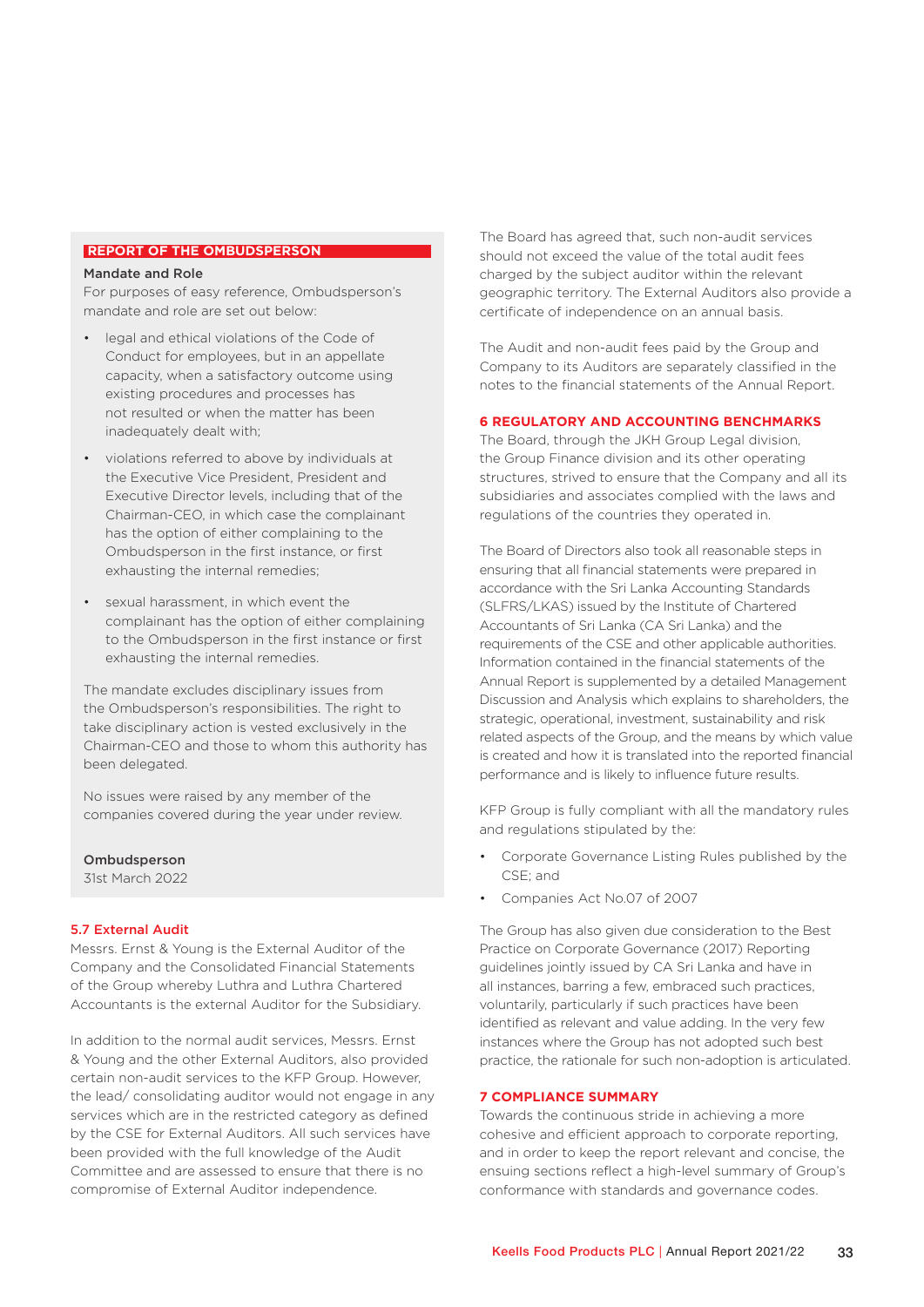#### **REPORT OF THE OMBUDSPERSON**

#### Mandate and Role

For purposes of easy reference, Ombudsperson's mandate and role are set out below:

- legal and ethical violations of the Code of Conduct for employees, but in an appellate capacity, when a satisfactory outcome using existing procedures and processes has not resulted or when the matter has been inadequately dealt with;
- violations referred to above by individuals at the Executive Vice President, President and Executive Director levels, including that of the Chairman-CEO, in which case the complainant has the option of either complaining to the Ombudsperson in the first instance, or first exhausting the internal remedies;
- sexual harassment, in which event the complainant has the option of either complaining to the Ombudsperson in the first instance or first exhausting the internal remedies.

The mandate excludes disciplinary issues from the Ombudsperson's responsibilities. The right to take disciplinary action is vested exclusively in the Chairman-CEO and those to whom this authority has been delegated.

No issues were raised by any member of the companies covered during the year under review.

Ombudsperson 31st March 2022

#### 5.7 External Audit

Messrs. Ernst & Young is the External Auditor of the Company and the Consolidated Financial Statements of the Group whereby Luthra and Luthra Chartered Accountants is the external Auditor for the Subsidiary.

In addition to the normal audit services, Messrs. Ernst & Young and the other External Auditors, also provided certain non-audit services to the KFP Group. However, the lead/ consolidating auditor would not engage in any services which are in the restricted category as defined by the CSE for External Auditors. All such services have been provided with the full knowledge of the Audit Committee and are assessed to ensure that there is no compromise of External Auditor independence.

The Board has agreed that, such non-audit services should not exceed the value of the total audit fees charged by the subject auditor within the relevant geographic territory. The External Auditors also provide a certificate of independence on an annual basis.

The Audit and non-audit fees paid by the Group and Company to its Auditors are separately classified in the notes to the financial statements of the Annual Report.

#### **6 REGULATORY AND ACCOUNTING BENCHMARKS**

The Board, through the JKH Group Legal division, the Group Finance division and its other operating structures, strived to ensure that the Company and all its subsidiaries and associates complied with the laws and regulations of the countries they operated in.

The Board of Directors also took all reasonable steps in ensuring that all financial statements were prepared in accordance with the Sri Lanka Accounting Standards (SLFRS/LKAS) issued by the Institute of Chartered Accountants of Sri Lanka (CA Sri Lanka) and the requirements of the CSE and other applicable authorities. Information contained in the financial statements of the Annual Report is supplemented by a detailed Management Discussion and Analysis which explains to shareholders, the strategic, operational, investment, sustainability and risk related aspects of the Group, and the means by which value is created and how it is translated into the reported financial performance and is likely to influence future results.

KFP Group is fully compliant with all the mandatory rules and regulations stipulated by the:

- Corporate Governance Listing Rules published by the CSE; and
- Companies Act No.07 of 2007

The Group has also given due consideration to the Best Practice on Corporate Governance (2017) Reporting guidelines jointly issued by CA Sri Lanka and have in all instances, barring a few, embraced such practices, voluntarily, particularly if such practices have been identified as relevant and value adding. In the very few instances where the Group has not adopted such best practice, the rationale for such non-adoption is articulated.

#### **7 COMPLIANCE SUMMARY**

Towards the continuous stride in achieving a more cohesive and efficient approach to corporate reporting, and in order to keep the report relevant and concise, the ensuing sections reflect a high-level summary of Group's conformance with standards and governance codes.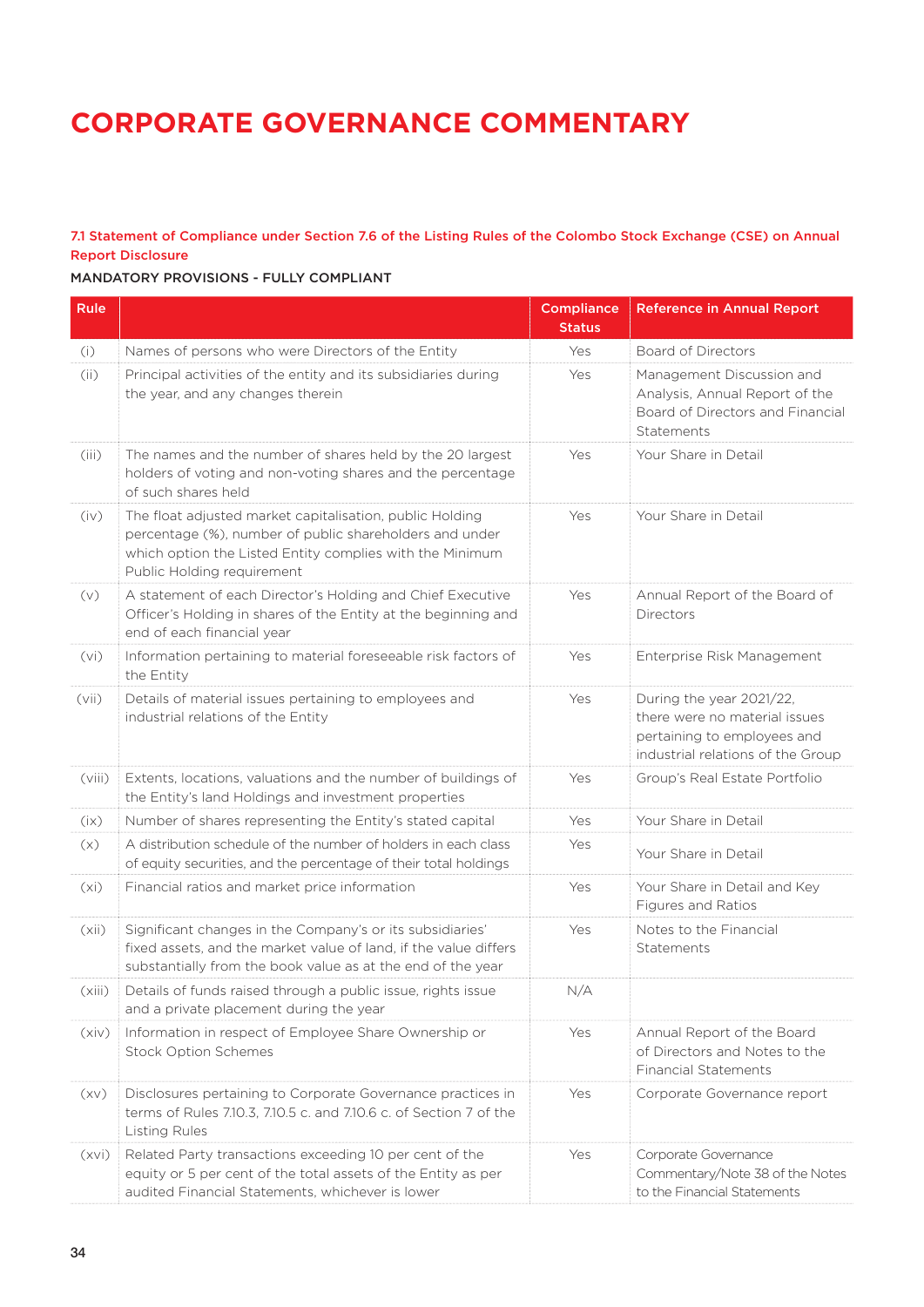### 7.1 Statement of Compliance under Section 7.6 of the Listing Rules of the Colombo Stock Exchange (CSE) on Annual Report Disclosure

### MANDATORY PROVISIONS - FULLY COMPLIANT

| Rule   |                                                                                                                                                                                                               | <b>Compliance</b><br><b>Status</b> | <b>Reference in Annual Report</b>                                                                                             |
|--------|---------------------------------------------------------------------------------------------------------------------------------------------------------------------------------------------------------------|------------------------------------|-------------------------------------------------------------------------------------------------------------------------------|
| (i)    | Names of persons who were Directors of the Entity                                                                                                                                                             | Yes                                | <b>Board of Directors</b>                                                                                                     |
| (ii)   | Principal activities of the entity and its subsidiaries during<br>the year, and any changes therein                                                                                                           | Yes                                | Management Discussion and<br>Analysis, Annual Report of the<br>Board of Directors and Financial<br>Statements                 |
| (iii)  | The names and the number of shares held by the 20 largest<br>holders of voting and non-voting shares and the percentage<br>of such shares held                                                                | Yes                                | Your Share in Detail                                                                                                          |
| (iv)   | The float adjusted market capitalisation, public Holding<br>percentage (%), number of public shareholders and under<br>which option the Listed Entity complies with the Minimum<br>Public Holding requirement | Yes                                | Your Share in Detail                                                                                                          |
| (v)    | A statement of each Director's Holding and Chief Executive<br>Officer's Holding in shares of the Entity at the beginning and<br>end of each financial year                                                    | Yes                                | Annual Report of the Board of<br>Directors                                                                                    |
| (vi)   | Information pertaining to material foreseeable risk factors of<br>the Entity                                                                                                                                  | Yes                                | Enterprise Risk Management                                                                                                    |
| (vii)  | Details of material issues pertaining to employees and<br>industrial relations of the Entity                                                                                                                  | Yes                                | During the year 2021/22,<br>there were no material issues<br>pertaining to employees and<br>industrial relations of the Group |
| (viii) | Extents, locations, valuations and the number of buildings of<br>the Entity's land Holdings and investment properties                                                                                         | Yes                                | Group's Real Estate Portfolio                                                                                                 |
| (ix)   | Number of shares representing the Entity's stated capital                                                                                                                                                     |                                    | Your Share in Detail                                                                                                          |
| (x)    | A distribution schedule of the number of holders in each class<br>of equity securities, and the percentage of their total holdings                                                                            | Yes                                | Your Share in Detail                                                                                                          |
| (xi)   | Financial ratios and market price information                                                                                                                                                                 | Yes                                | Your Share in Detail and Key<br>Figures and Ratios                                                                            |
| (xii)  | Significant changes in the Company's or its subsidiaries'<br>fixed assets, and the market value of land, if the value differs<br>substantially from the book value as at the end of the year                  | Yes                                | Notes to the Financial<br>Statements                                                                                          |
| (xiii) | Details of funds raised through a public issue, rights issue<br>and a private placement during the year                                                                                                       | N/A                                |                                                                                                                               |
| (xiv)  | Information in respect of Employee Share Ownership or<br><b>Stock Option Schemes</b>                                                                                                                          | Yes                                | Annual Report of the Board<br>of Directors and Notes to the<br><b>Financial Statements</b>                                    |
| (xv)   | Disclosures pertaining to Corporate Governance practices in<br>terms of Rules 7.10.3, 7.10.5 c. and 7.10.6 c. of Section 7 of the<br>Listing Rules                                                            | Yes                                | Corporate Governance report                                                                                                   |
| (xvi)  | Related Party transactions exceeding 10 per cent of the<br>equity or 5 per cent of the total assets of the Entity as per<br>audited Financial Statements, whichever is lower                                  | Yes                                | Corporate Governance<br>Commentary/Note 38 of the Notes<br>to the Financial Statements                                        |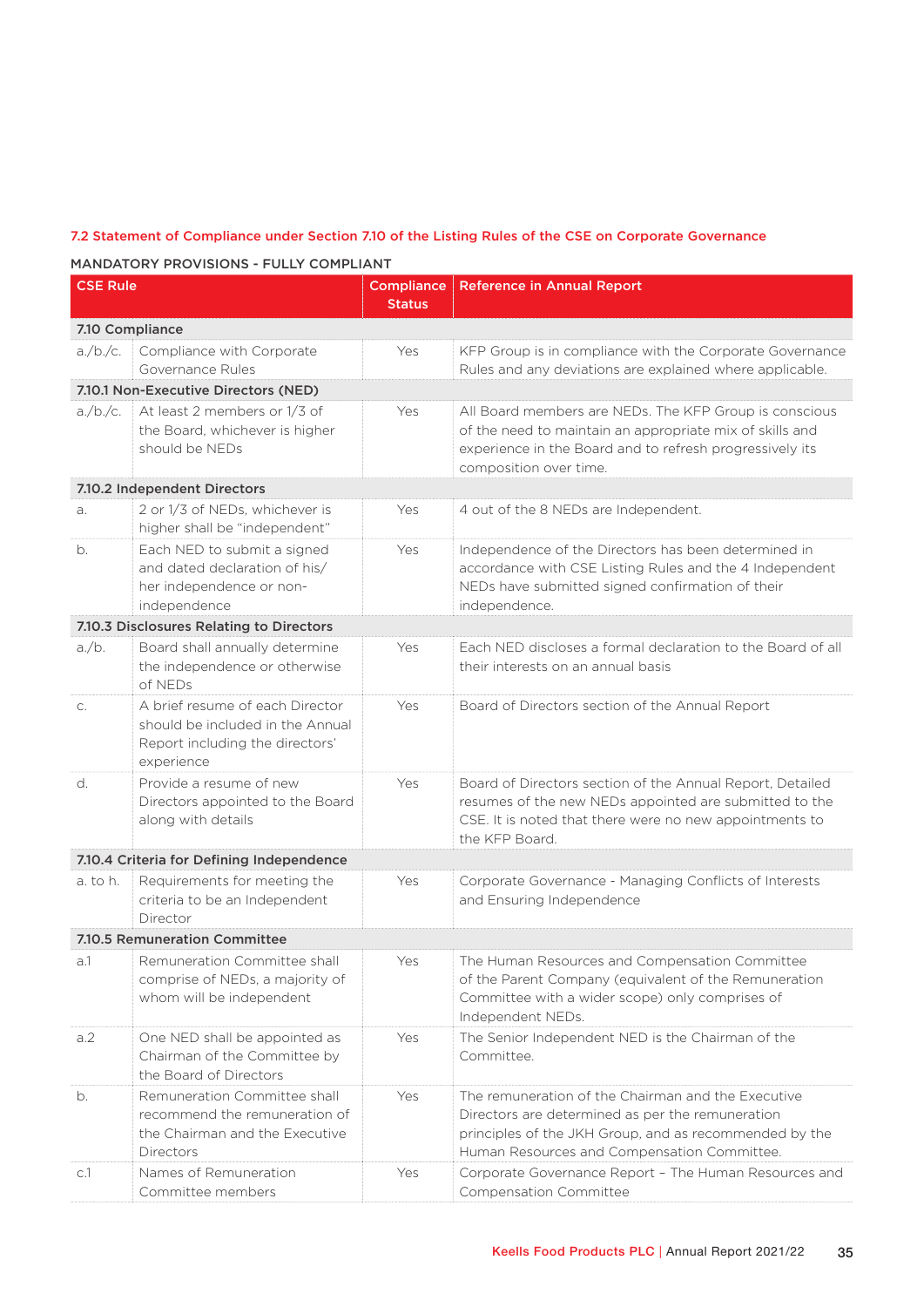### 7.2 Statement of Compliance under Section 7.10 of the Listing Rules of the CSE on Corporate Governance

MANDATORY PROVISIONS - FULLY COMPLIANT

| <b>CSE Rule</b> |                                                                                                                      | <b>Compliance</b><br><b>Status</b> | <b>Reference in Annual Report</b>                                                                                                                                                                               |  |  |
|-----------------|----------------------------------------------------------------------------------------------------------------------|------------------------------------|-----------------------------------------------------------------------------------------------------------------------------------------------------------------------------------------------------------------|--|--|
| 7.10 Compliance |                                                                                                                      |                                    |                                                                                                                                                                                                                 |  |  |
| $a$ /b./c.      | Compliance with Corporate<br>Governance Rules                                                                        | Yes                                | KFP Group is in compliance with the Corporate Governance<br>Rules and any deviations are explained where applicable.                                                                                            |  |  |
|                 | 7.10.1 Non-Executive Directors (NED)                                                                                 |                                    |                                                                                                                                                                                                                 |  |  |
| $a$ /b./c.      | At least 2 members or 1/3 of<br>the Board, whichever is higher<br>should be NEDs                                     | Yes                                | All Board members are NEDs. The KFP Group is conscious<br>of the need to maintain an appropriate mix of skills and<br>experience in the Board and to refresh progressively its<br>composition over time.        |  |  |
|                 | 7.10.2 Independent Directors                                                                                         |                                    |                                                                                                                                                                                                                 |  |  |
| a.              | 2 or 1/3 of NEDs, whichever is<br>higher shall be "independent"                                                      | Yes                                | 4 out of the 8 NEDs are Independent.                                                                                                                                                                            |  |  |
| b.              | Each NED to submit a signed<br>and dated declaration of his/<br>her independence or non-<br>independence             | Yes                                | Independence of the Directors has been determined in<br>accordance with CSE Listing Rules and the 4 Independent<br>NEDs have submitted signed confirmation of their<br>independence.                            |  |  |
|                 | 7.10.3 Disclosures Relating to Directors                                                                             |                                    |                                                                                                                                                                                                                 |  |  |
| $a$ / $b$ .     | Board shall annually determine<br>the independence or otherwise<br>of NEDs                                           | Yes                                | Each NED discloses a formal declaration to the Board of all<br>their interests on an annual basis                                                                                                               |  |  |
| C.              | A brief resume of each Director<br>should be included in the Annual<br>Report including the directors'<br>experience | Yes                                | Board of Directors section of the Annual Report                                                                                                                                                                 |  |  |
| d.              | Provide a resume of new<br>Directors appointed to the Board<br>along with details                                    | Yes                                | Board of Directors section of the Annual Report, Detailed<br>resumes of the new NEDs appointed are submitted to the<br>CSE. It is noted that there were no new appointments to<br>the KFP Board.                |  |  |
|                 | 7.10.4 Criteria for Defining Independence                                                                            |                                    |                                                                                                                                                                                                                 |  |  |
| a. to h.        | Requirements for meeting the<br>criteria to be an Independent<br>Director                                            | Yes                                | Corporate Governance - Managing Conflicts of Interests<br>and Ensuring Independence                                                                                                                             |  |  |
|                 | 7.10.5 Remuneration Committee                                                                                        |                                    |                                                                                                                                                                                                                 |  |  |
| a.1             | Remuneration Committee shall<br>comprise of NEDs, a majority of<br>whom will be independent                          | Yes                                | The Human Resources and Compensation Committee<br>of the Parent Company (equivalent of the Remuneration<br>Committee with a wider scope) only comprises of<br>Independent NEDs.                                 |  |  |
| a.2             | One NED shall be appointed as<br>Chairman of the Committee by<br>the Board of Directors                              | Yes                                | The Senior Independent NED is the Chairman of the<br>Committee.                                                                                                                                                 |  |  |
| b.              | Remuneration Committee shall<br>recommend the remuneration of<br>the Chairman and the Executive<br>Directors         | Yes                                | The remuneration of the Chairman and the Executive<br>Directors are determined as per the remuneration<br>principles of the JKH Group, and as recommended by the<br>Human Resources and Compensation Committee. |  |  |
| C.1             | Names of Remuneration<br>Committee members                                                                           | Yes                                | Corporate Governance Report - The Human Resources and<br>Compensation Committee                                                                                                                                 |  |  |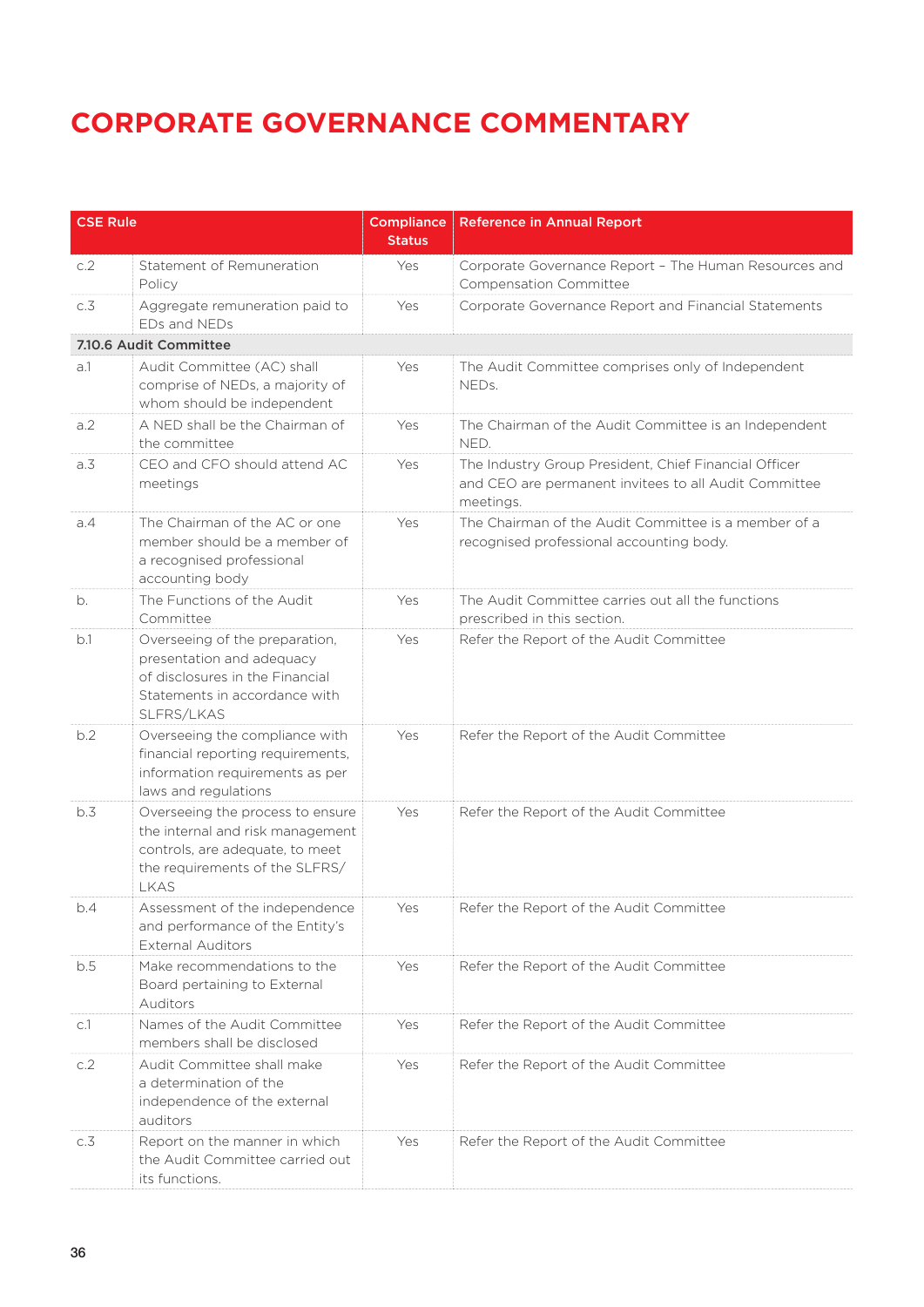| <b>CSE Rule</b>  |                                                                                                                                                          | <b>Compliance</b><br><b>Status</b> | <b>Reference in Annual Report</b>                                                                                           |
|------------------|----------------------------------------------------------------------------------------------------------------------------------------------------------|------------------------------------|-----------------------------------------------------------------------------------------------------------------------------|
| c.2              | Statement of Remuneration<br>Policy                                                                                                                      | Yes                                | Corporate Governance Report - The Human Resources and<br>Compensation Committee                                             |
| c.3              | Aggregate remuneration paid to<br>EDs and NEDs                                                                                                           | Yes                                | Corporate Governance Report and Financial Statements                                                                        |
|                  | 7.10.6 Audit Committee                                                                                                                                   |                                    |                                                                                                                             |
| a.1              | Audit Committee (AC) shall<br>comprise of NEDs, a majority of<br>whom should be independent                                                              | Yes                                | The Audit Committee comprises only of Independent<br>NEDs.                                                                  |
| a.2              | A NED shall be the Chairman of<br>the committee                                                                                                          | Yes                                | The Chairman of the Audit Committee is an Independent<br>NED.                                                               |
| a.3              | CEO and CFO should attend AC<br>meetings                                                                                                                 | Yes                                | The Industry Group President, Chief Financial Officer<br>and CEO are permanent invitees to all Audit Committee<br>meetings. |
| a.4              | The Chairman of the AC or one<br>member should be a member of<br>a recognised professional<br>accounting body                                            | Yes                                | The Chairman of the Audit Committee is a member of a<br>recognised professional accounting body.                            |
| b.               | The Functions of the Audit<br>Committee                                                                                                                  | Yes                                | The Audit Committee carries out all the functions<br>prescribed in this section.                                            |
| b.1              | Overseeing of the preparation,<br>presentation and adequacy<br>of disclosures in the Financial<br>Statements in accordance with<br>SLFRS/LKAS            | Yes                                | Refer the Report of the Audit Committee                                                                                     |
| b.2              | Overseeing the compliance with<br>financial reporting requirements,<br>information requirements as per<br>laws and regulations                           | Yes                                | Refer the Report of the Audit Committee                                                                                     |
| b.3              | Overseeing the process to ensure<br>the internal and risk management<br>controls, are adequate, to meet<br>the requirements of the SLFRS/<br><b>LKAS</b> | Yes                                | Refer the Report of the Audit Committee                                                                                     |
| b.4              | Assessment of the independence<br>and performance of the Entity's<br><b>External Auditors</b>                                                            | Yes                                | Refer the Report of the Audit Committee                                                                                     |
| b.5              | Make recommendations to the<br>Board pertaining to External<br><b>Auditors</b>                                                                           | Yes                                | Refer the Report of the Audit Committee                                                                                     |
| C.1              | Names of the Audit Committee<br>members shall be disclosed                                                                                               | Yes                                | Refer the Report of the Audit Committee                                                                                     |
| c.2              | Audit Committee shall make<br>a determination of the<br>independence of the external<br>auditors                                                         | Yes                                | Refer the Report of the Audit Committee                                                                                     |
| $c.\overline{3}$ | Report on the manner in which<br>the Audit Committee carried out<br>its functions.                                                                       | Yes                                | Refer the Report of the Audit Committee                                                                                     |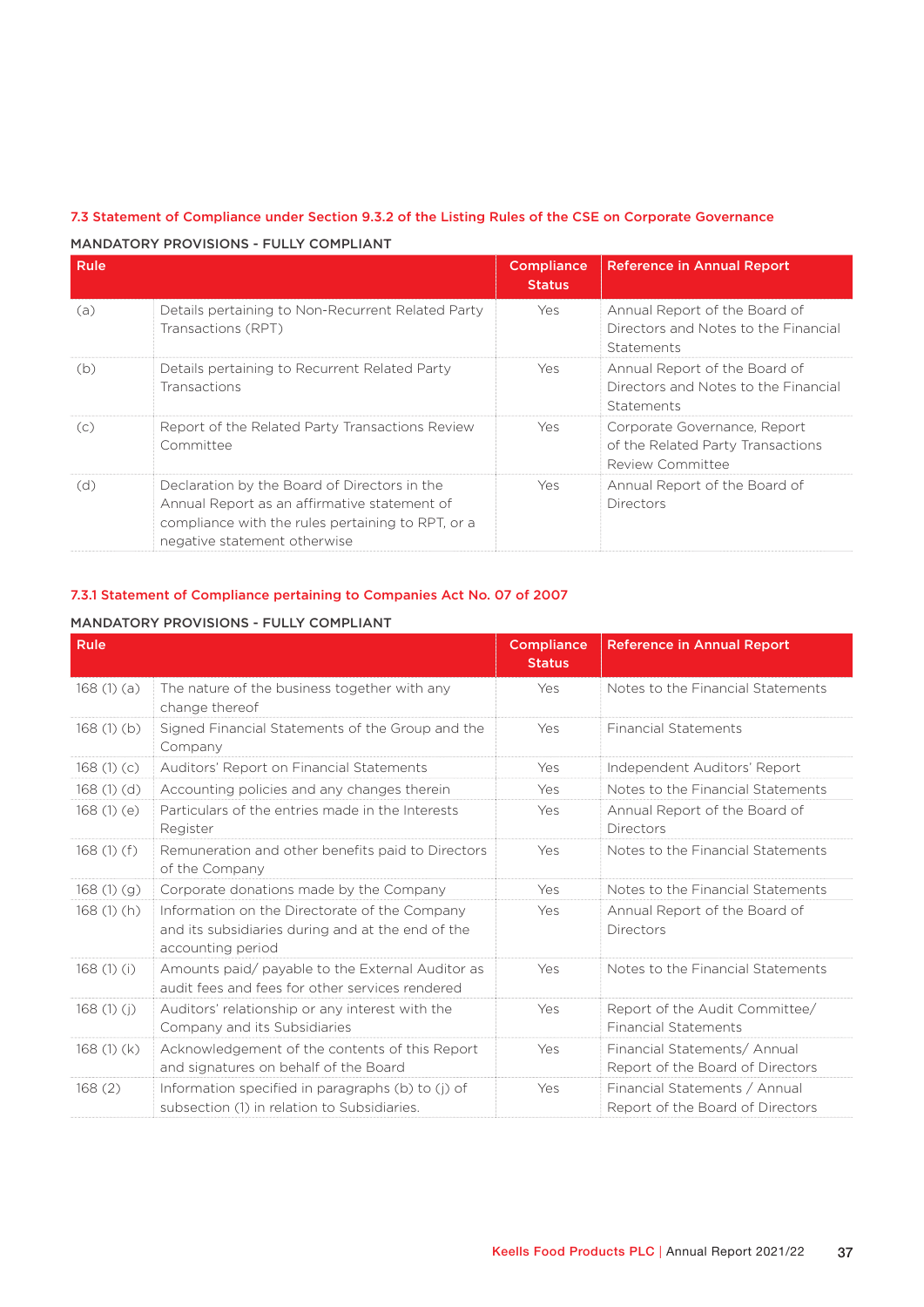| Rule |                                                                                                                                                                                   | <b>Compliance</b><br><b>Status</b> | <b>Reference in Annual Report</b>                                                          |
|------|-----------------------------------------------------------------------------------------------------------------------------------------------------------------------------------|------------------------------------|--------------------------------------------------------------------------------------------|
| (a)  | Details pertaining to Non-Recurrent Related Party<br>Transactions (RPT)                                                                                                           | Yes                                | Annual Report of the Board of<br>Directors and Notes to the Financial<br><b>Statements</b> |
| (b)  | Details pertaining to Recurrent Related Party<br><b>Transactions</b>                                                                                                              | Yes                                | Annual Report of the Board of<br>Directors and Notes to the Financial<br>Statements        |
| (C)  | Report of the Related Party Transactions Review<br>Committee                                                                                                                      | Yes                                | Corporate Governance, Report<br>of the Related Party Transactions<br>Review Committee      |
| (d)  | Declaration by the Board of Directors in the<br>Annual Report as an affirmative statement of<br>compliance with the rules pertaining to RPT, or a<br>negative statement otherwise | Yes                                | Annual Report of the Board of<br><b>Directors</b>                                          |

### 7.3 Statement of Compliance under Section 9.3.2 of the Listing Rules of the CSE on Corporate Governance

#### MANDATORY PROVISIONS - FULLY COMPLIANT

### 7.3.1 Statement of Compliance pertaining to Companies Act No. 07 of 2007

### MANDATORY PROVISIONS - FULLY COMPLIANT

| Rule      |                                                                                                                         | <b>Compliance</b><br><b>Status</b> | <b>Reference in Annual Report</b>                                 |
|-----------|-------------------------------------------------------------------------------------------------------------------------|------------------------------------|-------------------------------------------------------------------|
| 168(1)(a) | The nature of the business together with any<br>change thereof                                                          | Yes                                | Notes to the Financial Statements                                 |
| 168(1)(b) | Signed Financial Statements of the Group and the<br>Company                                                             | Yes                                | <b>Financial Statements</b>                                       |
| 168(1)(c) | Auditors' Report on Financial Statements                                                                                | Yes                                | Independent Auditors' Report                                      |
| 168(1)(d) | Accounting policies and any changes therein                                                                             | Yes                                | Notes to the Financial Statements                                 |
| 168(1)(e) | Particulars of the entries made in the Interests<br>Register                                                            | Yes                                | Annual Report of the Board of<br>Directors                        |
| 168(1)(f) | Remuneration and other benefits paid to Directors<br>of the Company                                                     | Yes                                | Notes to the Financial Statements                                 |
| 168(1)(g) | Corporate donations made by the Company                                                                                 | Yes                                | Notes to the Financial Statements                                 |
| 168(1)(h) | Information on the Directorate of the Company<br>and its subsidiaries during and at the end of the<br>accounting period | Yes                                | Annual Report of the Board of<br>Directors                        |
| 168(1)(i) | Amounts paid/ payable to the External Auditor as<br>audit fees and fees for other services rendered                     | Yes                                | Notes to the Financial Statements                                 |
| 168(1)(i) | Auditors' relationship or any interest with the<br>Company and its Subsidiaries                                         | Yes                                | Report of the Audit Committee/<br><b>Financial Statements</b>     |
| 168(1)(k) | Acknowledgement of the contents of this Report<br>and signatures on behalf of the Board                                 | Yes                                | Financial Statements/ Annual<br>Report of the Board of Directors  |
| 168(2)    | Information specified in paragraphs (b) to (j) of<br>subsection (1) in relation to Subsidiaries.                        | Yes                                | Financial Statements / Annual<br>Report of the Board of Directors |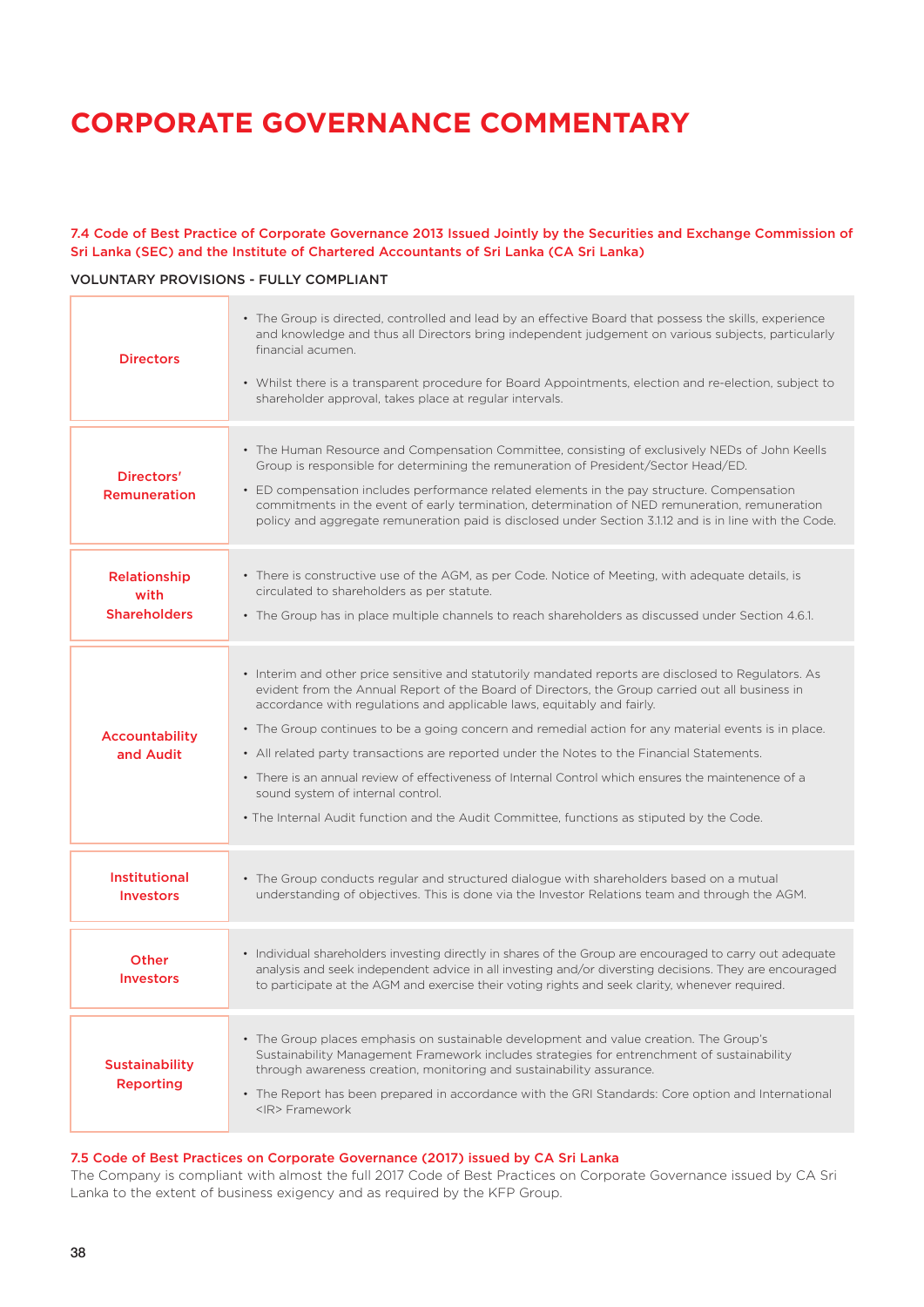### 7.4 Code of Best Practice of Corporate Governance 2013 Issued Jointly by the Securities and Exchange Commission of Sri Lanka (SEC) and the Institute of Chartered Accountants of Sri Lanka (CA Sri Lanka)

### VOLUNTARY PROVISIONS - FULLY COMPLIANT

| <b>Directors</b>                            | • The Group is directed, controlled and lead by an effective Board that possess the skills, experience<br>and knowledge and thus all Directors bring independent judgement on various subjects, particularly<br>financial acumen.<br>• Whilst there is a transparent procedure for Board Appointments, election and re-election, subject to<br>shareholder approval, takes place at regular intervals.                                                                                                                                                                                                                                                                                                                           |
|---------------------------------------------|----------------------------------------------------------------------------------------------------------------------------------------------------------------------------------------------------------------------------------------------------------------------------------------------------------------------------------------------------------------------------------------------------------------------------------------------------------------------------------------------------------------------------------------------------------------------------------------------------------------------------------------------------------------------------------------------------------------------------------|
| Directors'<br><b>Remuneration</b>           | • The Human Resource and Compensation Committee, consisting of exclusively NEDs of John Keells<br>Group is responsible for determining the remuneration of President/Sector Head/ED.<br>• ED compensation includes performance related elements in the pay structure. Compensation<br>commitments in the event of early termination, determination of NED remuneration, remuneration<br>policy and aggregate remuneration paid is disclosed under Section 3.1.12 and is in line with the Code.                                                                                                                                                                                                                                   |
| Relationship<br>with<br><b>Shareholders</b> | • There is constructive use of the AGM, as per Code. Notice of Meeting, with adequate details, is<br>circulated to shareholders as per statute.<br>• The Group has in place multiple channels to reach shareholders as discussed under Section 4.6.1.                                                                                                                                                                                                                                                                                                                                                                                                                                                                            |
| <b>Accountability</b><br>and Audit          | • Interim and other price sensitive and statutorily mandated reports are disclosed to Regulators. As<br>evident from the Annual Report of the Board of Directors, the Group carried out all business in<br>accordance with regulations and applicable laws, equitably and fairly.<br>• The Group continues to be a going concern and remedial action for any material events is in place.<br>• All related party transactions are reported under the Notes to the Financial Statements.<br>• There is an annual review of effectiveness of Internal Control which ensures the maintenence of a<br>sound system of internal control.<br>. The Internal Audit function and the Audit Committee, functions as stiputed by the Code. |
| <b>Institutional</b><br><b>Investors</b>    | • The Group conducts regular and structured dialogue with shareholders based on a mutual<br>understanding of objectives. This is done via the Investor Relations team and through the AGM.                                                                                                                                                                                                                                                                                                                                                                                                                                                                                                                                       |
| <b>Other</b><br><b>Investors</b>            | • Individual shareholders investing directly in shares of the Group are encouraged to carry out adequate<br>analysis and seek independent advice in all investing and/or diversting decisions. They are encouraged<br>to participate at the AGM and exercise their voting rights and seek clarity, whenever required.                                                                                                                                                                                                                                                                                                                                                                                                            |
| <b>Sustainability</b><br><b>Reporting</b>   | • The Group places emphasis on sustainable development and value creation. The Group's<br>Sustainability Management Framework includes strategies for entrenchment of sustainability<br>through awareness creation, monitoring and sustainability assurance.<br>• The Report has been prepared in accordance with the GRI Standards: Core option and International<br><ir> Framework</ir>                                                                                                                                                                                                                                                                                                                                        |

#### 7.5 Code of Best Practices on Corporate Governance (2017) issued by CA Sri Lanka

The Company is compliant with almost the full 2017 Code of Best Practices on Corporate Governance issued by CA Sri Lanka to the extent of business exigency and as required by the KFP Group.